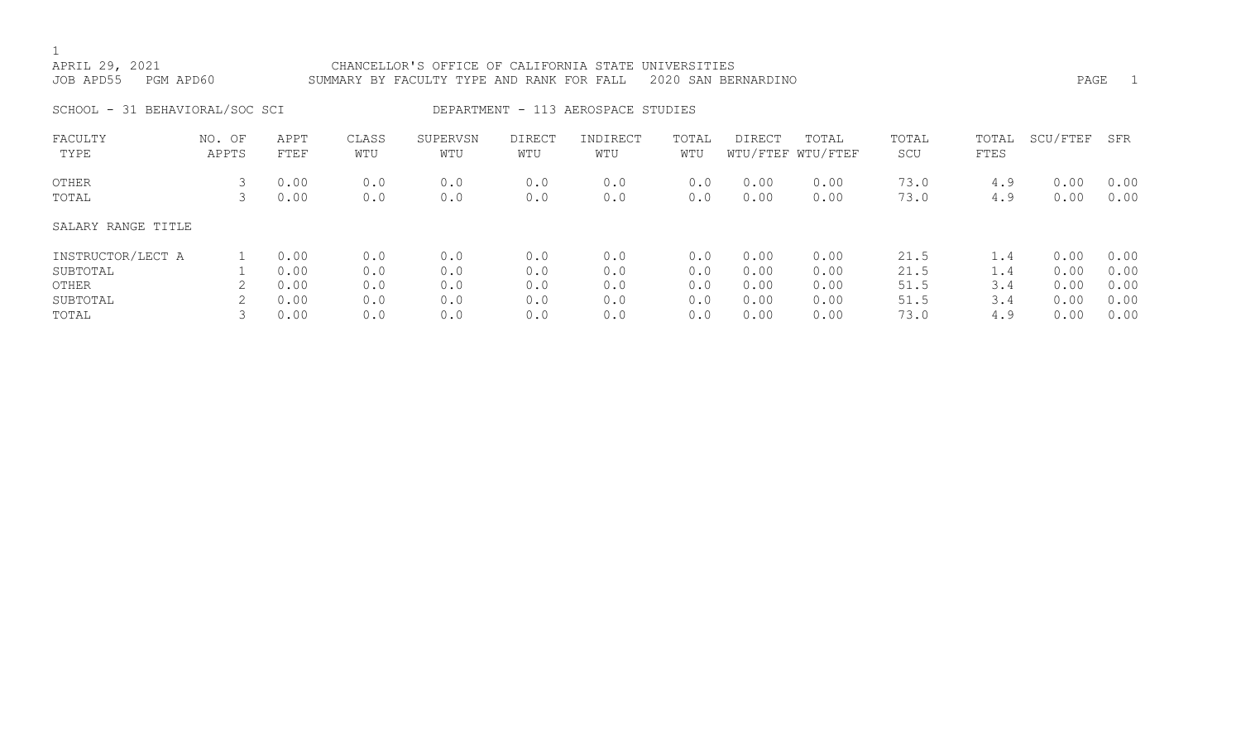# APRIL 29, 2021 CHANCELLOR'S OFFICE OF CALIFORNIA STATE UNIVERSITIES JOB APD55 PGM APD60 SUMMARY BY FACULTY TYPE AND RANK FOR FALL 2020 SAN BERNARDINO PAGE 1 SCHOOL - 31 BEHAVIORAL/SOC SCI DEPARTMENT - 113 AEROSPACE STUDIES

| FACULTY<br>TYPE    | NO. OF<br>APPTS | APPT<br>FTEF | CLASS<br>WTU | SUPERVSN<br>WTU | <b>DIRECT</b><br>WTU | INDIRECT<br>WTU | TOTAL<br>WTU | DIRECT | TOTAL<br>WTU/FTEF WTU/FTEF | TOTAL<br>SCU | TOTAL<br>FTES | SCU/FTEF | SFR  |
|--------------------|-----------------|--------------|--------------|-----------------|----------------------|-----------------|--------------|--------|----------------------------|--------------|---------------|----------|------|
| OTHER              |                 | 0.00         | 0.0          | 0.0             | 0.0                  | 0.0             | 0.0          | 0.00   | 0.00                       | 73.0         | 4.9           | 0.00     | 0.00 |
| TOTAL              |                 | 0.00         | 0.0          | 0.0             | 0.0                  | 0.0             | 0.0          | 0.00   | 0.00                       | 73.0         | 4.9           | 0.00     | 0.00 |
| SALARY RANGE TITLE |                 |              |              |                 |                      |                 |              |        |                            |              |               |          |      |
| INSTRUCTOR/LECT A  |                 | 0.00         | 0.0          | 0.0             | 0.0                  | 0.0             | 0.0          | 0.00   | 0.00                       | 21.5         | $\perp$ .4    | 0.00     | 0.00 |
| SUBTOTAL           |                 | 0.00         | 0.0          | 0.0             | 0.0                  | 0.0             | 0.0          | 0.00   | 0.00                       | 21.5         | 1.4           | 0.00     | 0.00 |
| OTHER              |                 | 0.00         | 0.0          | 0.0             | 0.0                  | 0.0             | 0.0          | 0.00   | 0.00                       | 51.5         | 3.4           | 0.00     | 0.00 |
| SUBTOTAL           |                 | 0.00         | 0.0          | 0.0             | 0.0                  | 0.0             | 0.0          | 0.00   | 0.00                       | 51.5         | 3.4           | 0.00     | 0.00 |
| TOTAL              |                 | 0.00         | 0.0          | 0.0             | 0.0                  | 0.0             | 0.0          | 0.00   | 0.00                       | 73.0         | 4.9           | 0.00     | 0.00 |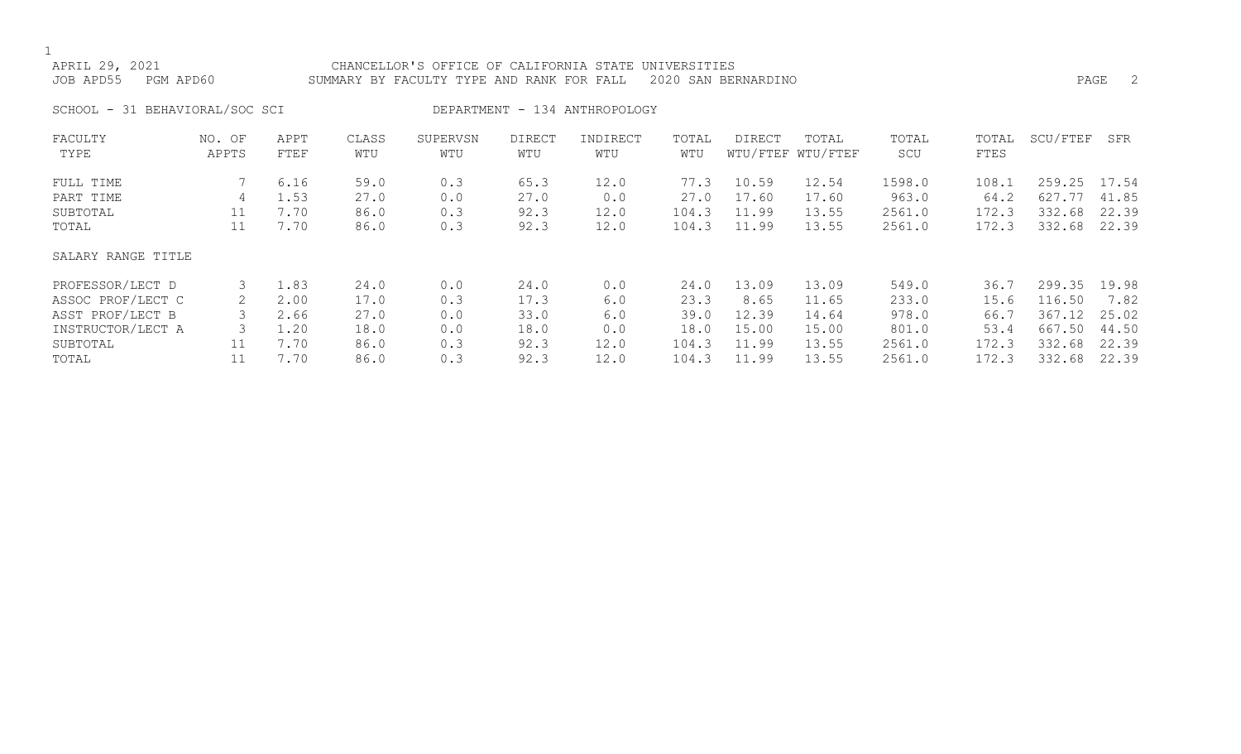#### APRIL 29, 2021 CHANCELLOR'S OFFICE OF CALIFORNIA STATE UNIVERSITIES JOB APD55 PGM APD60 SUMMARY BY FACULTY TYPE AND RANK FOR FALL 2020 SAN BERNARDINO PAGE 2

SCHOOL - 31 BEHAVIORAL/SOC SCI DEPARTMENT - 134 ANTHROPOLOGY

| FACULTY            | NO. OF | APPT | CLASS | SUPERVSN | <b>DIRECT</b> | INDIRECT | TOTAL | DIRECT | TOTAL             | TOTAL  | TOTAL | SCU/FTEF | SFR   |
|--------------------|--------|------|-------|----------|---------------|----------|-------|--------|-------------------|--------|-------|----------|-------|
| TYPE               | APPTS  | FTEF | WTU   | WTU      | WTU           | WTU      | WTU   |        | WTU/FTEF WTU/FTEF | SCU    | FTES  |          |       |
| FULL TIME          |        | 6.16 | 59.0  | 0.3      | 65.3          | 12.0     | 77.3  | 10.59  | 12.54             | 1598.0 | 108.1 | 259.25   | 17.54 |
| PART TIME          | 4      | 1.53 | 27.0  | 0.0      | 27.0          | 0.0      | 27.0  | 17.60  | 17.60             | 963.0  | 64.2  | 627.77   | 41.85 |
| SUBTOTAL           | 11     | 7.70 | 86.0  | 0.3      | 92.3          | 12.0     | 104.3 | 11.99  | 13.55             | 2561.0 | 172.3 | 332.68   | 22.39 |
| TOTAL              | 11     | 7.70 | 86.0  | 0.3      | 92.3          | 12.0     | 104.3 | 11.99  | 13.55             | 2561.0 | 172.3 | 332.68   | 22.39 |
| SALARY RANGE TITLE |        |      |       |          |               |          |       |        |                   |        |       |          |       |
| PROFESSOR/LECT D   |        | 1.83 | 24.0  | 0.0      | 24.0          | 0.0      | 24.0  | 13.09  | 13.09             | 549.0  | 36.7  | 299.35   | 19.98 |
| ASSOC PROF/LECT C  |        | 2.00 | 17.0  | 0.3      | 17.3          | 6.0      | 23.3  | 8.65   | 11.65             | 233.0  | 15.6  | 116.50   | 7.82  |
| ASST PROF/LECT B   |        | 2.66 | 27.0  | 0.0      | 33.0          | 6.0      | 39.0  | 12.39  | 14.64             | 978.0  | 66.7  | 367.12   | 25.02 |
| INSTRUCTOR/LECT A  |        | 1.20 | 18.0  | 0.0      | 18.0          | 0.0      | 18.0  | 15.00  | 15.00             | 801.0  | 53.4  | 667.50   | 44.50 |
| SUBTOTAL           | 11     | 7.70 | 86.0  | 0.3      | 92.3          | 12.0     | 104.3 | 11.99  | 13.55             | 2561.0 | 172.3 | 332.68   | 22.39 |
| TOTAL              |        | 7.70 | 86.0  | 0.3      | 92.3          | 12.0     | 104.3 | 11.99  | 13.55             | 2561.0 | 172.3 | 332.68   | 22.39 |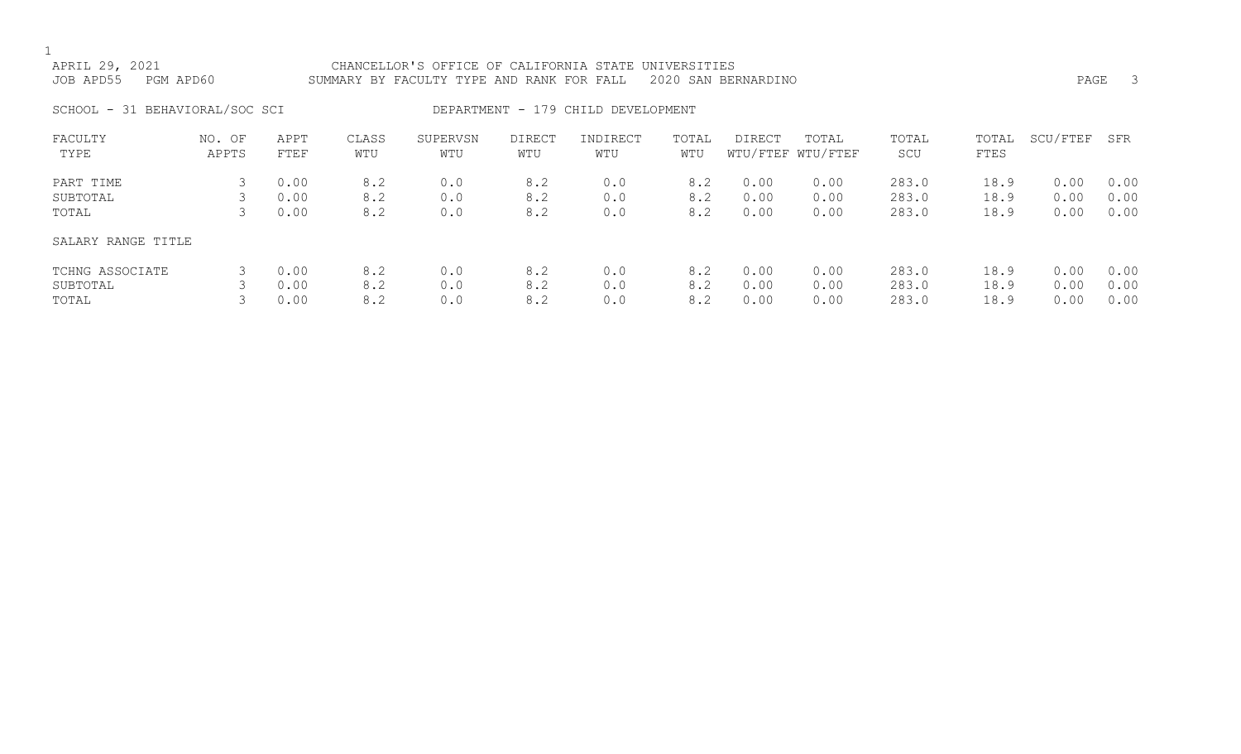| APRIL 29, 2021<br>JOB APD55<br>PGM APD60 |                                                                                                                                                               |                      |                   | CHANCELLOR'S OFFICE OF CALIFORNIA STATE UNIVERSITIES<br>SUMMARY BY FACULTY TYPE AND RANK FOR FALL |                   |                   |                   | 2020 SAN BERNARDINO  |                      |                         |                      | PAGE                 | -3                   |
|------------------------------------------|---------------------------------------------------------------------------------------------------------------------------------------------------------------|----------------------|-------------------|---------------------------------------------------------------------------------------------------|-------------------|-------------------|-------------------|----------------------|----------------------|-------------------------|----------------------|----------------------|----------------------|
|                                          | SCHOOL - 31 BEHAVIORAL/SOC SCI<br>DEPARTMENT - 179 CHILD DEVELOPMENT<br>SUPERVSN<br>NO. OF<br>APPT<br>CLASS<br>DIRECT<br>INDIRECT<br>TOTAL<br>TOTAL<br>DIRECT |                      |                   |                                                                                                   |                   |                   |                   |                      |                      |                         |                      |                      |                      |
| FACULTY<br>TYPE                          | APPTS                                                                                                                                                         | FTEF                 | WTU               | WTU                                                                                               | WTU               | WTU               | WTU               |                      | WTU/FTEF WTU/FTEF    | TOTAL<br>SCU            | TOTAL<br>FTES        | SCU/FTEF             | SFR                  |
| PART TIME<br>SUBTOTAL<br>TOTAL           | 3.                                                                                                                                                            | 0.00<br>0.00<br>0.00 | 8.2<br>8.2<br>8.2 | 0.0<br>0.0<br>0.0                                                                                 | 8.2<br>8.2<br>8.2 | 0.0<br>0.0<br>0.0 | 8.2<br>8.2<br>8.2 | 0.00<br>0.00<br>0.00 | 0.00<br>0.00<br>0.00 | 283.0<br>283.0<br>283.0 | 18.9<br>18.9<br>18.9 | 0.00<br>0.00<br>0.00 | 0.00<br>0.00<br>0.00 |
| SALARY RANGE TITLE                       |                                                                                                                                                               |                      |                   |                                                                                                   |                   |                   |                   |                      |                      |                         |                      |                      |                      |

| TCHNG ASSOCIATE     3  0.00    8.2    0.0     8.2    0.00   8.2   0.00    0.00    283.0    18.9   0.00  0.00 |  |  |  |  |                                                                                                                                     |  |  |
|--------------------------------------------------------------------------------------------------------------|--|--|--|--|-------------------------------------------------------------------------------------------------------------------------------------|--|--|
| SUBTOTAL                                                                                                     |  |  |  |  | $3\qquad 0.00\qquad 8.2\qquad 0.0\qquad 8.2\qquad 0.0\qquad 8.2\qquad 0.00\qquad 0.00\qquad 283.0\qquad 18.9\qquad 0.00\qquad 0.00$ |  |  |
| TOTAL                                                                                                        |  |  |  |  | $3$ 0.00 $8.2$ 0.0 $8.2$ 0.0 $8.2$ 0.00 $0.00$ 283.0 $18.9$ 0.00 $0.00$                                                             |  |  |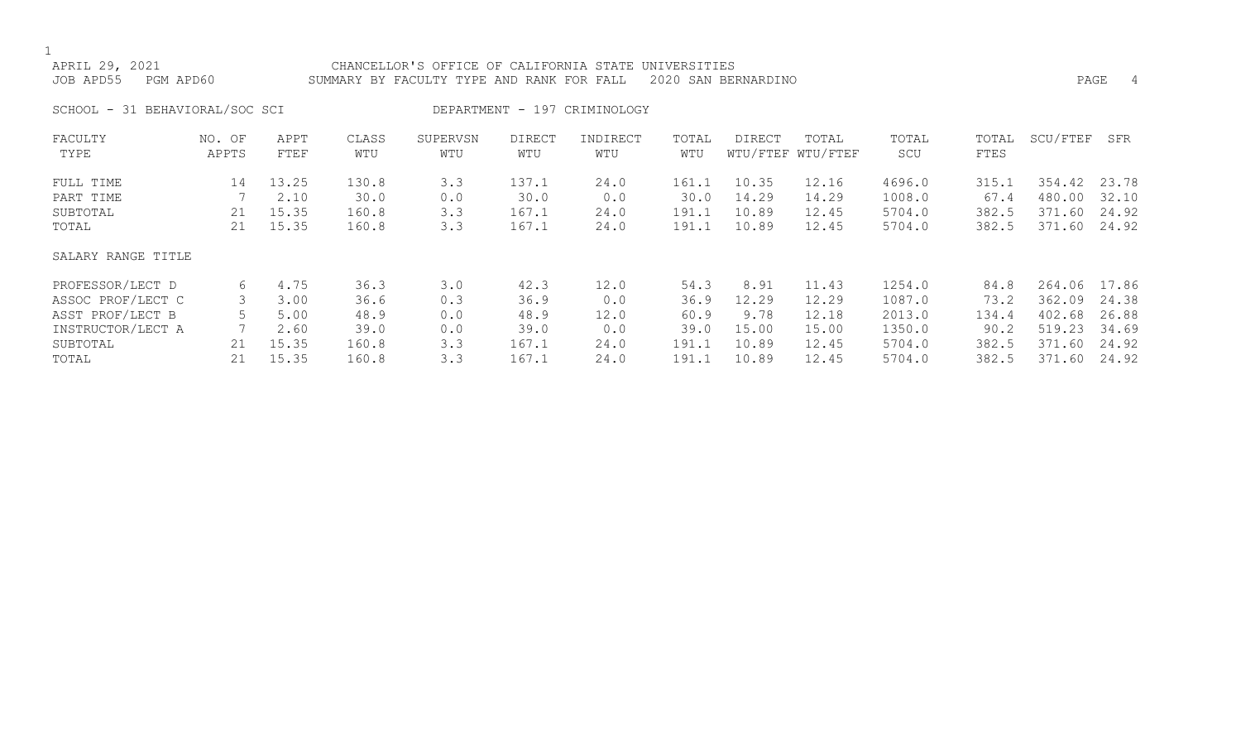### APRIL 29, 2021 CHANCELLOR'S OFFICE OF CALIFORNIA STATE UNIVERSITIES JOB APD55 PGM APD60 SUMMARY BY FACULTY TYPE AND RANK FOR FALL 2020 SAN BERNARDINO PAGE 4

SCHOOL - 31 BEHAVIORAL/SOC SCI DEPARTMENT - 197 CRIMINOLOGY

| FACULTY<br>TYPE    | NO. OF<br>APPTS | APPT<br>FTEF | CLASS<br>WTU | SUPERVSN<br>WTU | <b>DIRECT</b><br>WTU | INDIRECT<br>WTU | TOTAL<br>WTU | DIRECT | TOTAL<br>WTU/FTEF WTU/FTEF | TOTAL<br>SCU | TOTAL<br>FTES | SCU/FTEF | SFR   |
|--------------------|-----------------|--------------|--------------|-----------------|----------------------|-----------------|--------------|--------|----------------------------|--------------|---------------|----------|-------|
|                    |                 |              |              |                 |                      |                 |              |        |                            |              |               |          |       |
| FULL TIME          | 14              | 13.25        | 130.8        | 3.3             | 137.1                | 24.0            | 161.1        | 10.35  | 12.16                      | 4696.0       | 315.1         | 354.42   | 23.78 |
| PART TIME          |                 | 2.10         | 30.0         | 0.0             | 30.0                 | 0.0             | 30.0         | 14.29  | 14.29                      | 1008.0       | 67.4          | 480.00   | 32.10 |
| SUBTOTAL           | 21              | 15.35        | 160.8        | 3.3             | 167.1                | 24.0            | 191.1        | 10.89  | 12.45                      | 5704.0       | 382.5         | 371.60   | 24.92 |
| TOTAL              | 21              | 15.35        | 160.8        | 3.3             | 167.1                | 24.0            | 191.1        | 10.89  | 12.45                      | 5704.0       | 382.5         | 371.60   | 24.92 |
| SALARY RANGE TITLE |                 |              |              |                 |                      |                 |              |        |                            |              |               |          |       |
| PROFESSOR/LECT D   | 6               | 4.75         | 36.3         | 3.0             | 42.3                 | 12.0            | 54.3         | 8.91   | 11.43                      | 1254.0       | 84.8          | 264.06   | 17.86 |
| ASSOC PROF/LECT C  |                 | 3.00         | 36.6         | 0.3             | 36.9                 | 0.0             | 36.9         | 12.29  | 12.29                      | 1087.0       | 73.2          | 362.09   | 24.38 |
| ASST PROF/LECT B   |                 | 5.00         | 48.9         | 0.0             | 48.9                 | 12.0            | 60.9         | 9.78   | 12.18                      | 2013.0       | 134.4         | 402.68   | 26.88 |
| INSTRUCTOR/LECT A  |                 | 2.60         | 39.0         | 0.0             | 39.0                 | 0.0             | 39.0         | 15.00  | 15.00                      | 1350.0       | 90.2          | 519.23   | 34.69 |
| SUBTOTAL           | 21              | 15.35        | 160.8        | 3.3             | 167.1                | 24.0            | 191.1        | 10.89  | 12.45                      | 5704.0       | 382.5         | 371.60   | 24.92 |
| TOTAL              | 21              | 15.35        | 160.8        | 3.3             | 167.1                | 24.0            | 191.1        | 10.89  | 12.45                      | 5704.0       | 382.5         | 371.60   | 24.92 |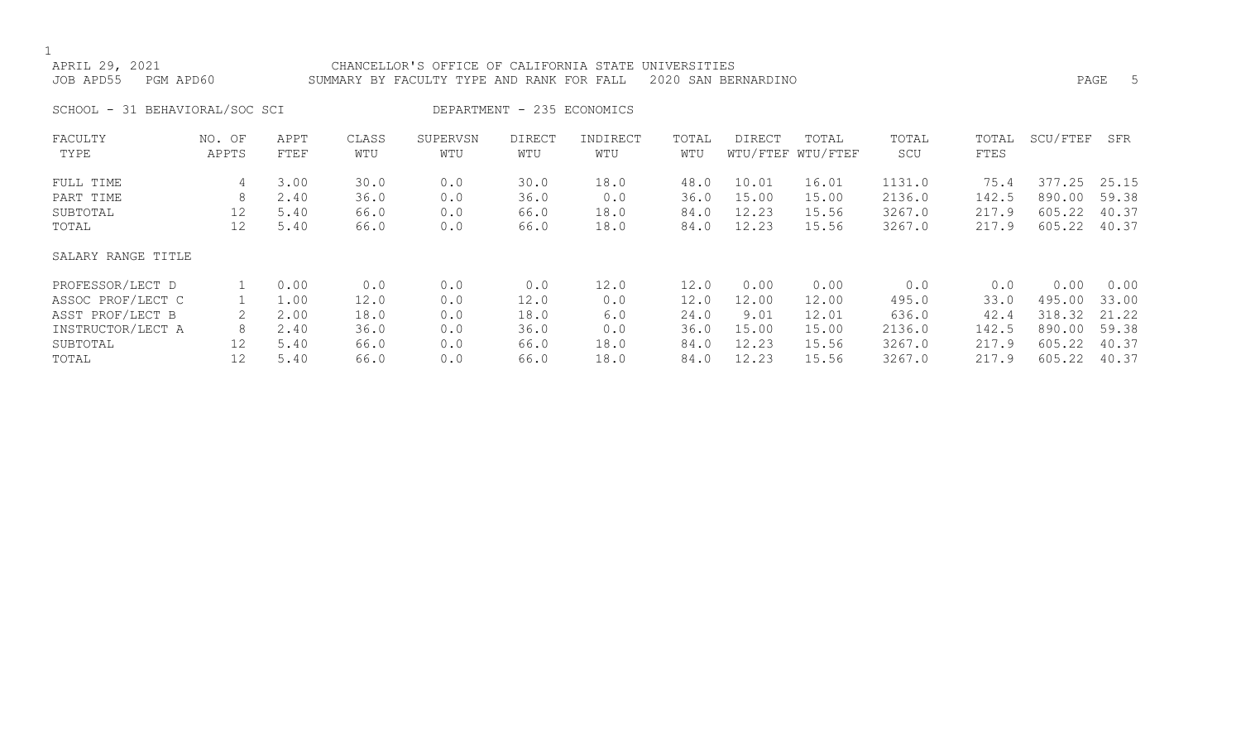SALARY RANGE TITLE

| APRIL 29, 2021<br>JOB APD55<br>PGM APD60 |                 |              |              | CHANCELLOR'S OFFICE OF CALIFORNIA STATE UNIVERSITIES<br>SUMMARY BY FACULTY TYPE AND RANK FOR FALL |                            |                 |              | 2020 SAN BERNARDINO |                            |              |               |              | PAGE<br>-5 |
|------------------------------------------|-----------------|--------------|--------------|---------------------------------------------------------------------------------------------------|----------------------------|-----------------|--------------|---------------------|----------------------------|--------------|---------------|--------------|------------|
| SCHOOL - 31 BEHAVIORAL/SOC SCI           |                 |              |              |                                                                                                   | DEPARTMENT - 235 ECONOMICS |                 |              |                     |                            |              |               |              |            |
| FACULTY<br>TYPE                          | NO. OF<br>APPTS | APPT<br>FTEF | CLASS<br>WTU | SUPERVSN<br>WTU                                                                                   | DIRECT<br>WTU              | INDIRECT<br>WTU | TOTAL<br>WTU | DIRECT              | TOTAL<br>WTU/FTEF WTU/FTEF | TOTAL<br>SCU | TOTAL<br>FTES | SCU/FTEF     | SFR        |
| FULL TIME                                | 4               | 3.00         | 30.0         | 0.0                                                                                               | 30.0                       | 18.0            | 48.0         | 10.01               | 16.01                      | 1131.0       | 75.4          | 377.25 25.15 |            |
| PART TIME                                | 8               | 2.40         | 36.0         | 0.0                                                                                               | 36.0                       | 0.0             | 36.0         | 15.00               | 15.00                      | 2136.0       | 142.5         | 890.00       | 59.38      |
| SUBTOTAL                                 | 12              | 5.40         | 66.0         | 0.0                                                                                               | 66.0                       | 18.0            | 84.0         | 12.23               | 15.56                      | 3267.0       | 217.9         | 605.22       | 40.37      |
| TOTAL                                    |                 | 5.40         | 66.0         | 0.0                                                                                               | 66.0                       | 18.0            | 84.0         | 12.23               | 15.56                      | 3267.0       | 217.9         | 605.22 40.37 |            |

PROFESSOR/LECT D 1 0.00 0.0 0.0 0.0 12.0 12.0 0.00 0.00 0.0 0.0 0.00 0.00 ASSOC PROF/LECT C  $1 \quad 1.00 \quad 12.0 \quad 0.0 \quad 12.0 \quad 0.0 \quad 12.0 \quad 12.00 \quad 12.00 \quad 495.0 \quad 33.0 \quad 33.00$ ASST PROF/LECT B 2 2.00 18.0 0.0 18.0 6.0 24.0 9.01 12.01 636.0 42.4 318.32 21.22 INSTRUCTOR/LECT A 8 2.40 36.0 0.0 36.0 0.0 36.0 15.00 15.00 2136.0 142.5 890.00 59.38 SUBTOTAL 12 5.40 66.0 0.0 66.0 18.0 84.0 12.23 15.56 3267.0 217.9 605.22 40.37 TOTAL 12 5.40 66.0 0.0 66.0 18.0 84.0 12.23 15.56 3267.0 217.9 605.22 40.37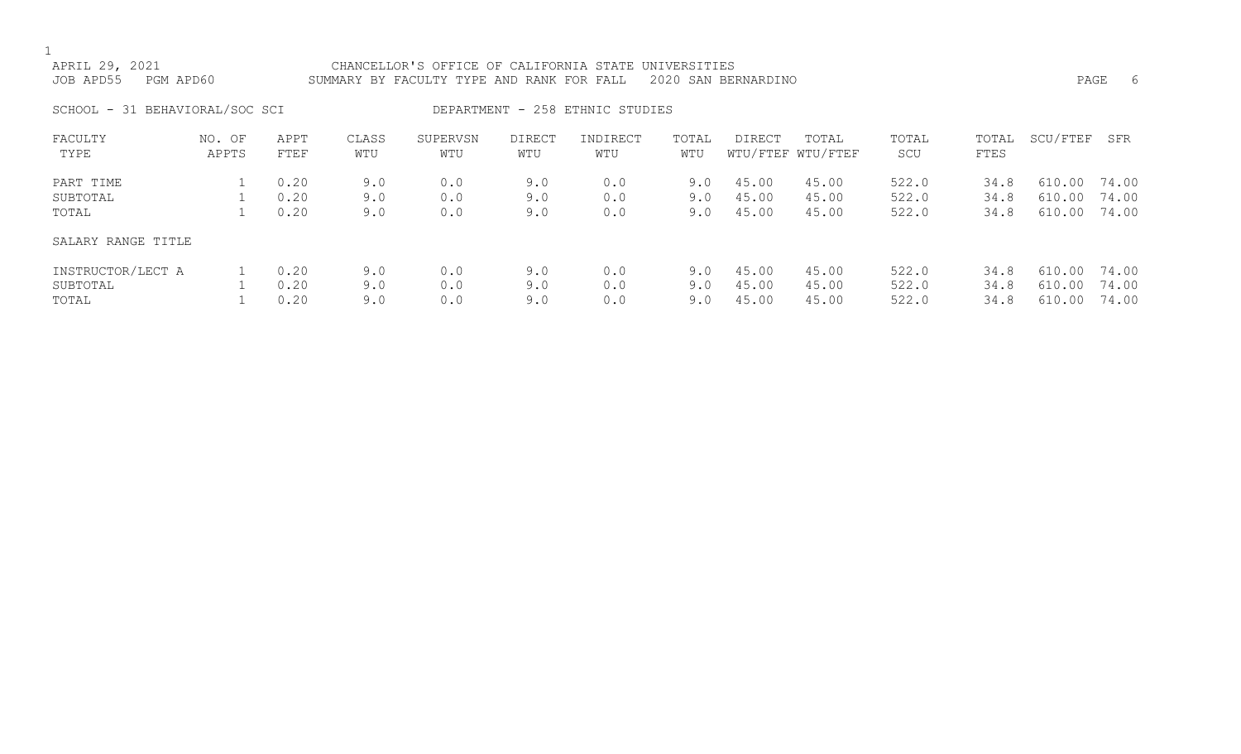| APRIL 29, 2021<br>JOB APD55    | PGM APD60       |              |              | CHANCELLOR'S OFFICE OF CALIFORNIA STATE UNIVERSITIES<br>SUMMARY BY FACULTY TYPE AND RANK FOR FALL |               |                                 |              | 2020 SAN BERNARDINO |                            |                |               |                  | -6<br>PAGE     |
|--------------------------------|-----------------|--------------|--------------|---------------------------------------------------------------------------------------------------|---------------|---------------------------------|--------------|---------------------|----------------------------|----------------|---------------|------------------|----------------|
| SCHOOL - 31 BEHAVIORAL/SOC SCI |                 |              |              |                                                                                                   |               | DEPARTMENT - 258 ETHNIC STUDIES |              |                     |                            |                |               |                  |                |
| FACULTY<br>TYPE                | NO. OF<br>APPTS | APPT<br>FTEF | CLASS<br>WTU | SUPERVSN<br>WTU                                                                                   | DIRECT<br>WTU | INDIRECT<br>WTU                 | TOTAL<br>WTU | DIRECT              | TOTAL<br>WTU/FTEF WTU/FTEF | TOTAL<br>SCU   | TOTAL<br>FTES | SCU/FTEF         | SFR            |
| PART TIME                      |                 | 0.20         | 9.0          | 0.0                                                                                               | 9.0           | 0.0                             | 9.0          | 45.00               | 45.00                      | 522.0          | 34.8          | 610.00           | 74.00          |
| SUBTOTAL<br>TOTAL              |                 | 0.20<br>0.20 | 9.0<br>9.0   | 0.0<br>0.0                                                                                        | 9.0<br>9.0    | 0.0<br>0.0                      | 9.0<br>9.0   | 45.00<br>45.00      | 45.00<br>45.00             | 522.0<br>522.0 | 34.8<br>34.8  | 610.00<br>610.00 | 74.00<br>74.00 |
| SALARY RANGE TITLE             |                 |              |              |                                                                                                   |               |                                 |              |                     |                            |                |               |                  |                |

| INSTRUCTOR/LECT A | $\begin{array}{ccc} \n\cdot & \cdot & \cdot & \cdot \n\end{array}$ | 9.0 | 0.0 | 9.0 | 0.0 |  | 9.0 45.00 45.00 | 522.0 | 34.8 610.00 74.00 |  |
|-------------------|--------------------------------------------------------------------|-----|-----|-----|-----|--|-----------------|-------|-------------------|--|
| SUBTOTAL          | 0.20                                                               | 9.0 | 0.0 | 9.0 | 0.0 |  | 9.0 45.00 45.00 | 522.0 | 34.8 610.00 74.00 |  |
| TOTAL             | 0.20                                                               |     | 0.0 | 9.0 | 0.0 |  | 9.0 45.00 45.00 | 522.0 | 34.8 610.00 74.00 |  |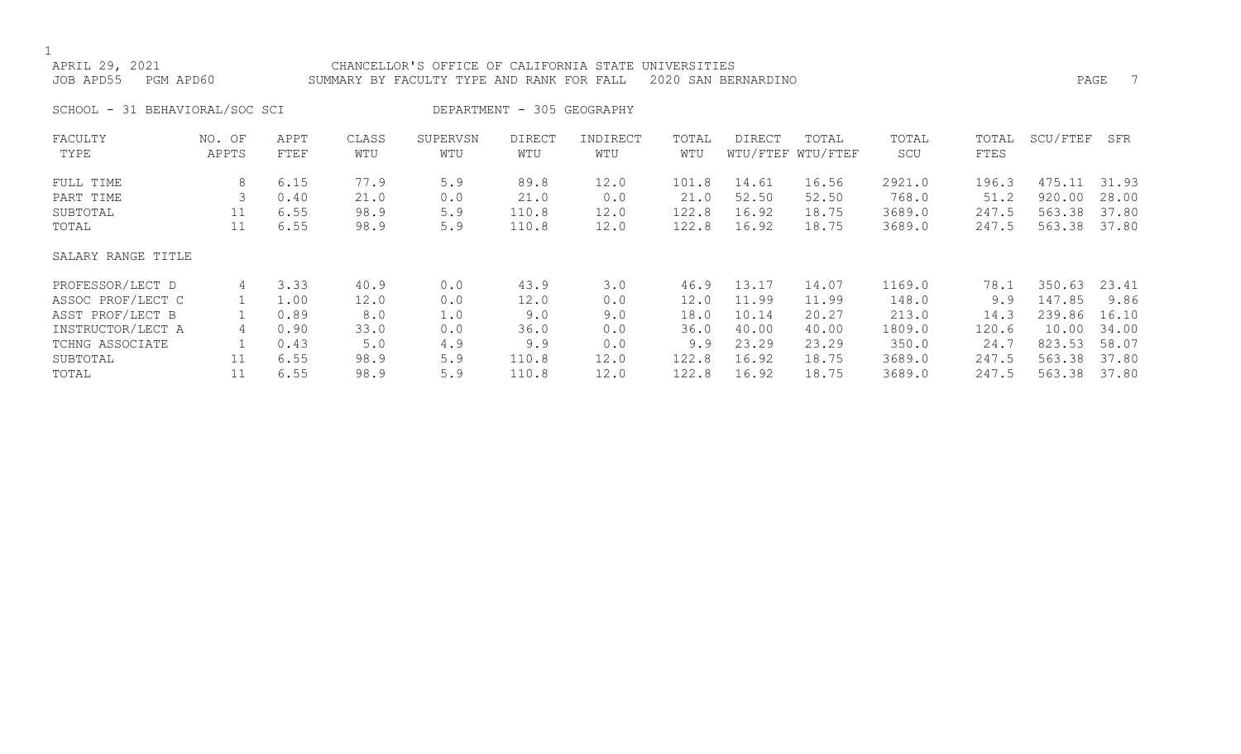$1$ <br>AE

| APRIL 29, 2021<br>JOB APD55 | PGM APD60                      |      | SUMMARY BY FACULTY TYPE AND RANK FOR FALL 2020 SAN BERNARDINO | CHANCELLOR'S OFFICE OF CALIFORNIA STATE UNIVERSITIES |                            |          |       |        |       |       |       | PAGE     |     |
|-----------------------------|--------------------------------|------|---------------------------------------------------------------|------------------------------------------------------|----------------------------|----------|-------|--------|-------|-------|-------|----------|-----|
|                             | SCHOOL - 31 BEHAVIORAL/SOC SCI |      |                                                               |                                                      | DEPARTMENT - 305 GEOGRAPHY |          |       |        |       |       |       |          |     |
| FACULTY                     | NO. OF                         | APPT | CLASS                                                         | SUPERVSN                                             | DIRECT                     | INDIRECT | TOTAL | DIRECT | TOTAL | TOTAL | TOTAL | SCU/FTEF | SFR |

| TYPE               | APPTS | FTEF | WTU  | WTU | WTU   | WTU  | WTU   |       | WTU/FTEF WTU/FTEF | SCU    | FTES  |        |       |
|--------------------|-------|------|------|-----|-------|------|-------|-------|-------------------|--------|-------|--------|-------|
| FULL TIME          | 8     | 6.15 | 77.9 | 5.9 | 89.8  | 12.0 | 101.8 | 14.61 | 16.56             | 2921.0 | 196.3 | 475.11 | 31.93 |
| PART TIME          |       | 0.40 | 21.0 | 0.0 | 21.0  | 0.0  | 21.0  | 52.50 | 52.50             | 768.0  | 51.2  | 920.00 | 28.00 |
| SUBTOTAL           | 11    | 6.55 | 98.9 | 5.9 | 110.8 | 12.0 | 122.8 | 16.92 | 18.75             | 3689.0 | 247.5 | 563.38 | 37.80 |
| TOTAL              | 11    | 6.55 | 98.9 | 5.9 | 110.8 | 12.0 | 122.8 | 16.92 | 18.75             | 3689.0 | 247.5 | 563.38 | 37.80 |
| SALARY RANGE TITLE |       |      |      |     |       |      |       |       |                   |        |       |        |       |
| PROFESSOR/LECT D   | 4     | 3.33 | 40.9 | 0.0 | 43.9  | 3.0  | 46.9  | 13.17 | 14.07             | 1169.0 | 78.1  | 350.63 | 23.41 |
| ASSOC PROF/LECT C  |       | 1.00 | 12.0 | 0.0 | 12.0  | 0.0  | 12.0  | 11.99 | 11.99             | 148.0  | 9.9   | 147.85 | 9.86  |
| ASST PROF/LECT B   |       | 0.89 | 8.0  | 1.0 | 9.0   | 9.0  | 18.0  | 10.14 | 20.27             | 213.0  | 14.3  | 239.86 | 16.10 |
| INSTRUCTOR/LECT A  | 4     | 0.90 | 33.0 | 0.0 | 36.0  | 0.0  | 36.0  | 40.00 | 40.00             | 1809.0 | 120.6 | 10.00  | 34.00 |
| TCHNG ASSOCIATE    |       | 0.43 | 5.0  | 4.9 | 9.9   | 0.0  | 9.9   | 23.29 | 23.29             | 350.0  | 24.7  | 823.53 | 58.07 |
| SUBTOTAL           | 11    | 6.55 | 98.9 | 5.9 | 110.8 | 12.0 | 122.8 | 16.92 | 18.75             | 3689.0 | 247.5 | 563.38 | 37.80 |
| TOTAL              | 11    | 6.55 | 98.9 | 5.9 | 110.8 | 12.0 | 122.8 | 16.92 | 18.75             | 3689.0 | 247.5 | 563.38 | 37.80 |
|                    |       |      |      |     |       |      |       |       |                   |        |       |        |       |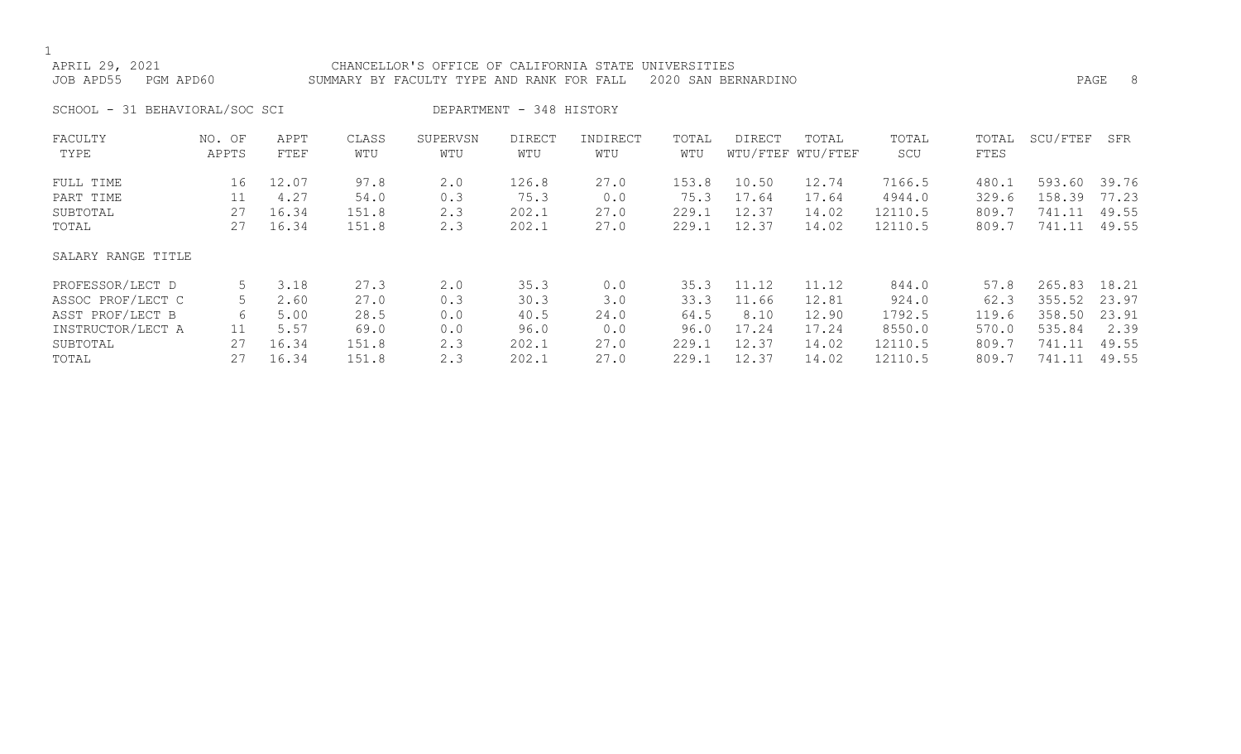| APRIL 29, 2021<br>JOB APD55<br>PGM APD60                                       |                      |                                 |                                | CHANCELLOR'S OFFICE OF CALIFORNIA STATE UNIVERSITIES<br>SUMMARY BY FACULTY TYPE AND RANK FOR FALL |                                 |                             |                                 | 2020 SAN BERNARDINO              |                                  |                                        |                                  | PAGE                                 | -8                               |
|--------------------------------------------------------------------------------|----------------------|---------------------------------|--------------------------------|---------------------------------------------------------------------------------------------------|---------------------------------|-----------------------------|---------------------------------|----------------------------------|----------------------------------|----------------------------------------|----------------------------------|--------------------------------------|----------------------------------|
| SCHOOL - 31 BEHAVIORAL/SOC SCI                                                 |                      |                                 |                                |                                                                                                   | DEPARTMENT - 348 HISTORY        |                             |                                 |                                  |                                  |                                        |                                  |                                      |                                  |
| FACULTY<br>TYPE                                                                | NO. OF<br>APPTS      | APPT<br>FTEF                    | CLASS<br>WTU                   | SUPERVSN<br>WTU                                                                                   | <b>DIRECT</b><br>WTU            | INDIRECT<br>WTU             | TOTAL<br>WTU                    | DIRECT                           | TOTAL<br>WTU/FTEF WTU/FTEF       | TOTAL<br>SCU                           | TOTAL<br>FTES                    | SCU/FTEF                             | SFR                              |
| FULL TIME<br>PART TIME<br>SUBTOTAL<br>TOTAL                                    | 16<br>11<br>27<br>27 | 12.07<br>4.27<br>16.34<br>16.34 | 97.8<br>54.0<br>151.8<br>151.8 | 2.0<br>0.3<br>2.3<br>2.3                                                                          | 126.8<br>75.3<br>202.1<br>202.1 | 27.0<br>0.0<br>27.0<br>27.0 | 153.8<br>75.3<br>229.1<br>229.1 | 10.50<br>17.64<br>12.37<br>12.37 | 12.74<br>17.64<br>14.02<br>14.02 | 7166.5<br>4944.0<br>12110.5<br>12110.5 | 480.1<br>329.6<br>809.7<br>809.7 | 593.60<br>158.39<br>741.11<br>741.11 | 39.76<br>77.23<br>49.55<br>49.55 |
| SALARY RANGE TITLE                                                             |                      |                                 |                                |                                                                                                   |                                 |                             |                                 |                                  |                                  |                                        |                                  |                                      |                                  |
| PROFESSOR/LECT D<br>ASSOC PROF/LECT C<br>ASST PROF/LECT B<br>INSTRUCTOR/LECT A | 5<br>5<br>6<br>11    | 3.18<br>2.60<br>5.00<br>5.57    | 27.3<br>27.0<br>28.5<br>69.0   | 2.0<br>0.3<br>0.0<br>0.0                                                                          | 35.3<br>30.3<br>40.5<br>96.0    | 0.0<br>3.0<br>24.0<br>0.0   | 35.3<br>33.3<br>64.5<br>96.0    | 11.12<br>11.66<br>8.10<br>17.24  | 11.12<br>12.81<br>12.90<br>17.24 | 844.0<br>924.0<br>1792.5<br>8550.0     | 57.8<br>62.3<br>119.6<br>570.0   | 265.83<br>355.52<br>358.50<br>535.84 | 18.21<br>23.97<br>23.91<br>2.39  |

SUBTOTAL 27 16.34 151.8 2.3 202.1 27.0 229.1 12.37 14.02 12110.5 809.7 741.11 49.55 TOTAL 27 16.34 151.8 2.3 202.1 27.0 229.1 12.37 14.02 12110.5 809.7 741.11 49.55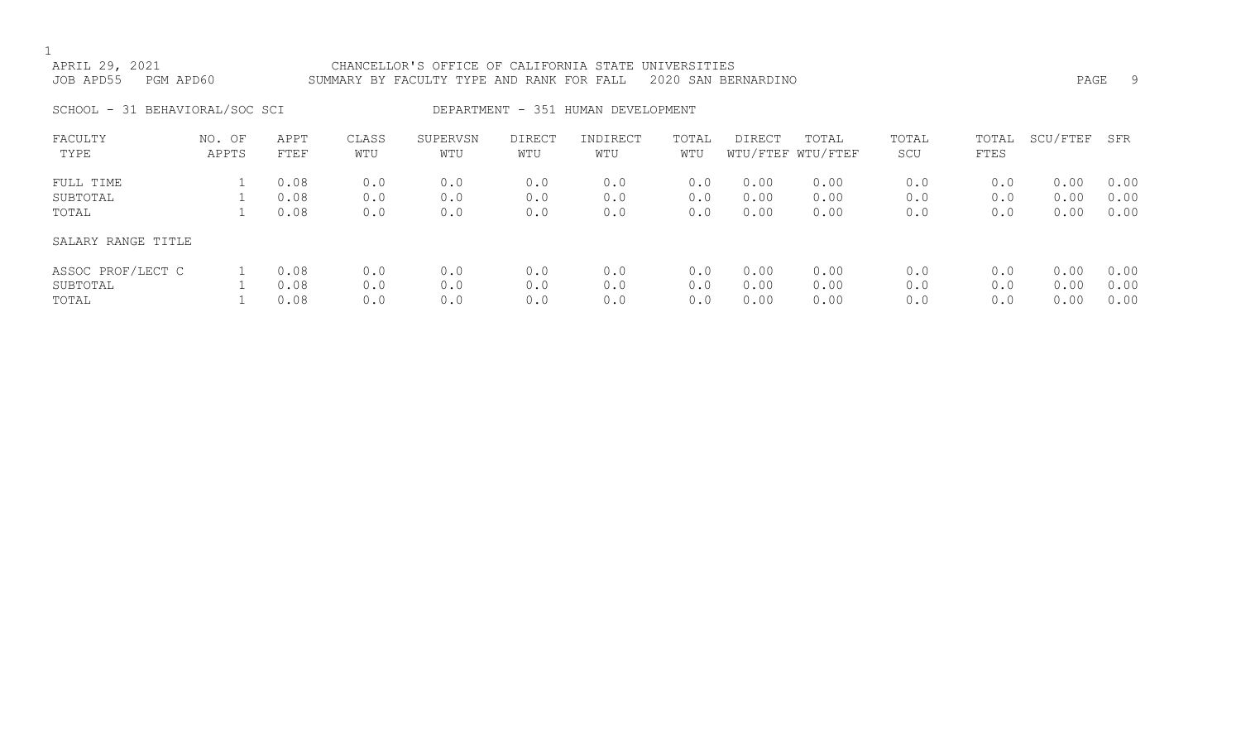| APRIL 29, 2021<br>JOB APD55    | PGM APD60       |                      |                   | CHANCELLOR'S OFFICE OF CALIFORNIA STATE UNIVERSITIES<br>SUMMARY BY FACULTY TYPE AND RANK FOR FALL |                   |                                    |                   | 2020 SAN BERNARDINO  |                            |                   |                      | PAGE                 | -9                   |
|--------------------------------|-----------------|----------------------|-------------------|---------------------------------------------------------------------------------------------------|-------------------|------------------------------------|-------------------|----------------------|----------------------------|-------------------|----------------------|----------------------|----------------------|
| SCHOOL - 31 BEHAVIORAL/SOC SCI |                 |                      |                   |                                                                                                   |                   | DEPARTMENT - 351 HUMAN DEVELOPMENT |                   |                      |                            |                   |                      |                      |                      |
| FACULTY<br>TYPE                | NO. OF<br>APPTS | APPT<br>FTEF         | CLASS<br>WTU      | SUPERVSN<br>WTU                                                                                   | DIRECT<br>WTU     | INDIRECT<br>WTU                    | TOTAL<br>WTU      | DIRECT               | TOTAL<br>WTU/FTEF WTU/FTEF | TOTAL<br>SCU      | TOTAL<br><b>FTES</b> | SCU/FTEF             | SFR                  |
| FULL TIME<br>SUBTOTAL<br>TOTAL |                 | 0.08<br>0.08<br>0.08 | 0.0<br>0.0<br>0.0 | 0.0<br>0.0<br>0.0                                                                                 | 0.0<br>0.0<br>0.0 | 0.0<br>0.0<br>0.0                  | 0.0<br>0.0<br>0.0 | 0.00<br>0.00<br>0.00 | 0.00<br>0.00<br>0.00       | 0.0<br>0.0<br>0.0 | 0.0<br>0.0<br>0.0    | 0.00<br>0.00<br>0.00 | 0.00<br>0.00<br>0.00 |

### SALARY RANGE TITLE

| ASSOC PROF/LECT C 1 0.08 0.0 |      |            | 0.0        | 0.0 | 0.0                                    | $0.0$ $0.00$ $0.00$ |                     | 0.0                 | $0.0$ $0.00$ $0.00$ |  |
|------------------------------|------|------------|------------|-----|----------------------------------------|---------------------|---------------------|---------------------|---------------------|--|
| SUBTOTAL                     |      | 1 0.08 0.0 | $\sim$ 0.0 |     | $0.0$ $0.0$ $0.0$ $0.00$ $0.00$ $0.00$ |                     |                     | $0.0$ 0.0 0.00 0.00 |                     |  |
| TOTAL                        | 0.08 | 0.0        | 0.0        | 0.0 | 0.0                                    |                     | $0.0$ $0.00$ $0.00$ | 0.0                 | $0.0$ $0.00$ $0.00$ |  |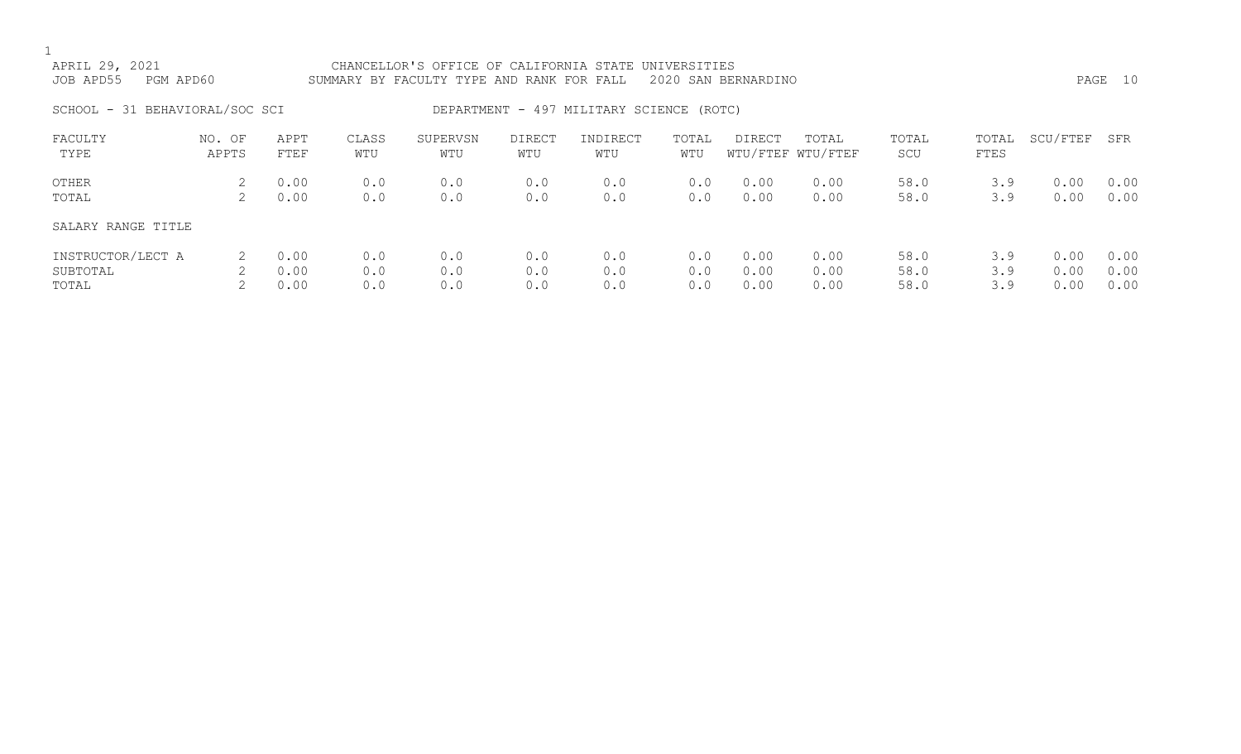| APRIL 29, 2021<br>JOB APD55<br>PGM APD60 |                 |                      |                   | CHANCELLOR'S OFFICE OF CALIFORNIA STATE UNIVERSITIES<br>SUMMARY BY FACULTY TYPE AND RANK FOR FALL |                   |                                          |                   | 2020 SAN BERNARDINO  |                            |                      |                   |                      | PAGE 10              |
|------------------------------------------|-----------------|----------------------|-------------------|---------------------------------------------------------------------------------------------------|-------------------|------------------------------------------|-------------------|----------------------|----------------------------|----------------------|-------------------|----------------------|----------------------|
| SCHOOL - 31 BEHAVIORAL/SOC SCI           |                 |                      |                   |                                                                                                   |                   | DEPARTMENT - 497 MILITARY SCIENCE (ROTC) |                   |                      |                            |                      |                   |                      |                      |
| FACULTY<br>TYPE                          | NO. OF<br>APPTS | APPT<br>FTEF         | CLASS<br>WTU      | SUPERVSN<br>WTU                                                                                   | DIRECT<br>WTU     | INDIRECT<br>WTU                          | TOTAL<br>WTU      | DIRECT               | TOTAL<br>WTU/FTEF WTU/FTEF | TOTAL<br>SCU         | TOTAL<br>FTES     | SCU/FTEF             | SFR                  |
| OTHER<br>TOTAL                           | 2<br>2          | 0.00<br>0.00         | 0.0<br>0.0        | 0.0<br>0.0                                                                                        | 0.0<br>0.0        | 0.0<br>0.0                               | 0.0<br>0.0        | 0.00<br>0.00         | 0.00<br>0.00               | 58.0<br>58.0         | 3.9<br>3.9        | 0.00<br>0.00         | 0.00<br>0.00         |
| SALARY RANGE TITLE                       |                 |                      |                   |                                                                                                   |                   |                                          |                   |                      |                            |                      |                   |                      |                      |
| INSTRUCTOR/LECT A<br>SUBTOTAL<br>TOTAL   | 2<br>2<br>2     | 0.00<br>0.00<br>0.00 | 0.0<br>0.0<br>0.0 | 0.0<br>0.0<br>0.0                                                                                 | 0.0<br>0.0<br>0.0 | 0.0<br>0.0<br>0.0                        | 0.0<br>0.0<br>0.0 | 0.00<br>0.00<br>0.00 | 0.00<br>0.00<br>0.00       | 58.0<br>58.0<br>58.0 | 3.9<br>3.9<br>3.9 | 0.00<br>0.00<br>0.00 | 0.00<br>0.00<br>0.00 |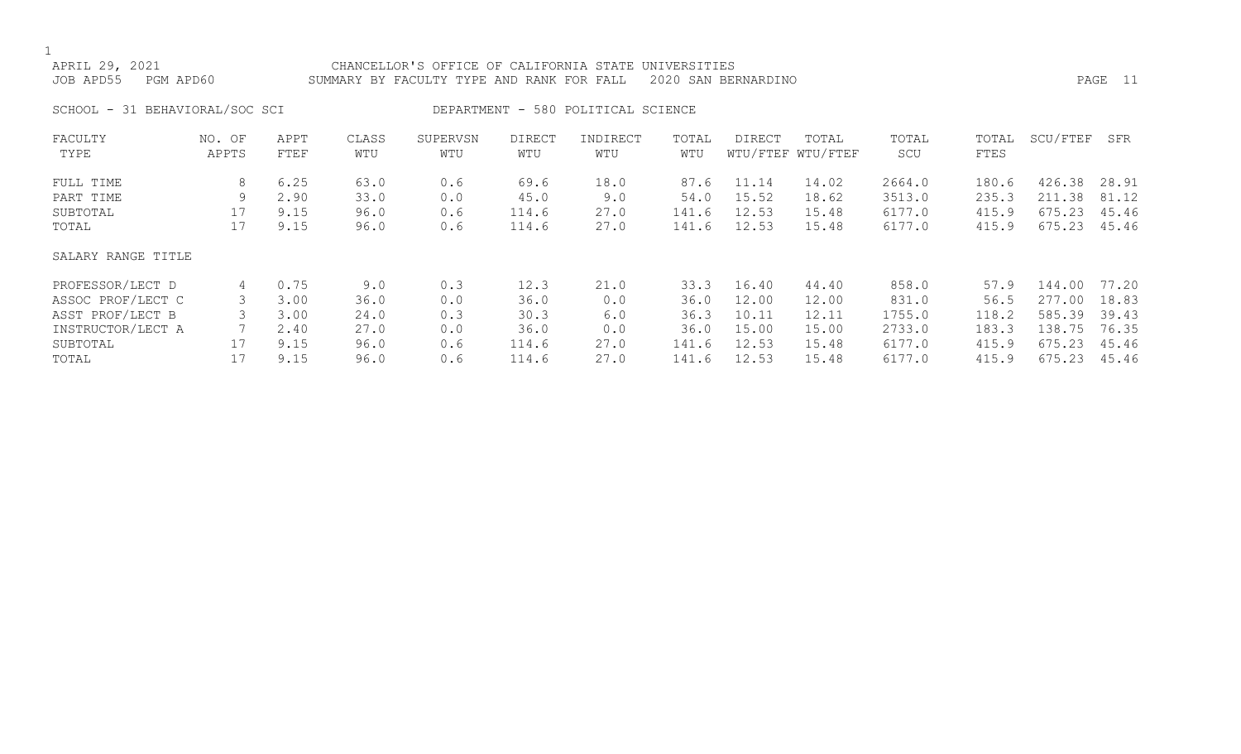| APRIL 29, 2021<br>JOB APD55<br>PGM APD60    |                 |                              |                              | CHANCELLOR'S OFFICE OF CALIFORNIA STATE UNIVERSITIES<br>SUMMARY BY FACULTY TYPE AND RANK FOR FALL |                                |                                    |                                | 2020 SAN BERNARDINO              |                                  |                                      |                                  |                                      | PAGE 11                          |
|---------------------------------------------|-----------------|------------------------------|------------------------------|---------------------------------------------------------------------------------------------------|--------------------------------|------------------------------------|--------------------------------|----------------------------------|----------------------------------|--------------------------------------|----------------------------------|--------------------------------------|----------------------------------|
| SCHOOL - 31 BEHAVIORAL/SOC SCI              |                 |                              |                              |                                                                                                   |                                | DEPARTMENT - 580 POLITICAL SCIENCE |                                |                                  |                                  |                                      |                                  |                                      |                                  |
| FACULTY<br>TYPE                             | NO. OF<br>APPTS | APPT<br>FTEF                 | CLASS<br>WTU                 | SUPERVSN<br>WTU                                                                                   | <b>DIRECT</b><br>WTU           | INDIRECT<br>WTU                    | TOTAL<br>WTU                   | DIRECT                           | TOTAL<br>WTU/FTEF WTU/FTEF       | TOTAL<br>SCU                         | TOTAL<br>FTES                    | SCU/FTEF                             | SFR                              |
| FULL TIME<br>PART TIME<br>SUBTOTAL<br>TOTAL | 8<br>9<br>17    | 6.25<br>2.90<br>9.15<br>9.15 | 63.0<br>33.0<br>96.0<br>96.0 | 0.6<br>0.0<br>0.6<br>0.6                                                                          | 69.6<br>45.0<br>114.6<br>114.6 | 18.0<br>9.0<br>27.0<br>27.0        | 87.6<br>54.0<br>141.6<br>141.6 | 11.14<br>15.52<br>12.53<br>12.53 | 14.02<br>18.62<br>15.48<br>15.48 | 2664.0<br>3513.0<br>6177.0<br>6177.0 | 180.6<br>235.3<br>415.9<br>415.9 | 426.38<br>211.38<br>675.23<br>675.23 | 28.91<br>81.12<br>45.46<br>45.46 |
| SALARY RANGE TITLE                          |                 |                              |                              |                                                                                                   |                                |                                    |                                |                                  |                                  |                                      |                                  |                                      |                                  |
| PROFESSOR/LECT D                            | 4               | 0.75                         | 9.0                          | 0.3<br>.                                                                                          | 12.3                           | 21.0                               | 33.3                           | 16.40                            | 44.40                            | 858.0                                | 57.9                             | 144.00                               | 77.20                            |

|                   | .    | - - - | - - - | ---                                                                                                                                       | ---  | ----  | ----  | ------ | .      |       | _ _ _ _ _ _ | .     |
|-------------------|------|-------|-------|-------------------------------------------------------------------------------------------------------------------------------------------|------|-------|-------|--------|--------|-------|-------------|-------|
| ASSOC PROF/LECT C | 3.00 | 36.0  | 0.0   | 36.0                                                                                                                                      |      | 36.0  | 12.00 | 12.00  | 831.0  | 56.5  | 277.00      | 18.83 |
| ASST PROF/LECT B  | 3.00 | 24.0  | 0.3   | 30.3                                                                                                                                      | 6.0  | 36.3  | 10.11 | 12.11  | 1755.0 | 118.2 | 585.39      | 39.43 |
| INSTRUCTOR/LECT A | 2.40 | 27.0  | 0.0   | 36.0                                                                                                                                      |      | 36.0  | 15.00 | 15.00  | 2733.0 | 183.3 | 138.75      | 76.35 |
| SUBTOTAL          | 9.15 | 96.0  | 0.6   | $\textcolor{red}{\textbf{1}}\textcolor{red}{\textbf{1}}\textcolor{red}{\textbf{4}}\textcolor{red}{\textbf{.}}\textcolor{red}{\textbf{6}}$ | 27.0 | 141.6 | 12.53 | 15.48  | 6177.0 | 415.9 | 675.23      | 45.46 |
| TOTAL             | 9.15 | 96.0  | 0.6   | $\textcolor{red}{\textbf{114.6}}$                                                                                                         | 27.0 | 141.6 | 12.53 | 15.48  | 6177.0 | 415.9 | 675.23      | 45.46 |
|                   |      |       |       |                                                                                                                                           |      |       |       |        |        |       |             |       |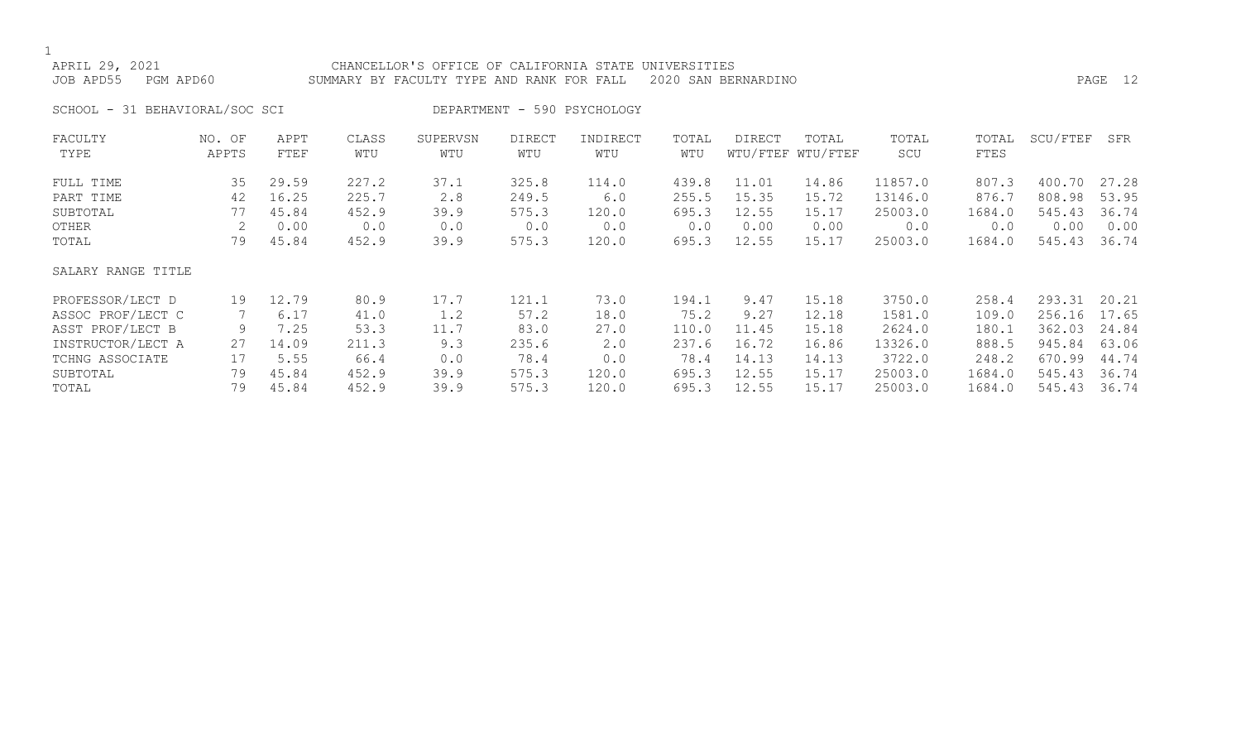#### APRIL 29, 2021 CHANCELLOR'S OFFICE OF CALIFORNIA STATE UNIVERSITIES JOB APD55 PGM APD60 SUMMARY BY FACULTY TYPE AND RANK FOR FALL 2020 SAN BERNARDINO PAGE 12

SCHOOL - 31 BEHAVIORAL/SOC SCI DEPARTMENT - 590 PSYCHOLOGY

| FACULTY            | NO. OF | APPT  | CLASS | SUPERVSN | <b>DIRECT</b> | INDIRECT    | TOTAL | <b>DIRECT</b> | TOTAL             | TOTAL   | TOTAL  | SCU/FTEF | SFR   |
|--------------------|--------|-------|-------|----------|---------------|-------------|-------|---------------|-------------------|---------|--------|----------|-------|
| TYPE               | APPTS  | FTEF  | WTU   | WTU      | WTU           | WTU         | WTU   |               | WTU/FTEF WTU/FTEF | SCU     | FTES   |          |       |
| FULL TIME          | 35     | 29.59 | 227.2 | 37.1     | 325.8         | 114.0       | 439.8 | 11.01         | 14.86             | 11857.0 | 807.3  | 400.70   | 27.28 |
| PART TIME          | 42     | 16.25 | 225.7 | 2.8      | 249.5         | 6.0         | 255.5 | 15.35         | 15.72             | 13146.0 | 876.7  | 808.98   | 53.95 |
| SUBTOTAL           | 77     | 45.84 | 452.9 | 39.9     | 575.3         | 120.0       | 695.3 | 12.55         | 15.17             | 25003.0 | 1684.0 | 545.43   | 36.74 |
| OTHER              |        | 0.00  | 0.0   | 0.0      | 0.0           | 0.0         | 0.0   | 0.00          | 0.00              | 0.0     | 0.0    | 0.00     | 0.00  |
| TOTAL              | 79     | 45.84 | 452.9 | 39.9     | 575.3         | 120.0       | 695.3 | 12.55         | 15.17             | 25003.0 | 1684.0 | 545.43   | 36.74 |
| SALARY RANGE TITLE |        |       |       |          |               |             |       |               |                   |         |        |          |       |
| PROFESSOR/LECT D   | 19     | 12.79 | 80.9  | 17.7     | 121.1         | 73.0        | 194.1 | 9.47          | 15.18             | 3750.0  | 258.4  | 293.31   | 20.21 |
| ASSOC PROF/LECT C  |        | 6.17  | 41.0  | 1.2      | 57.2          | 18.0        | 75.2  | 9.27          | 12.18             | 1581.0  | 109.0  | 256.16   | 17.65 |
| ASST PROF/LECT B   | 9      | 7.25  | 53.3  | 11.7     | 83.0          | 27.0        | 110.0 | 11.45         | 15.18             | 2624.0  | 180.1  | 362.03   | 24.84 |
| INSTRUCTOR/LECT A  | 27     | 14.09 | 211.3 | 9.3      | 235.6         | $2 \cdot 0$ | 237.6 | 16.72         | 16.86             | 13326.0 | 888.5  | 945.84   | 63.06 |
| TCHNG ASSOCIATE    | 17     | 5.55  | 66.4  | 0.0      | 78.4          | 0.0         | 78.4  | 14.13         | 14.13             | 3722.0  | 248.2  | 670.99   | 44.74 |
| SUBTOTAL           | 79     | 45.84 | 452.9 | 39.9     | 575.3         | 120.0       | 695.3 | 12.55         | 15.17             | 25003.0 | 1684.0 | 545.43   | 36.74 |
| TOTAL              | 79     | 45.84 | 452.9 | 39.9     | 575.3         | 120.0       | 695.3 | 12.55         | 15.17             | 25003.0 | 1684.0 | 545.43   | 36.74 |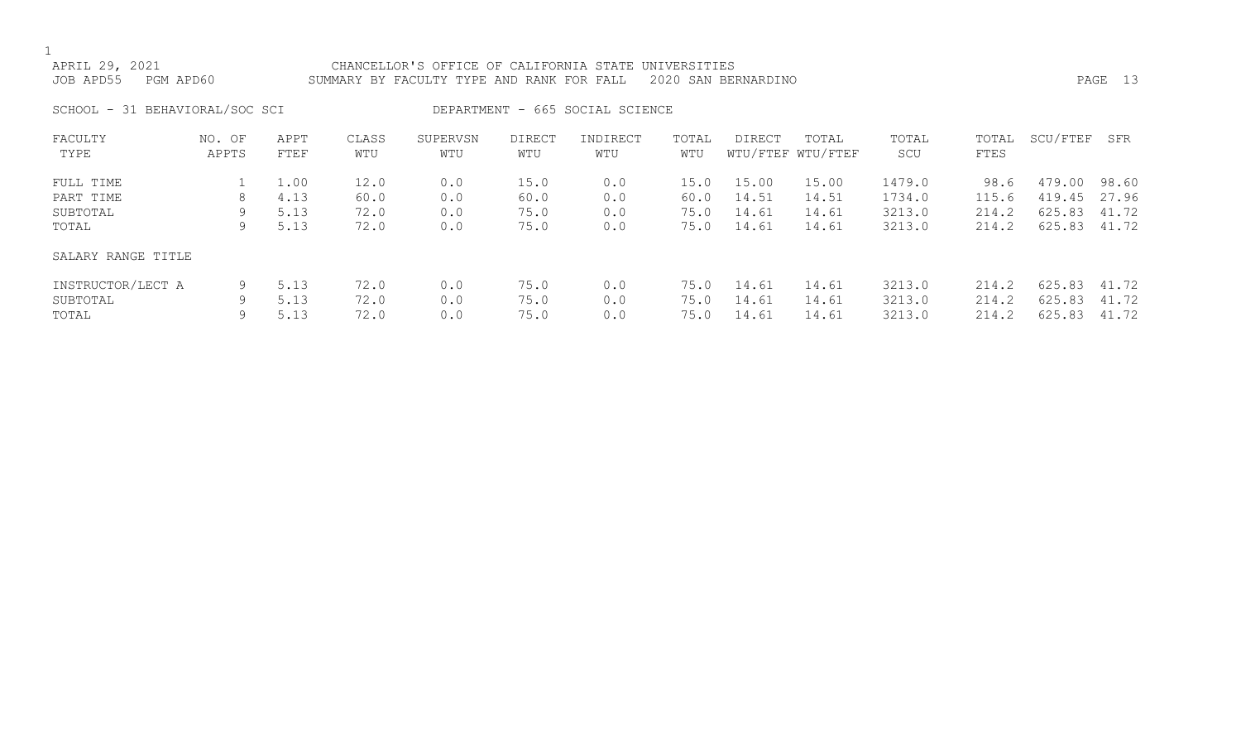## APRIL 29, 2021 CHANCELLOR'S OFFICE OF CALIFORNIA STATE UNIVERSITIES JOB APD55 PGM APD60 SUMMARY BY FACULTY TYPE AND RANK FOR FALL 2020 SAN BERNARDINO PAGE 13

SCHOOL - 31 BEHAVIORAL/SOC SCI DEPARTMENT - 665 SOCIAL SCIENCE

| FACULTY            | NO. OF | APPT | CLASS | SUPERVSN | <b>DIRECT</b> | INDIRECT | TOTAL | DIRECT | TOTAL             | TOTAL  | TOTAL | SCU/FTEF | SFR   |
|--------------------|--------|------|-------|----------|---------------|----------|-------|--------|-------------------|--------|-------|----------|-------|
| TYPE               | APPTS  | FTEF | WTU   | WTU      | WTU           | WTU      | WTU   |        | WTU/FTEF WTU/FTEF | SCU    | FTES  |          |       |
|                    |        |      |       |          |               |          |       |        |                   |        |       |          |       |
| FULL TIME          |        | 1.00 | 12.0  | 0.0      | 15.0          | 0.0      | 15.0  | 15.00  | 15.00             | 1479.0 | 98.6  | 479.00   | 98.60 |
| PART TIME          | 8      | 4.13 | 60.0  | 0.0      | 60.0          | 0.0      | 60.0  | 14.51  | 14.51             | 1734.0 | 115.6 | 419.45   | 27.96 |
| SUBTOTAL           | 9      | 5.13 | 72.0  | 0.0      | 75.0          | 0.0      | 75.0  | 14.61  | 14.61             | 3213.0 | 214.2 | 625.83   | 41.72 |
| TOTAL              | 9      | 5.13 | 72.0  | 0.0      | 75.0          | 0.0      | 75.0  | 14.61  | 14.61             | 3213.0 | 214.2 | 625.83   | 41.72 |
| SALARY RANGE TITLE |        |      |       |          |               |          |       |        |                   |        |       |          |       |
| INSTRUCTOR/LECT A  | 9      | 5.13 | 72.0  | 0.0      | 75.0          | 0.0      | 75.0  | 14.61  | 14.61             | 3213.0 | 214.2 | 625.83   | 41.72 |
| SUBTOTAL           | 9      | 5.13 | 72.0  | 0.0      | 75.0          | 0.0      | 75.0  | 14.61  | 14.61             | 3213.0 | 214.2 | 625.83   | 41.72 |
| TOTAL              |        | 5.13 | 72.0  | 0.0      | 75.0          | 0.0      | 75.0  | 14.61  | 14.61             | 3213.0 | 214.2 | 625.83   | 41.72 |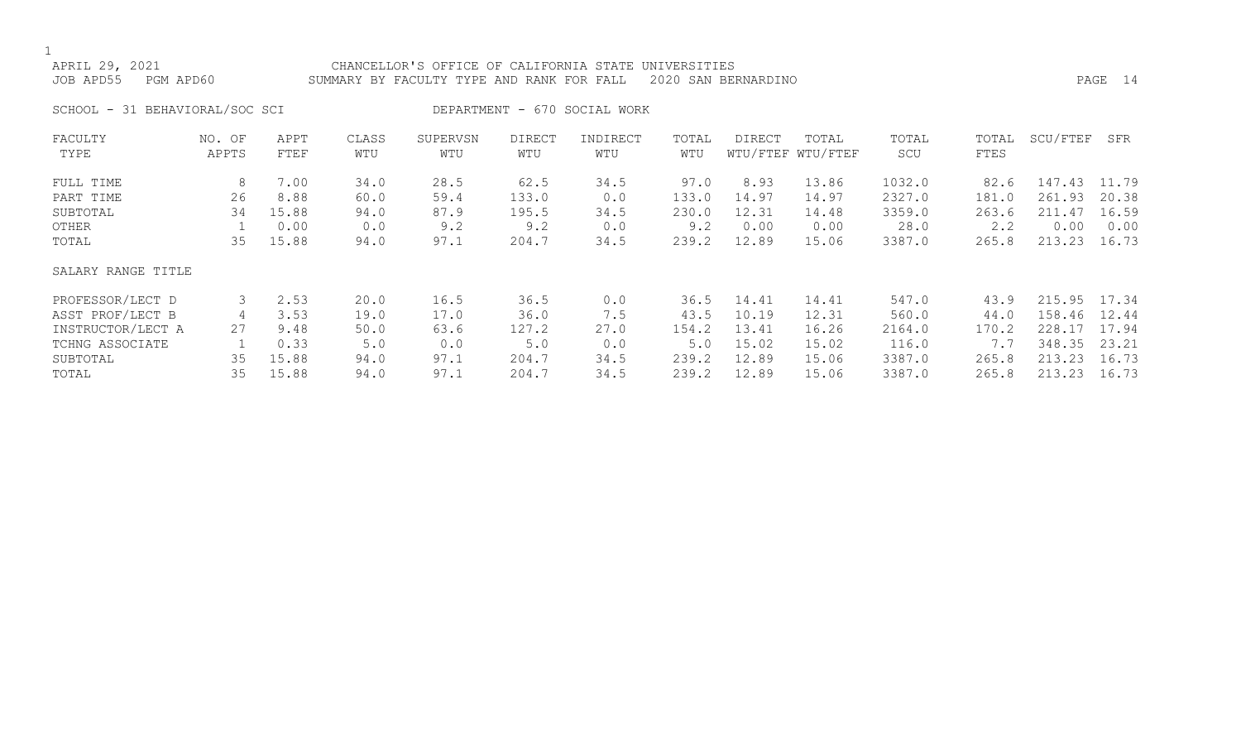APRIL 29, 2021 CHANCELLOR'S OFFICE OF CALIFORNIA STATE UNIVERSITIES JOB APD55 PGM APD60 SUMMARY BY FACULTY TYPE AND RANK FOR FALL 2020 SAN BERNARDINO PAGE 14

SCHOOL - 31 BEHAVIORAL/SOC SCI DEPARTMENT - 670 SOCIAL WORK

| FACULTY            | NO. OF | APPT  | CLASS | SUPERVSN | <b>DIRECT</b> | INDIRECT | TOTAL | <b>DIRECT</b> | TOTAL             | TOTAL  | TOTAL | SCU/FTEF | SFR   |
|--------------------|--------|-------|-------|----------|---------------|----------|-------|---------------|-------------------|--------|-------|----------|-------|
| TYPE               | APPTS  | FTEF  | WTU   | WTU      | WTU           | WTU      | WTU   |               | WTU/FTEF WTU/FTEF | SCU    | FTES  |          |       |
| FULL TIME          | 8      | 7.00  | 34.0  | 28.5     | 62.5          | 34.5     | 97.0  | 8.93          | 13.86             | 1032.0 | 82.6  | 147.43   | 11.79 |
| PART TIME          | 26     | 8.88  | 60.0  | 59.4     | 133.0         | 0.0      | 133.0 | 14.97         | 14.97             | 2327.0 | 181.0 | 261.93   | 20.38 |
| SUBTOTAL           | 34     | 15.88 | 94.0  | 87.9     | 195.5         | 34.5     | 230.0 | 12.31         | 14.48             | 3359.0 | 263.6 | 211.47   | 16.59 |
| OTHER              |        | 0.00  | 0.0   | 9.2      | 9.2           | 0.0      | 9.2   | 0.00          | 0.00              | 28.0   | 2.2   | 0.00     | 0.00  |
| TOTAL              | 35     | 15.88 | 94.0  | 97.1     | 204.7         | 34.5     | 239.2 | 12.89         | 15.06             | 3387.0 | 265.8 | 213.23   | 16.73 |
| SALARY RANGE TITLE |        |       |       |          |               |          |       |               |                   |        |       |          |       |
| PROFESSOR/LECT D   | 3      | 2.53  | 20.0  | 16.5     | 36.5          | 0.0      | 36.5  | 14.41         | 14.41             | 547.0  | 43.9  | 215.95   | 17.34 |
| ASST PROF/LECT B   |        | 3.53  | 19.0  | 17.0     | 36.0          | 7.5      | 43.5  | 10.19         | 12.31             | 560.0  | 44.0  | 158.46   | 12.44 |
| INSTRUCTOR/LECT A  | 27     | 9.48  | 50.0  | 63.6     | 127.2         | 27.0     | 154.2 | 13.41         | 16.26             | 2164.0 | 170.2 | 228.17   | 17.94 |
| TCHNG ASSOCIATE    |        | 0.33  | 5.0   | 0.0      | 5.0           | 0.0      | 5.0   | 15.02         | 15.02             | 116.0  | 7.7   | 348.35   | 23.21 |
| SUBTOTAL           | 35     | 15.88 | 94.0  | 97.1     | 204.7         | 34.5     | 239.2 | 12.89         | 15.06             | 3387.0 | 265.8 | 213.23   | 16.73 |
| TOTAL              | 35     | 15.88 | 94.0  | 97.1     | 204.7         | 34.5     | 239.2 | 12.89         | 15.06             | 3387.0 | 265.8 | 213.23   | 16.73 |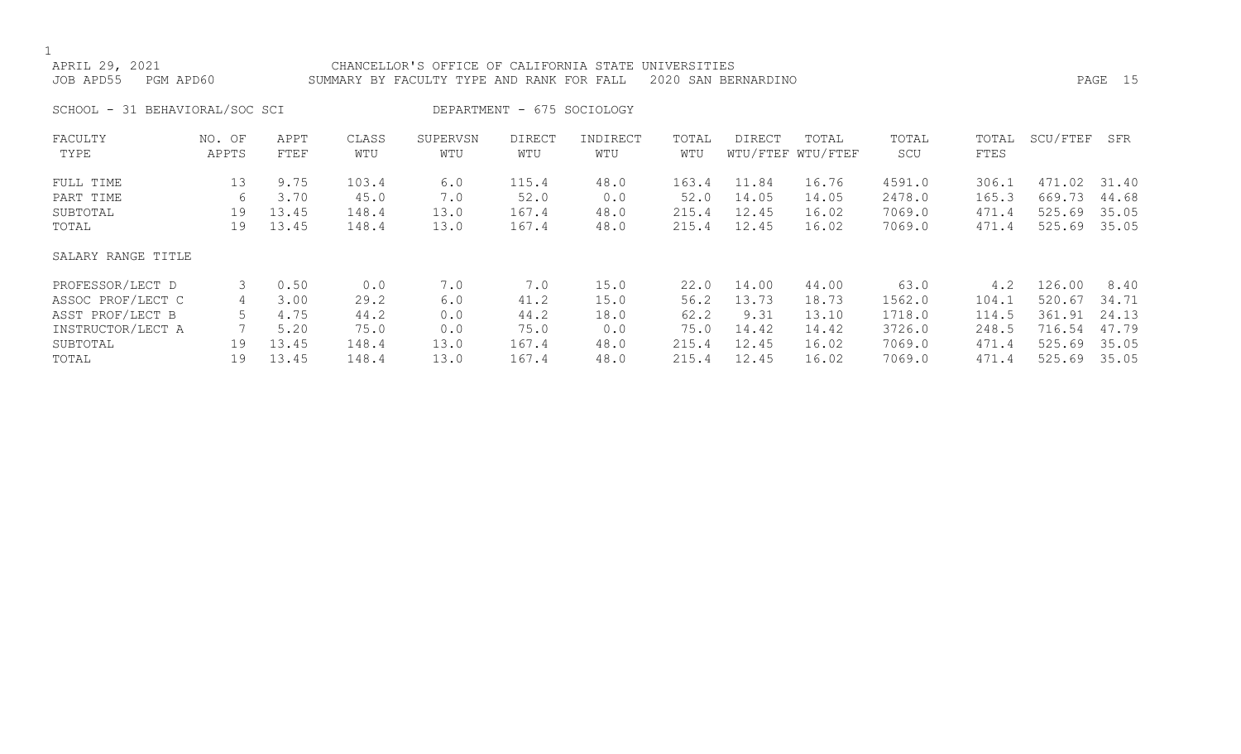| APRIL 29, 2021<br>JOB APD55<br>PGM APD60 |                 |              |              | CHANCELLOR'S OFFICE OF CALIFORNIA STATE<br>SUMMARY BY FACULTY TYPE AND RANK FOR FALL |                            |                 | UNIVERSITIES | 2020 SAN BERNARDINO |                            |              |               |          | PAGE 15 |
|------------------------------------------|-----------------|--------------|--------------|--------------------------------------------------------------------------------------|----------------------------|-----------------|--------------|---------------------|----------------------------|--------------|---------------|----------|---------|
| SCHOOL - 31 BEHAVIORAL/SOC SCI           |                 |              |              |                                                                                      | DEPARTMENT - 675 SOCIOLOGY |                 |              |                     |                            |              |               |          |         |
| FACULTY<br>TYPE                          | NO. OF<br>APPTS | APPT<br>FTEF | CLASS<br>WTU | SUPERVSN<br>WTU                                                                      | <b>DIRECT</b><br>WTU       | INDIRECT<br>WTU | TOTAL<br>WTU | <b>DIRECT</b>       | TOTAL<br>WTU/FTEF WTU/FTEF | TOTAL<br>SCU | TOTAL<br>FTES | SCU/FTEF | SFR     |
| FULL TIME                                | 13 <sup>°</sup> | 9.75         | 103.4        | 6.0                                                                                  | 115.4                      | 48.0            | 163.4        | 11.84               | 16.76                      | 4591.0       | 306.1         | 471.02   | 31.40   |
| PART TIME                                | 6               | 3.70         | 45.0         | 7.0                                                                                  | 52.0                       | 0.0             | 52.0         | 14.05               | 14.05                      | 2478.0       | 165.3         | 669.73   | 44.68   |
| SUBTOTAL                                 | 19              | 13.45        | 148.4        | 13.0                                                                                 | 167.4                      | 48.0            | 215.4        | 12.45               | 16.02                      | 7069.0       | 471.4         | 525.69   | 35.05   |
| TOTAL                                    | 19              | 13.45        | 148.4        | 13.0                                                                                 | 167.4                      | 48.0            | 215.4        | 12.45               | 16.02                      | 7069.0       | 471.4         | 525.69   | 35.05   |
| SALARY RANGE TITLE                       |                 |              |              |                                                                                      |                            |                 |              |                     |                            |              |               |          |         |
| PROFESSOR/LECT D                         | 3               | 0.50         | 0.0          | 7.0                                                                                  | 7.0                        | 15.0            | 22.0         | 14.00               | 44.00                      | 63.0         | 4.2           | 126.00   | 8.40    |
| ASSOC PROF/LECT C                        | 4               | 3.00         | 29.2         | 6.0                                                                                  | 41.2                       | 15.0            | 56.2         | 13.73               | 18.73                      | 1562.0       | 104.1         | 520.67   | 34.71   |
| ASST PROF/LECT B                         | 5               | 4.75         | 44.2         | 0.0                                                                                  | 44.2                       | 18.0            | 62.2         | 9.31                | 13.10                      | 1718.0       | 114.5         | 361.91   | 24.13   |
| INSTRUCTOR/LECT A                        |                 | 5.20         | 75.0         | 0.0                                                                                  | 75.0                       | 0.0             | 75.0         | 14.42               | 14.42                      | 3726.0       | 248.5         | 716.54   | 47.79   |
| SUBTOTAL                                 | 19              | 13.45        | 148.4        | 13.0                                                                                 | 167.4                      | 48.0            | 215.4        | 12.45               | 16.02                      | 7069.0       | 471.4         | 525.69   | 35.05   |

TOTAL 19 13.45 148.4 13.0 167.4 48.0 215.4 12.45 16.02 7069.0 471.4 525.69 35.05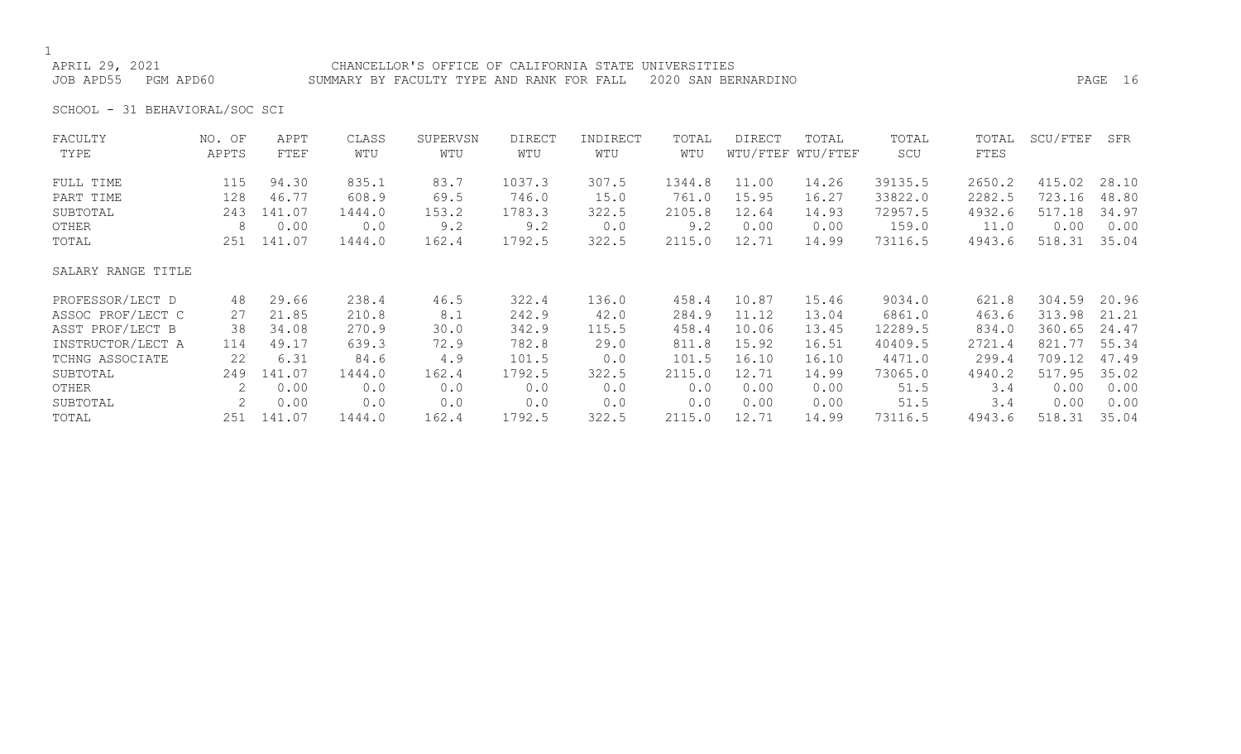APRIL 29, 2021 CHANCELLOR'S OFFICE OF CALIFORNIA STATE UNIVERSITIES JOB APD55 PGM APD60 SUMMARY BY FACULTY TYPE AND RANK FOR FALL 2020 SAN BERNARDINO PAGE 16

SCHOOL - 31 BEHAVIORAL/SOC SCI

| WTU/FTEF WTU/FTEF<br>TYPE<br>APPTS<br>WTU<br>WTU<br>WTU<br>WTU<br>SCU<br>FTES<br>FTEF<br>WTU<br>83.7<br>39135.5<br>415.02<br>1037.3<br>307.5<br>11.00<br>2650.2<br>28.10<br>FULL TIME<br>115<br>94.30<br>835.1<br>1344.8<br>14.26<br>746.0<br>761.0<br>33822.0<br>2282.5<br>723.16<br>48.80<br>128<br>46.77<br>608.9<br>15.95<br>16.27<br>69.5<br>15.0<br>PART TIME<br>517.18<br>34.97<br>1783.3<br>322.5<br>2105.8<br>12.64<br>72957.5<br>4932.6<br>243<br>141.07<br>1444.0<br>153.2<br>14.93<br>SUBTOTAL<br>9.2<br>0.00<br>0.00<br>0.0<br>9.2<br>9.2<br>159.0<br>0.00<br>OTHER<br>8<br>0.0<br>0.00<br>0.00<br>11.0<br>2115.0<br>1792.5<br>322.5<br>12.71<br>73116.5<br>518.31<br>35.04<br>141.07<br>1444.0<br>162.4<br>14.99<br>4943.6<br>TOTAL<br>251<br>SALARY RANGE TITLE<br>322.4<br>458.4<br>10.87<br>9034.0<br>304.59<br>20.96<br>PROFESSOR/LECT D<br>29.66<br>238.4<br>46.5<br>136.0<br>15.46<br>621.8<br>48<br>ASSOC PROF/LECT C<br>210.8<br>242.9<br>284.9<br>11.12<br>6861.0<br>463.6<br>313.98<br>21.21<br>21.85<br>8.1<br>42.0<br>13.04<br>27<br>ASST PROF/LECT B<br>115.5<br>458.4<br>10.06<br>12289.5<br>360.65<br>24.47<br>38<br>34.08<br>270.9<br>342.9<br>834.0<br>30.0<br>13.45<br>55.34<br>821.77<br>INSTRUCTOR/LECT A<br>639.3<br>72.9<br>782.8<br>811.8<br>15.92<br>16.51<br>40409.5<br>2721.4<br>114<br>49.17<br>29.0<br>16.10<br>709.12<br>22<br>6.31<br>4.9<br>101.5<br>16.10<br>4471.0<br>299.4<br>84.6<br>101.5<br>0.0<br>TCHNG ASSOCIATE<br>517.95<br>35.02<br>1792.5<br>2115.0<br>12.71<br>73065.0<br>4940.2<br>SUBTOTAL<br>141.07<br>1444.0<br>162.4<br>322.5<br>14.99<br>249<br>0.00<br>0.0<br>51.5<br>0.00<br>0.00<br>$\mathbf{2}^{\mathsf{I}}$<br>0.0<br>0.0<br>0.0<br>3.4<br>0.0<br>0.00<br>0.00<br>OTHER<br>0.00<br>2<br>0.00<br>0.00<br>0.0<br>0.0<br>0.0<br>0.0<br>0.00<br>51.5<br>3.4<br>0.0<br>0.00<br>SUBTOTAL<br>518.31<br>141.07<br>1444.0<br>1792.5<br>322.5<br>2115.0<br>12.71<br>73116.5<br>4943.6<br>35.04<br>162.4<br>14.99<br>251<br>TOTAL | FACULTY | NO. OF | APPT | CLASS | SUPERVSN | <b>DIRECT</b> | INDIRECT | TOTAL | DIRECT | TOTAL | TOTAL | TOTAL | SCU/FTEF | SFR   |
|---------------------------------------------------------------------------------------------------------------------------------------------------------------------------------------------------------------------------------------------------------------------------------------------------------------------------------------------------------------------------------------------------------------------------------------------------------------------------------------------------------------------------------------------------------------------------------------------------------------------------------------------------------------------------------------------------------------------------------------------------------------------------------------------------------------------------------------------------------------------------------------------------------------------------------------------------------------------------------------------------------------------------------------------------------------------------------------------------------------------------------------------------------------------------------------------------------------------------------------------------------------------------------------------------------------------------------------------------------------------------------------------------------------------------------------------------------------------------------------------------------------------------------------------------------------------------------------------------------------------------------------------------------------------------------------------------------------------------------------------------------------------------------------------------------------------------------------------------------------------------------------------------------------------------------------------------------------------------------------------|---------|--------|------|-------|----------|---------------|----------|-------|--------|-------|-------|-------|----------|-------|
|                                                                                                                                                                                                                                                                                                                                                                                                                                                                                                                                                                                                                                                                                                                                                                                                                                                                                                                                                                                                                                                                                                                                                                                                                                                                                                                                                                                                                                                                                                                                                                                                                                                                                                                                                                                                                                                                                                                                                                                             |         |        |      |       |          |               |          |       |        |       |       |       |          |       |
|                                                                                                                                                                                                                                                                                                                                                                                                                                                                                                                                                                                                                                                                                                                                                                                                                                                                                                                                                                                                                                                                                                                                                                                                                                                                                                                                                                                                                                                                                                                                                                                                                                                                                                                                                                                                                                                                                                                                                                                             |         |        |      |       |          |               |          |       |        |       |       |       |          |       |
|                                                                                                                                                                                                                                                                                                                                                                                                                                                                                                                                                                                                                                                                                                                                                                                                                                                                                                                                                                                                                                                                                                                                                                                                                                                                                                                                                                                                                                                                                                                                                                                                                                                                                                                                                                                                                                                                                                                                                                                             |         |        |      |       |          |               |          |       |        |       |       |       |          |       |
|                                                                                                                                                                                                                                                                                                                                                                                                                                                                                                                                                                                                                                                                                                                                                                                                                                                                                                                                                                                                                                                                                                                                                                                                                                                                                                                                                                                                                                                                                                                                                                                                                                                                                                                                                                                                                                                                                                                                                                                             |         |        |      |       |          |               |          |       |        |       |       |       |          |       |
|                                                                                                                                                                                                                                                                                                                                                                                                                                                                                                                                                                                                                                                                                                                                                                                                                                                                                                                                                                                                                                                                                                                                                                                                                                                                                                                                                                                                                                                                                                                                                                                                                                                                                                                                                                                                                                                                                                                                                                                             |         |        |      |       |          |               |          |       |        |       |       |       |          |       |
|                                                                                                                                                                                                                                                                                                                                                                                                                                                                                                                                                                                                                                                                                                                                                                                                                                                                                                                                                                                                                                                                                                                                                                                                                                                                                                                                                                                                                                                                                                                                                                                                                                                                                                                                                                                                                                                                                                                                                                                             |         |        |      |       |          |               |          |       |        |       |       |       |          |       |
|                                                                                                                                                                                                                                                                                                                                                                                                                                                                                                                                                                                                                                                                                                                                                                                                                                                                                                                                                                                                                                                                                                                                                                                                                                                                                                                                                                                                                                                                                                                                                                                                                                                                                                                                                                                                                                                                                                                                                                                             |         |        |      |       |          |               |          |       |        |       |       |       |          |       |
|                                                                                                                                                                                                                                                                                                                                                                                                                                                                                                                                                                                                                                                                                                                                                                                                                                                                                                                                                                                                                                                                                                                                                                                                                                                                                                                                                                                                                                                                                                                                                                                                                                                                                                                                                                                                                                                                                                                                                                                             |         |        |      |       |          |               |          |       |        |       |       |       |          |       |
|                                                                                                                                                                                                                                                                                                                                                                                                                                                                                                                                                                                                                                                                                                                                                                                                                                                                                                                                                                                                                                                                                                                                                                                                                                                                                                                                                                                                                                                                                                                                                                                                                                                                                                                                                                                                                                                                                                                                                                                             |         |        |      |       |          |               |          |       |        |       |       |       |          |       |
|                                                                                                                                                                                                                                                                                                                                                                                                                                                                                                                                                                                                                                                                                                                                                                                                                                                                                                                                                                                                                                                                                                                                                                                                                                                                                                                                                                                                                                                                                                                                                                                                                                                                                                                                                                                                                                                                                                                                                                                             |         |        |      |       |          |               |          |       |        |       |       |       |          |       |
|                                                                                                                                                                                                                                                                                                                                                                                                                                                                                                                                                                                                                                                                                                                                                                                                                                                                                                                                                                                                                                                                                                                                                                                                                                                                                                                                                                                                                                                                                                                                                                                                                                                                                                                                                                                                                                                                                                                                                                                             |         |        |      |       |          |               |          |       |        |       |       |       |          |       |
|                                                                                                                                                                                                                                                                                                                                                                                                                                                                                                                                                                                                                                                                                                                                                                                                                                                                                                                                                                                                                                                                                                                                                                                                                                                                                                                                                                                                                                                                                                                                                                                                                                                                                                                                                                                                                                                                                                                                                                                             |         |        |      |       |          |               |          |       |        |       |       |       |          | 47.49 |
|                                                                                                                                                                                                                                                                                                                                                                                                                                                                                                                                                                                                                                                                                                                                                                                                                                                                                                                                                                                                                                                                                                                                                                                                                                                                                                                                                                                                                                                                                                                                                                                                                                                                                                                                                                                                                                                                                                                                                                                             |         |        |      |       |          |               |          |       |        |       |       |       |          |       |
|                                                                                                                                                                                                                                                                                                                                                                                                                                                                                                                                                                                                                                                                                                                                                                                                                                                                                                                                                                                                                                                                                                                                                                                                                                                                                                                                                                                                                                                                                                                                                                                                                                                                                                                                                                                                                                                                                                                                                                                             |         |        |      |       |          |               |          |       |        |       |       |       |          |       |
|                                                                                                                                                                                                                                                                                                                                                                                                                                                                                                                                                                                                                                                                                                                                                                                                                                                                                                                                                                                                                                                                                                                                                                                                                                                                                                                                                                                                                                                                                                                                                                                                                                                                                                                                                                                                                                                                                                                                                                                             |         |        |      |       |          |               |          |       |        |       |       |       |          |       |
|                                                                                                                                                                                                                                                                                                                                                                                                                                                                                                                                                                                                                                                                                                                                                                                                                                                                                                                                                                                                                                                                                                                                                                                                                                                                                                                                                                                                                                                                                                                                                                                                                                                                                                                                                                                                                                                                                                                                                                                             |         |        |      |       |          |               |          |       |        |       |       |       |          |       |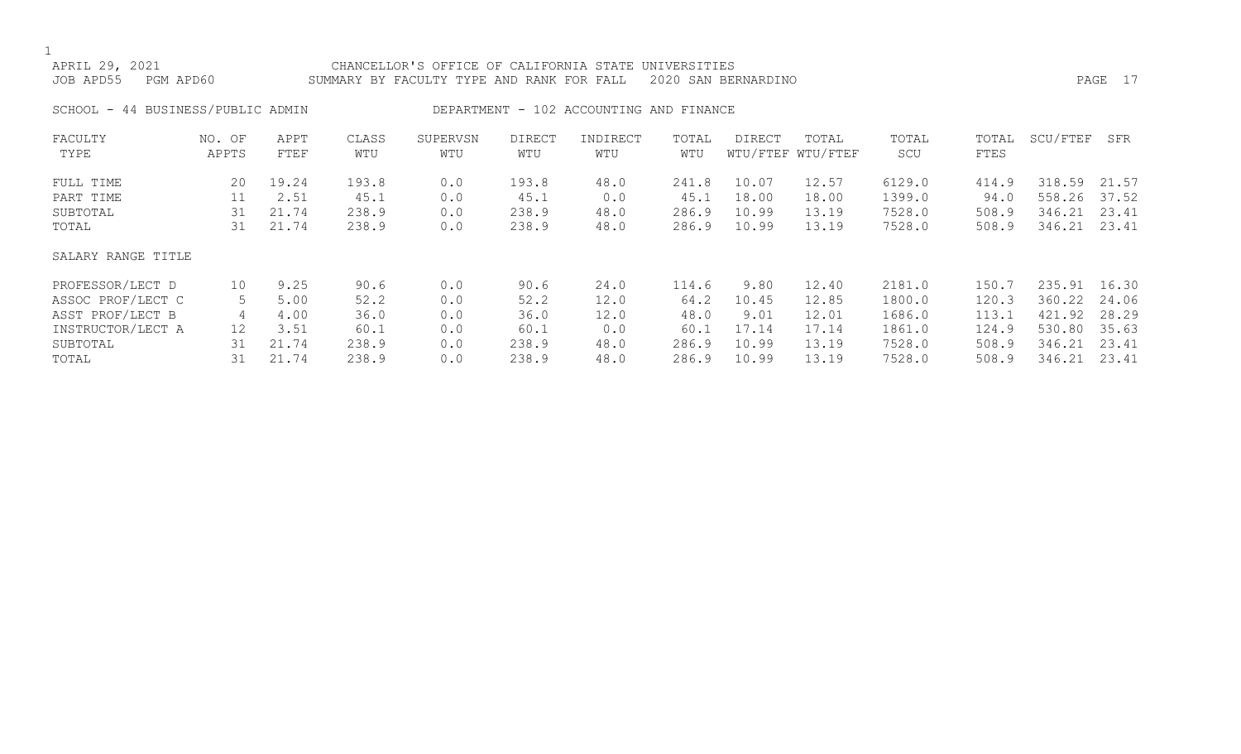| APRIL 29, 2021<br>PGM APD60<br>JOB APD55 |                 |              |              | CHANCELLOR'S OFFICE OF CALIFORNIA STATE<br>SUMMARY BY FACULTY TYPE AND RANK FOR FALL |               |                                         | UNIVERSITIES | 2020 SAN BERNARDINO |                            |              |               |              | PAGE 17 |
|------------------------------------------|-----------------|--------------|--------------|--------------------------------------------------------------------------------------|---------------|-----------------------------------------|--------------|---------------------|----------------------------|--------------|---------------|--------------|---------|
| SCHOOL - 44 BUSINESS/PUBLIC ADMIN        |                 |              |              |                                                                                      |               | DEPARTMENT - 102 ACCOUNTING AND FINANCE |              |                     |                            |              |               |              |         |
| FACULTY<br>TYPE                          | NO. OF<br>APPTS | APPT<br>FTEF | CLASS<br>WTU | SUPERVSN<br>WTU                                                                      | DIRECT<br>WTU | INDIRECT<br>WTU                         | TOTAL<br>WTU | <b>DIRECT</b>       | TOTAL<br>WTU/FTEF WTU/FTEF | TOTAL<br>SCU | TOTAL<br>FTES | SCU/FTEF     | SFR     |
| FULL TIME                                | 20              | 19.24        | 193.8        | 0.0                                                                                  | 193.8         | 48.0                                    | 241.8        | 10.07               | 12.57                      | 6129.0       | 414.9         | 318.59       | 21.57   |
| PART TIME                                | 11              | 2.51         | 45.1         | 0.0                                                                                  | 45.1          | 0.0                                     | 45.1         | 18.00               | 18.00                      | 1399.0       | 94.0          | 558.26       | 37.52   |
| SUBTOTAL                                 | 31              | 21.74        | 238.9        | 0.0                                                                                  | 238.9         | 48.0                                    | 286.9        | 10.99               | 13.19                      | 7528.0       | 508.9         | 346.21       | 23.41   |
| TOTAL                                    | 31              | 21.74        | 238.9        | 0.0                                                                                  | 238.9         | 48.0                                    | 286.9        | 10.99               | 13.19                      | 7528.0       | 508.9         | 346.21       | 23.41   |
| SALARY RANGE TITLE                       |                 |              |              |                                                                                      |               |                                         |              |                     |                            |              |               |              |         |
| PROFESSOR/LECT D                         | 10              | 9.25         | 90.6         | 0.0                                                                                  | 90.6          | 24.0                                    | 114.6        | 9.80                | 12.40                      | 2181.0       | 150.7         | 235.91 16.30 |         |
| ASSOC PROF/LECT C                        | 5               | 5.00         | 52.2         | 0.0                                                                                  | 52.2          | 12.0                                    | 64.2         | 10.45               | 12.85                      | 1800.0       | 120.3         | 360.22       | 24.06   |
| ASST PROF/LECT B                         | 4               | 4.00         | 36.0         | 0.0                                                                                  | 36.0          | 12.0                                    | 48.0         | 9.01                | 12.01                      | 1686.0       | 113.1         | 421.92       | 28.29   |
| INSTRUCTOR/LECT A                        | 12              | 3.51         | 60.1         | 0.0                                                                                  | 60.1          | 0.0                                     | 60.1         | 17.14               | 17.14                      | 1861.0       | 124.9         | 530.80       | 35.63   |
| SUBTOTAL                                 | 31              | 21.74        | 238.9        | 0.0                                                                                  | 238.9         | 48.0                                    | 286.9        | 10.99               | 13.19                      | 7528.0       | 508.9         | 346.21       | 23.41   |

TOTAL 31 21.74 238.9 0.0 238.9 48.0 286.9 10.99 13.19 7528.0 508.9 346.21 23.41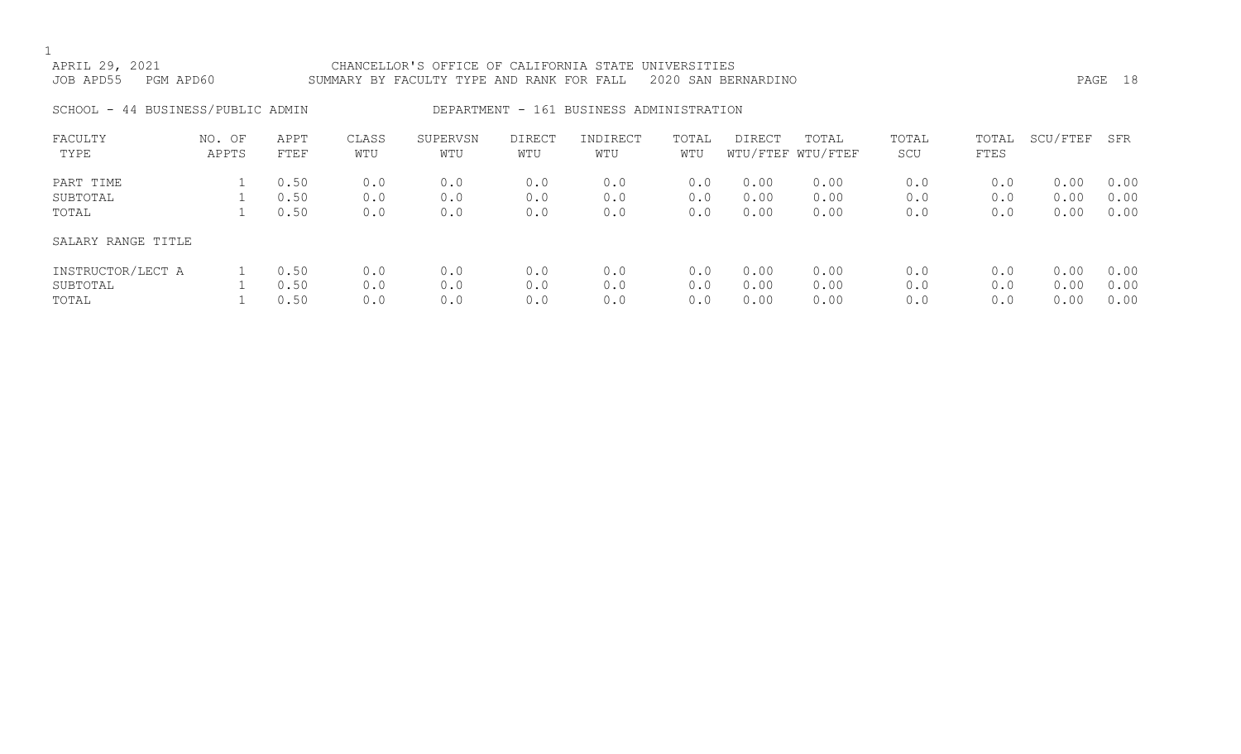| APRIL 29, 2021<br>JOB APD55 | PGM APD60                         |              | SUMMARY BY FACULTY TYPE AND RANK FOR FALL 2020 SAN BERNARDINO | CHANCELLOR'S OFFICE OF CALIFORNIA STATE UNIVERSITIES |               |                                          |              |        |                            |              |               |          | PAGE 18 |
|-----------------------------|-----------------------------------|--------------|---------------------------------------------------------------|------------------------------------------------------|---------------|------------------------------------------|--------------|--------|----------------------------|--------------|---------------|----------|---------|
|                             | SCHOOL - 44 BUSINESS/PUBLIC ADMIN |              |                                                               |                                                      |               | DEPARTMENT - 161 BUSINESS ADMINISTRATION |              |        |                            |              |               |          |         |
| FACULTY<br>TYPE             | NO. OF<br>APPTS                   | APPT<br>FTEF | CLASS<br>WTU                                                  | SUPERVSN<br>WTU                                      | DIRECT<br>WTU | INDIRECT<br>WTU                          | TOTAL<br>WTU | DIRECT | TOTAL<br>WTU/FTEF WTU/FTEF | TOTAL<br>SCU | TOTAL<br>FTES | SCU/FTEF | SFR     |

| PART TIME          | 0.50 | 0.0 | 0.0 | 0.0 | 0.0 | 0.0 | 0.00 | 0.00 | 0.0 | 0.0 | 0.00 | 0.00 |
|--------------------|------|-----|-----|-----|-----|-----|------|------|-----|-----|------|------|
| SUBTOTAL           | 0.50 | 0.0 | 0.0 | 0.0 | 0.0 | 0.0 | 0.00 | 0.00 | 0.0 | 0.0 | 0.00 | 0.00 |
| TOTAL              | 0.50 | 0.0 | 0.0 | 0.0 | 0.0 | 0.0 | 0.00 | 0.00 | 0.0 | 0.0 | 0.00 | 0.00 |
| SALARY RANGE TITLE |      |     |     |     |     |     |      |      |     |     |      |      |
| INSTRUCTOR/LECT A  | 0.50 | 0.0 | 0.0 | 0.0 | 0.0 | 0.0 | 0.00 | 0.00 | 0.0 | 0.0 | 0.00 | 0.00 |
| SUBTOTAL           | 0.50 | 0.0 | 0.0 | 0.0 | 0.0 | 0.0 | 0.00 | 0.00 | 0.0 | 0.0 | 0.00 | 0.00 |
| TOTAL              | 0.50 | 0.0 | 0.0 | 0.0 | 0.0 | 0.0 | 0.00 | 0.00 | 0.0 | 0.0 | 0.00 | 0.00 |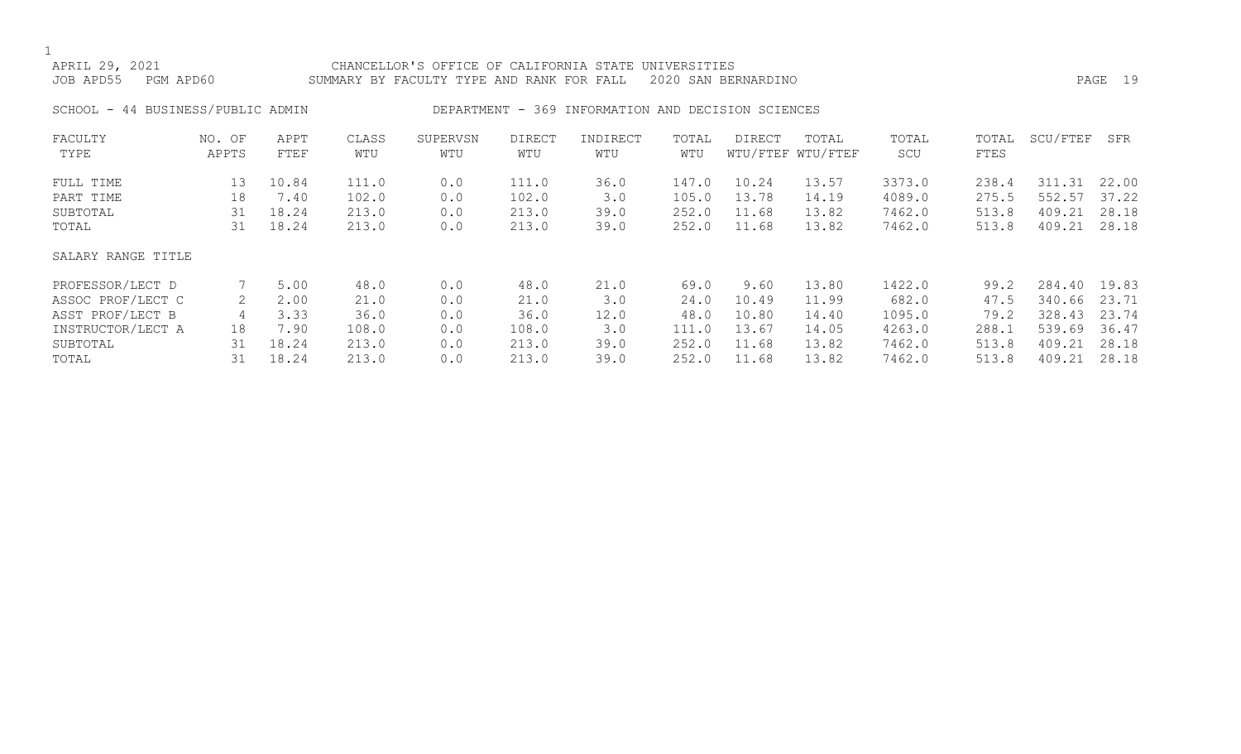APRIL 29, 2021 CHANCELLOR'S OFFICE OF CALIFORNIA STATE UNIVERSITIES JOB APD55 PGM APD60 SUMMARY BY FACULTY TYPE AND RANK FOR FALL 2020 SAN BERNARDINO PAGE 19

SCHOOL - 44 BUSINESS/PUBLIC ADMIN DEPARTMENT - 369 INFORMATION AND DECISION SCIENCES

| FACULTY            | NO. OF | APPT  | CLASS | SUPERVSN | <b>DIRECT</b> | INDIRECT | TOTAL | DIRECT | TOTAL             | TOTAL  | TOTAL | SCU/FTEF | SFR   |
|--------------------|--------|-------|-------|----------|---------------|----------|-------|--------|-------------------|--------|-------|----------|-------|
| TYPE               | APPTS  | FTEF  | WTU   | WTU      | WTU           | WTU      | WTU   |        | WTU/FTEF WTU/FTEF | SCU    | FTES  |          |       |
| FULL TIME          | 13     | 10.84 | 111.0 | 0.0      | 111.0         | 36.0     | 147.0 | 10.24  | 13.57             | 3373.0 | 238.4 | 311.31   | 22.00 |
| PART TIME          | 18     | 7.40  | 102.0 | 0.0      | 102.0         | 3.0      | 105.0 | 13.78  | 14.19             | 4089.0 | 275.5 | 552.57   | 37.22 |
| SUBTOTAL           | 31     | 18.24 | 213.0 | 0.0      | 213.0         | 39.0     | 252.0 | 11.68  | 13.82             | 7462.0 | 513.8 | 409.21   | 28.18 |
| TOTAL              | 31     | 18.24 | 213.0 | 0.0      | 213.0         | 39.0     | 252.0 | 11.68  | 13.82             | 7462.0 | 513.8 | 409.21   | 28.18 |
| SALARY RANGE TITLE |        |       |       |          |               |          |       |        |                   |        |       |          |       |
| PROFESSOR/LECT D   |        | 5.00  | 48.0  | 0.0      | 48.0          | 21.0     | 69.0  | 9.60   | 13.80             | 1422.0 | 99.2  | 284.40   | 19.83 |
| ASSOC PROF/LECT C  |        | 2.00  | 21.0  | 0.0      | 21.0          | 3.0      | 24.0  | 10.49  | 11.99             | 682.0  | 47.5  | 340.66   | 23.71 |
| ASST PROF/LECT B   | 4      | 3.33  | 36.0  | 0.0      | 36.0          | 12.0     | 48.0  | 10.80  | 14.40             | 1095.0 | 79.2  | 328.43   | 23.74 |
| INSTRUCTOR/LECT A  | 18     | 7.90  | 108.0 | 0.0      | 108.0         | 3.0      | 111.0 | 13.67  | 14.05             | 4263.0 | 288.1 | 539.69   | 36.47 |
| SUBTOTAL           | 31     | 18.24 | 213.0 | 0.0      | 213.0         | 39.0     | 252.0 | 11.68  | 13.82             | 7462.0 | 513.8 | 409.21   | 28.18 |
| TOTAL              | 31     | 18.24 | 213.0 | 0.0      | 213.0         | 39.0     | 252.0 | 11.68  | 13.82             | 7462.0 | 513.8 | 409.21   | 28.18 |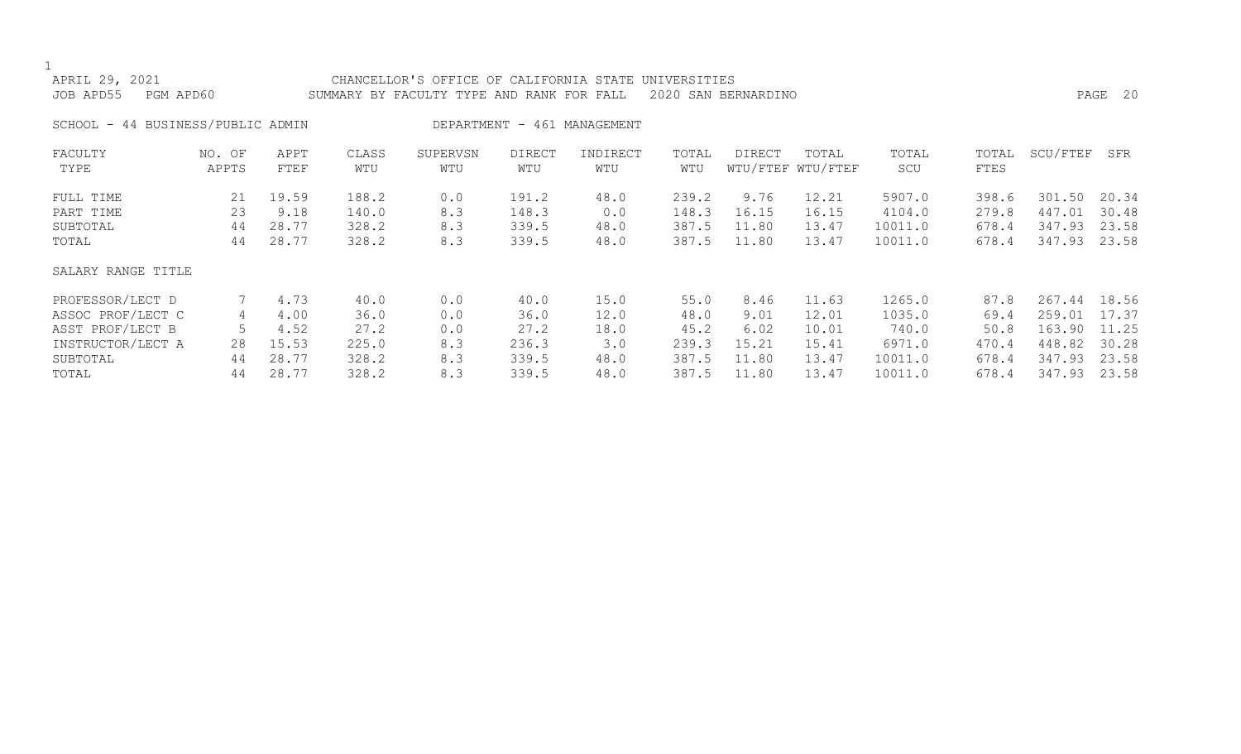|                                                                  | APRIL 29, 2021<br>JOB APD55<br>PGM APD60 |                 |                     |              | CHANCELLOR'S OFFICE OF CALIFORNIA STATE UNIVERSITIES<br>SUMMARY BY FACULTY TYPE AND RANK FOR FALL |               |                 |              | 2020 SAN BERNARDINO |                            |              |               |          | PAGE 20 |
|------------------------------------------------------------------|------------------------------------------|-----------------|---------------------|--------------|---------------------------------------------------------------------------------------------------|---------------|-----------------|--------------|---------------------|----------------------------|--------------|---------------|----------|---------|
| SCHOOL - 44 BUSINESS/PUBLIC ADMIN<br>DEPARTMENT - 461 MANAGEMENT |                                          |                 |                     |              |                                                                                                   |               |                 |              |                     |                            |              |               |          |         |
|                                                                  | FACULTY<br>TYPE                          | NO. OF<br>APPTS | APPT<br><b>FTEF</b> | CLASS<br>WTU | SUPERVSN<br>WTU                                                                                   | DIRECT<br>WTU | INDIRECT<br>WTU | TOTAL<br>WTU | DIRECT              | TOTAL<br>WTU/FTEF WTU/FTEF | TOTAL<br>SCU | TOTAL<br>FTES | SCU/FTEF | SFR     |
|                                                                  | FULL TIME                                | 21              | 19.59               | 188.2        | 0.0                                                                                               | 191.2         | 48.0            | 239.2        | 9.76                | 12.21                      | 5907.0       | 398.6         | 301.50   | 20.34   |
|                                                                  | PART TIME                                | 23              | 9.18                | 140.0        | 8.3                                                                                               | 148.3         | 0.0             | 148.3        | 16.15               | 16.15                      | 4104.0       | 279.8         | 447.01   | 30.48   |
|                                                                  | SUBTOTAL                                 | 44              | 28.77               | 328.2        | 8.3                                                                                               | 339.5         | 48.0            | 387.5        | 11.80               | 13.47                      | 10011.0      | 678.4         | 347.93   | 23.58   |
|                                                                  | TOTAL                                    | 44              | 28.77               | 328.2        | 8.3                                                                                               | 339.5         | 48.0            | 387.5        | 11.80               | 13.47                      | 10011.0      | 678.4         | 347.93   | 23.58   |
|                                                                  | SALARY RANGE TITLE                       |                 |                     |              |                                                                                                   |               |                 |              |                     |                            |              |               |          |         |
|                                                                  | PROFESSOR/LECT D                         |                 | 4.73                | 40.0         | 0.0                                                                                               | 40.0          | 15.0            | 55.0         | 8.46                | 11.63                      | 1265.0       | 87.8          | 267.44   | 18.56   |
|                                                                  | ASSOC PROF/LECT C                        | 4               | 4.00                | 36.0         | 0.0                                                                                               | 36.0          | 12.0            | 48.0         | 9.01                | 12.01                      | 1035.0       | 69.4          | 259.01   | 17.37   |
|                                                                  | ASST PROF/LECT B                         | 5               | 4.52                | 27.2         | 0.0                                                                                               | 27.2          | 18.0            | 45.2         | 6.02                | 10.01                      | 740.0        | 50.8          | 163.90   | 11.25   |
|                                                                  | INSTRUCTOR/LECT A                        | 28              | 15.53               | 225.0        | 8.3                                                                                               | 236.3         | 3.0             | 239.3        | 15.21               | 15.41                      | 6971.0       | 470.4         | 448.82   | 30.28   |
|                                                                  | SUBTOTAL                                 | 44              | 28.77               | 328.2        | 8.3                                                                                               | 339.5         | 48.0            | 387.5        | 11.80               | 13.47                      | 10011.0      | 678.4         | 347.93   | 23.58   |
|                                                                  | TOTAL                                    | 44              | 28.77               | 328.2        | 8.3                                                                                               | 339.5         | 48.0            | 387.5        | 11.80               | 13.47                      | 10011.0      | 678.4         | 347.93   | 23.58   |
|                                                                  |                                          |                 |                     |              |                                                                                                   |               |                 |              |                     |                            |              |               |          |         |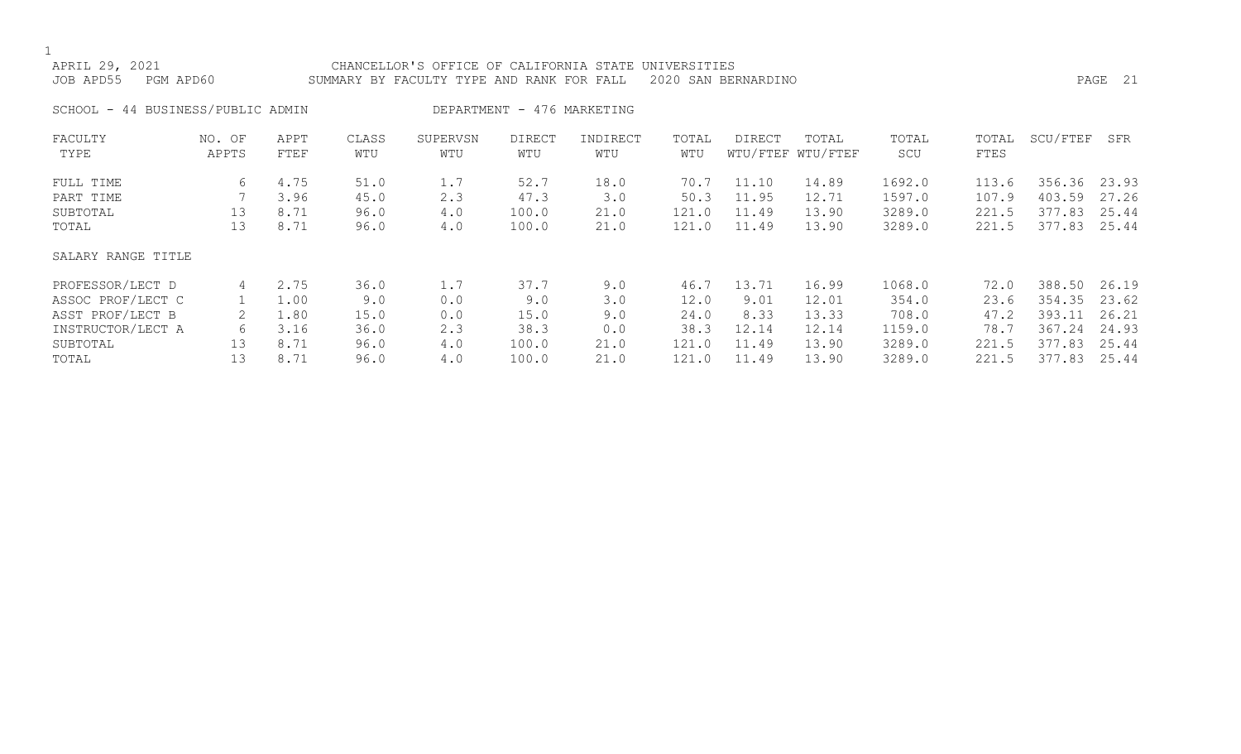| APRIL 29, 2021<br>PGM APD60<br>JOB APD55 |                 |              |              | CHANCELLOR'S OFFICE OF CALIFORNIA STATE<br>SUMMARY BY FACULTY TYPE AND RANK FOR FALL |                            |                 | UNIVERSITIES | 2020 SAN BERNARDINO |                            |              |               |          | PAGE 21 |
|------------------------------------------|-----------------|--------------|--------------|--------------------------------------------------------------------------------------|----------------------------|-----------------|--------------|---------------------|----------------------------|--------------|---------------|----------|---------|
| SCHOOL - 44 BUSINESS/PUBLIC ADMIN        |                 |              |              |                                                                                      | DEPARTMENT - 476 MARKETING |                 |              |                     |                            |              |               |          |         |
| FACULTY<br>TYPE                          | NO. OF<br>APPTS | APPT<br>FTEF | CLASS<br>WTU | SUPERVSN<br>WTU                                                                      | <b>DIRECT</b><br>WTU       | INDIRECT<br>WTU | TOTAL<br>WTU | DIRECT              | TOTAL<br>WTU/FTEF WTU/FTEF | TOTAL<br>SCU | TOTAL<br>FTES | SCU/FTEF | SFR     |
| FULL TIME                                | 6               | 4.75         | 51.0         | 1.7                                                                                  | 52.7                       | 18.0            | 70.7         | 11.10               | 14.89                      | 1692.0       | 113.6         | 356.36   | 23.93   |
| PART TIME                                |                 | 3.96         | 45.0         | 2.3                                                                                  | 47.3                       | 3.0             | 50.3         | 11.95               | 12.71                      | 1597.0       | 107.9         | 403.59   | 27.26   |
| SUBTOTAL                                 | 13              | 8.71         | 96.0         | 4.0                                                                                  | 100.0                      | 21.0            | 121.0        | 11.49               | 13.90                      | 3289.0       | 221.5         | 377.83   | 25.44   |
| TOTAL                                    | 13              | 8.71         | 96.0         | 4.0                                                                                  | 100.0                      | 21.0            | 121.0        | 11.49               | 13.90                      | 3289.0       | 221.5         | 377.83   | 25.44   |
| SALARY RANGE TITLE                       |                 |              |              |                                                                                      |                            |                 |              |                     |                            |              |               |          |         |
| PROFESSOR/LECT D                         | 4               | 2.75         | 36.0         | 1.7                                                                                  | 37.7                       | 9.0             | 46.7         | 13.71               | 16.99                      | 1068.0       | 72.0          | 388.50   | 26.19   |
| ASSOC PROF/LECT C                        |                 | 1.00         | 9.0          | 0.0                                                                                  | 9.0                        | 3.0             | 12.0         | 9.01                | 12.01                      | 354.0        | 23.6          | 354.35   | 23.62   |

| ASSOC PROF/LECT C | ⊥.00 | 9.0  | 0.0 | 9.0   | 3.0  | 12.0  | 9.01  | 12.01 | 354.0  | 23.6  | 354.35 23.62 |  |
|-------------------|------|------|-----|-------|------|-------|-------|-------|--------|-------|--------------|--|
| ASST PROF/LECT B  | ⊥.80 | 15.0 | 0.0 | 15.0  |      | 24.0  | 8.33  | 13.33 | 708.0  | 47.2  | 393.11 26.21 |  |
| INSTRUCTOR/LECT A | 3.16 | 36.0 |     | 38.3  |      | 38.3  | 12.14 | 12.14 | 1159.0 | 78.7  | 367.24 24.93 |  |
| SUBTOTAL          | 8.71 | 96.0 | 4.0 | 100.0 | 21.0 | 121.0 | 11.49 | 13.90 | 3289.0 | 221.5 | 377.83 25.44 |  |
| TOTAL             | 8.71 | 96.0 | 4.0 | 100.0 |      | 121.0 | 11.49 | 13.90 | 3289.0 | 221.5 | 377.83 25.44 |  |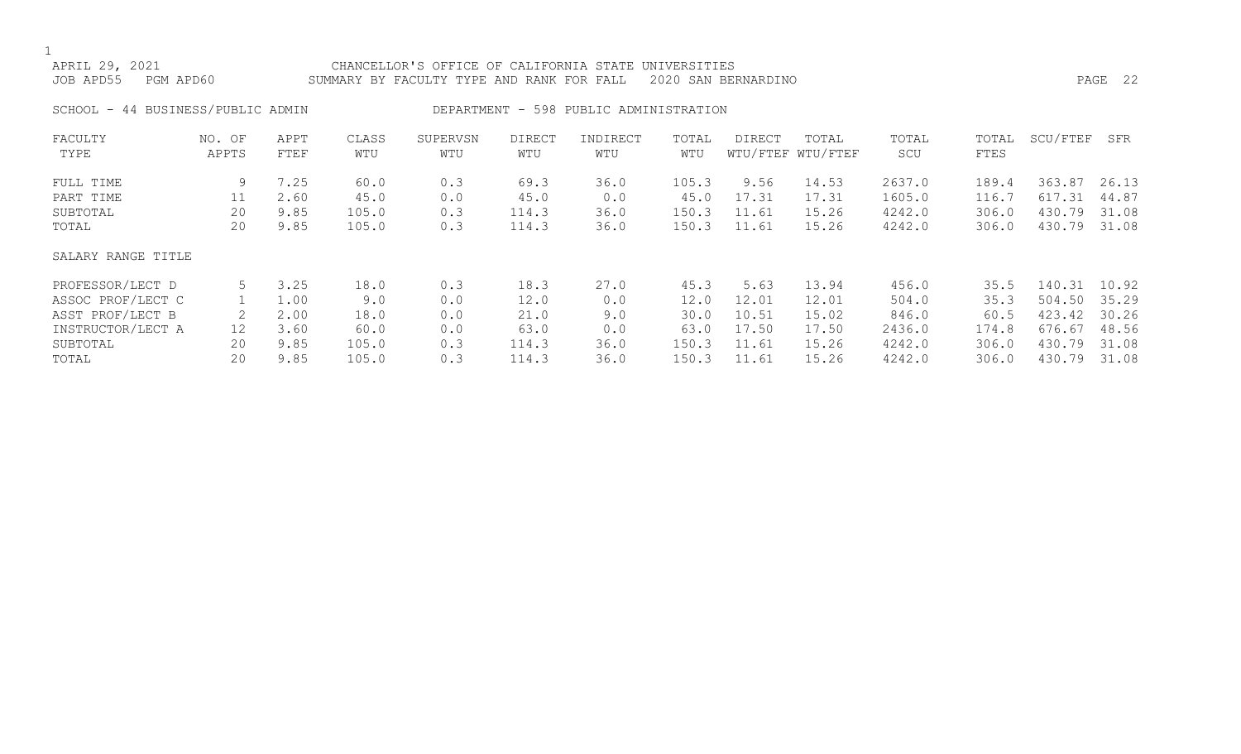| APRIL 29, 2021<br>JOB APD55<br>PGM APD60 |                 |              |              | CHANCELLOR'S OFFICE OF CALIFORNIA STATE<br>SUMMARY BY FACULTY TYPE AND RANK FOR FALL |                      |                                        | UNIVERSITIES | 2020 SAN BERNARDINO |                            |              |               |          | PAGE 22 |
|------------------------------------------|-----------------|--------------|--------------|--------------------------------------------------------------------------------------|----------------------|----------------------------------------|--------------|---------------------|----------------------------|--------------|---------------|----------|---------|
| SCHOOL - 44 BUSINESS/PUBLIC ADMIN        |                 |              |              |                                                                                      |                      | DEPARTMENT - 598 PUBLIC ADMINISTRATION |              |                     |                            |              |               |          |         |
| FACULTY<br>TYPE                          | NO. OF<br>APPTS | APPT<br>FTEF | CLASS<br>WTU | SUPERVSN<br>WTU                                                                      | <b>DIRECT</b><br>WTU | INDIRECT<br>WTU                        | TOTAL<br>WTU | <b>DIRECT</b>       | TOTAL<br>WTU/FTEF WTU/FTEF | TOTAL<br>SCU | TOTAL<br>FTES | SCU/FTEF | SFR     |
| FULL TIME                                | 9               | 7.25         | 60.0         | 0.3                                                                                  | 69.3                 | 36.0                                   | 105.3        | 9.56                | 14.53                      | 2637.0       | 189.4         | 363.87   | 26.13   |
| PART TIME                                | 11              | 2.60         | 45.0         | 0.0                                                                                  | 45.0                 | 0.0                                    | 45.0         | 17.31               | 17.31                      | 1605.0       | 116.7         | 617.31   | 44.87   |
| SUBTOTAL                                 | 20              | 9.85         | 105.0        | 0.3                                                                                  | 114.3                | 36.0                                   | 150.3        | 11.61               | 15.26                      | 4242.0       | 306.0         | 430.79   | 31.08   |
| TOTAL                                    | 20              | 9.85         | 105.0        | 0.3                                                                                  | 114.3                | 36.0                                   | 150.3        | 11.61               | 15.26                      | 4242.0       | 306.0         | 430.79   | 31.08   |
| SALARY RANGE TITLE                       |                 |              |              |                                                                                      |                      |                                        |              |                     |                            |              |               |          |         |
| PROFESSOR/LECT D                         | 5               | 3.25         | 18.0         | 0.3                                                                                  | 18.3                 | 27.0                                   | 45.3         | 5.63                | 13.94                      | 456.0        | 35.5          | 140.31   | 10.92   |
| ASSOC PROF/LECT C                        |                 | 1.00         | 9.0          | 0.0                                                                                  | 12.0                 | 0.0                                    | 12.0         | 12.01               | 12.01                      | 504.0        | 35.3          | 504.50   | 35.29   |
| ASST PROF/LECT B                         |                 | 2.00         | 18.0         | 0.0                                                                                  | 21.0                 | 9.0                                    | 30.0         | 10.51               | 15.02                      | 846.0        | 60.5          | 423.42   | 30.26   |
| INSTRUCTOR/LECT A                        | 12              | 3.60         | 60.0         | 0.0                                                                                  | 63.0                 | 0.0                                    | 63.0         | 17.50               | 17.50                      | 2436.0       | 174.8         | 676.67   | 48.56   |
| SUBTOTAL                                 | 20              | 9.85         | 105.0        | 0.3                                                                                  | 114.3                | 36.0                                   | 150.3        | 11.61               | 15.26                      | 4242.0       | 306.0         | 430.79   | 31.08   |

TOTAL 20 9.85 105.0 0.3 114.3 36.0 150.3 11.61 15.26 4242.0 306.0 430.79 31.08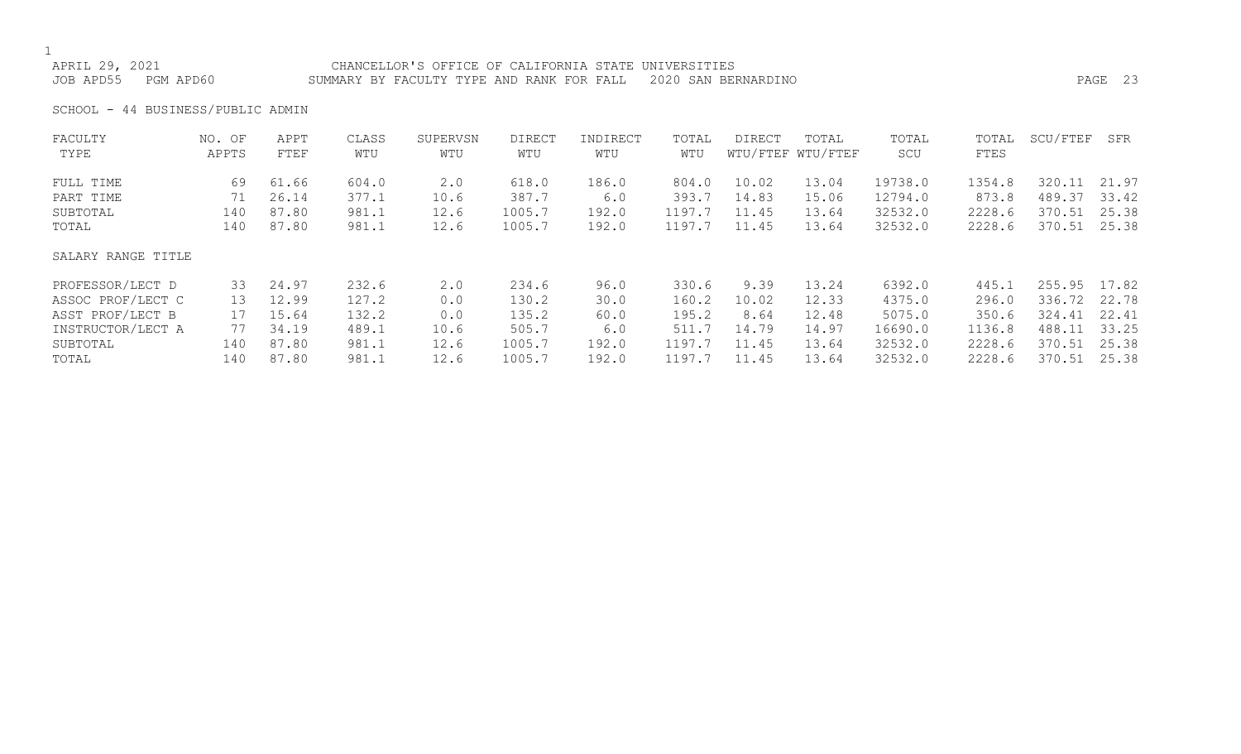APRIL 29, 2021 CHANCELLOR'S OFFICE OF CALIFORNIA STATE UNIVERSITIES JOB APD55 PGM APD60 SUMMARY BY FACULTY TYPE AND RANK FOR FALL 2020 SAN BERNARDINO PAGE 23

SCHOOL - 44 BUSINESS/PUBLIC ADMIN

| FACULTY            | NO. OF | APPT  | CLASS | SUPERVSN | DIRECT | INDIRECT | TOTAL  | DIRECT | TOTAL             | TOTAL   | TOTAL  | SCU/FTEF | SFR   |
|--------------------|--------|-------|-------|----------|--------|----------|--------|--------|-------------------|---------|--------|----------|-------|
| TYPE               | APPTS  | FTEF  | WTU   | WTU      | WTU    | WTU      | WTU    |        | WTU/FTEF WTU/FTEF | SCU     | FTES   |          |       |
| FULL TIME          | 69     | 61.66 | 604.0 | 2.0      | 618.0  | 186.0    | 804.0  | 10.02  | 13.04             | 19738.0 | 1354.8 | 320.11   | 21.97 |
| PART TIME          | 71     | 26.14 | 377.1 | 10.6     | 387.7  | 6.0      | 393.7  | 14.83  | 15.06             | 12794.0 | 873.8  | 489.37   | 33.42 |
| SUBTOTAL           | 140    | 87.80 | 981.1 | 12.6     | 1005.7 | 192.0    | 1197.7 | 11.45  | 13.64             | 32532.0 | 2228.6 | 370.51   | 25.38 |
| TOTAL              | 140    | 87.80 | 981.1 | 12.6     | 1005.7 | 192.0    | 1197.7 | 11.45  | 13.64             | 32532.0 | 2228.6 | 370.51   | 25.38 |
| SALARY RANGE TITLE |        |       |       |          |        |          |        |        |                   |         |        |          |       |
| PROFESSOR/LECT D   | 33     | 24.97 | 232.6 | 2.0      | 234.6  | 96.0     | 330.6  | 9.39   | 13.24             | 6392.0  | 445.1  | 255.95   | 17.82 |
| ASSOC PROF/LECT C  | 13     | 12.99 | 127.2 | 0.0      | 130.2  | 30.0     | 160.2  | 10.02  | 12.33             | 4375.0  | 296.0  | 336.72   | 22.78 |
| ASST PROF/LECT B   | 17     | 15.64 | 132.2 | 0.0      | 135.2  | 60.0     | 195.2  | 8.64   | 12.48             | 5075.0  | 350.6  | 324.41   | 22.41 |
| INSTRUCTOR/LECT A  | 77     | 34.19 | 489.1 | 10.6     | 505.7  | 6.0      | 511.7  | 14.79  | 14.97             | 16690.0 | 1136.8 | 488.11   | 33.25 |
| SUBTOTAL           | 140    | 87.80 | 981.1 | 12.6     | 1005.7 | 192.0    | 1197.7 | 11.45  | 13.64             | 32532.0 | 2228.6 | 370.51   | 25.38 |
| TOTAL              | 140    | 87.80 | 981.1 | 12.6     | 1005.7 | 192.0    | 1197.7 | 11.45  | 13.64             | 32532.0 | 2228.6 | 370.51   | 25.38 |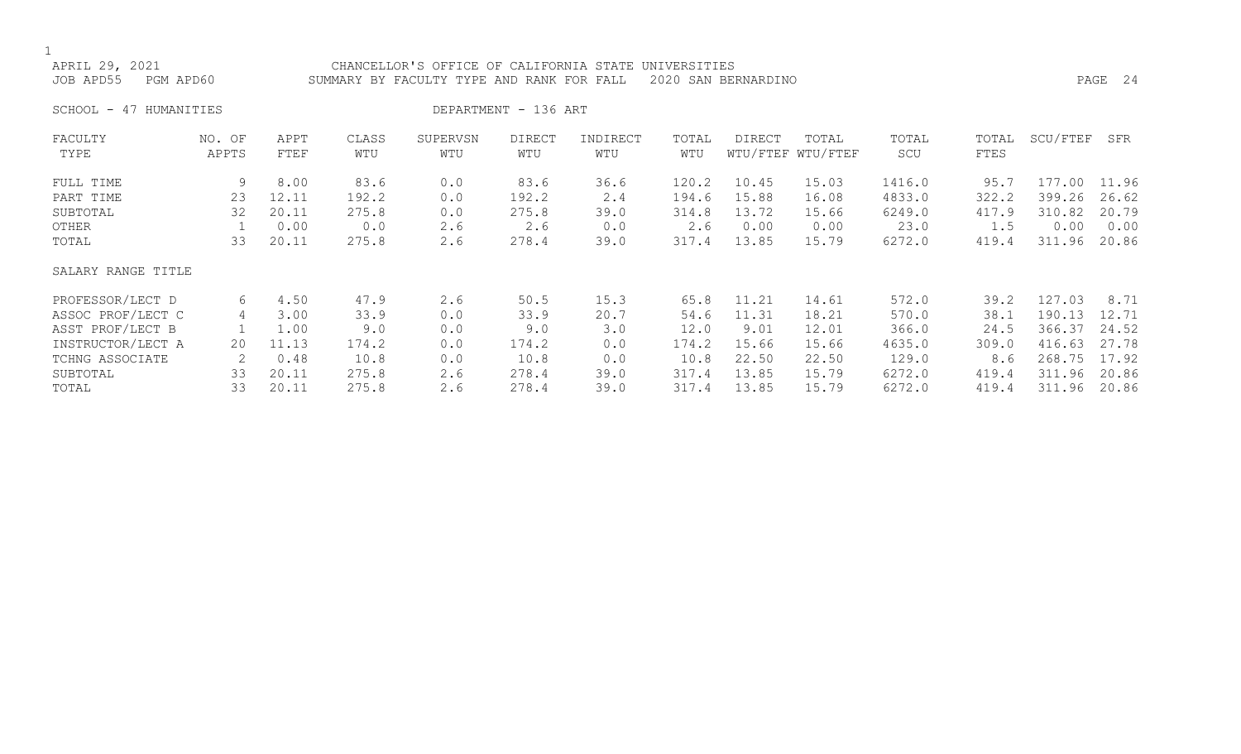APRIL 29, 2021 CHANCELLOR'S OFFICE OF CALIFORNIA STATE UNIVERSITIES JOB APD55 PGM APD60 SUMMARY BY FACULTY TYPE AND RANK FOR FALL 2020 SAN BERNARDINO PAGE 24

SCHOOL - 47 HUMANITIES DEPARTMENT - 136 ART

| NO. OF             | APPT  | CLASS | SUPERVSN | DIRECT | INDIRECT | TOTAL | <b>DIRECT</b> | TOTAL | TOTAL             | TOTAL | SCU/FTEF | SFR   |
|--------------------|-------|-------|----------|--------|----------|-------|---------------|-------|-------------------|-------|----------|-------|
|                    |       |       |          |        |          |       |               |       |                   |       |          |       |
| 9                  | 8.00  | 83.6  | 0.0      | 83.6   | 36.6     | 120.2 | 10.45         | 15.03 | 1416.0            | 95.7  | 177.00   | 11.96 |
| 23                 | 12.11 | 192.2 | 0.0      | 192.2  | 2.4      | 194.6 | 15.88         | 16.08 | 4833.0            | 322.2 | 399.26   | 26.62 |
| 32                 | 20.11 | 275.8 | 0.0      | 275.8  | 39.0     | 314.8 | 13.72         | 15.66 | 6249.0            | 417.9 | 310.82   | 20.79 |
|                    | 0.00  | 0.0   | 2.6      | 2.6    | 0.0      | 2.6   | 0.00          | 0.00  | 23.0              | 1.5   | 0.00     | 0.00  |
| 33                 | 20.11 | 275.8 | 2.6      | 278.4  | 39.0     | 317.4 | 13.85         | 15.79 | 6272.0            | 419.4 | 311.96   | 20.86 |
| SALARY RANGE TITLE |       |       |          |        |          |       |               |       |                   |       |          |       |
| 6                  | 4.50  | 47.9  | 2.6      | 50.5   | 15.3     | 65.8  | 11.21         | 14.61 | 572.0             | 39.2  | 127.03   | 8.71  |
| 4                  | 3.00  | 33.9  | 0.0      | 33.9   | 20.7     | 54.6  | 11.31         | 18.21 | 570.0             | 38.1  | 190.13   | 12.71 |
|                    | 1.00  | 9.0   | 0.0      | 9.0    | 3.0      | 12.0  | 9.01          | 12.01 | 366.0             | 24.5  | 366.37   | 24.52 |
| 20                 | 11.13 | 174.2 | 0.0      | 174.2  | 0.0      | 174.2 | 15.66         | 15.66 | 4635.0            | 309.0 | 416.63   | 27.78 |
|                    | 0.48  | 10.8  | 0.0      | 10.8   | 0.0      | 10.8  | 22.50         | 22.50 | 129.0             | 8.6   | 268.75   | 17.92 |
| 33                 | 20.11 | 275.8 | 2.6      | 278.4  | 39.0     | 317.4 | 13.85         | 15.79 | 6272.0            | 419.4 | 311.96   | 20.86 |
| 33                 | 20.11 | 275.8 | 2.6      | 278.4  | 39.0     | 317.4 | 13.85         | 15.79 | 6272.0            | 419.4 | 311.96   | 20.86 |
|                    | APPTS | FTEF  | WTU      | WTU    | WTU      | WTU   | WTU           |       | WTU/FTEF WTU/FTEF | SCU   | FTES     |       |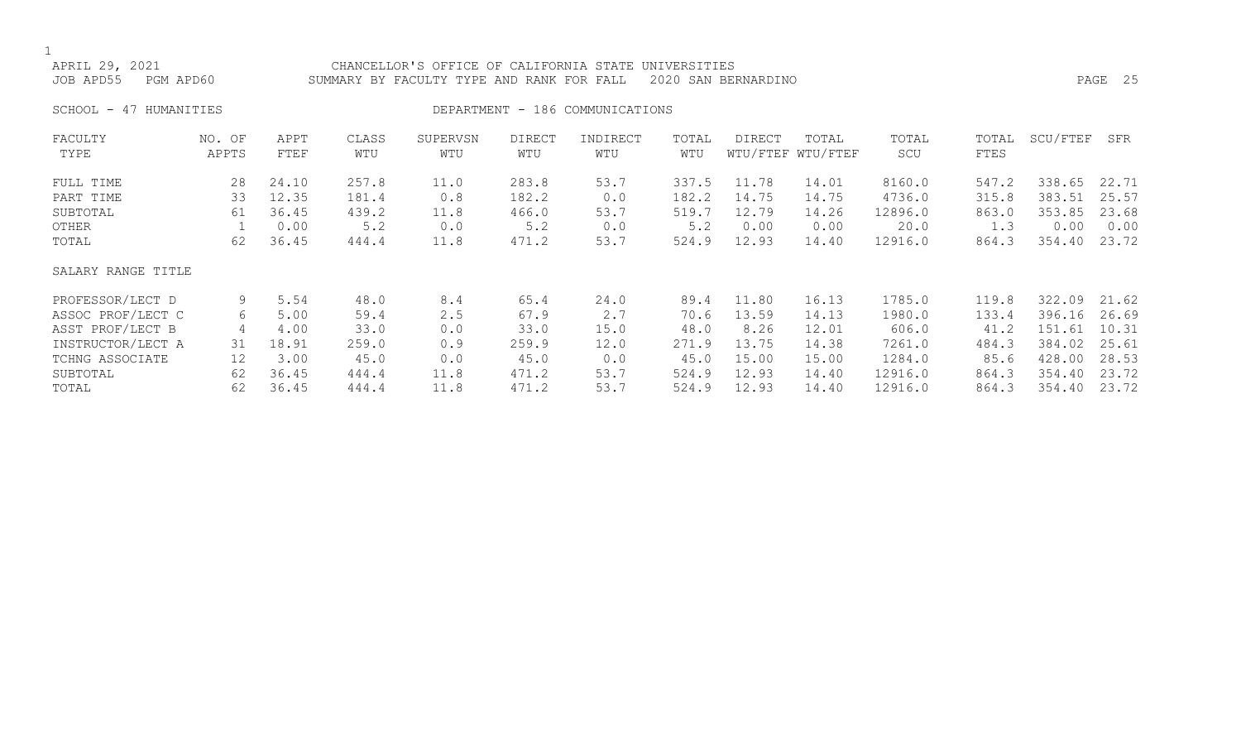APRIL 29, 2021 CHANCELLOR'S OFFICE OF CALIFORNIA STATE UNIVERSITIES JOB APD55 PGM APD60 SUMMARY BY FACULTY TYPE AND RANK FOR FALL 2020 SAN BERNARDINO PAGE 25

SCHOOL - 47 HUMANITIES SERVICES DEPARTMENT - 186 COMMUNICATIONS

| FACULTY            | NO. OF | APPT  | CLASS | SUPERVSN | <b>DIRECT</b> | INDIRECT | TOTAL | DIRECT | TOTAL             | TOTAL   | TOTAL | SCU/FTEF | SFR   |
|--------------------|--------|-------|-------|----------|---------------|----------|-------|--------|-------------------|---------|-------|----------|-------|
| TYPE               | APPTS  | FTEF  | WTU   | WTU      | WTU           | WTU      | WTU   |        | WTU/FTEF WTU/FTEF | SCU     | FTES  |          |       |
| FULL TIME          | 28     | 24.10 | 257.8 | 11.0     | 283.8         | 53.7     | 337.5 | 11.78  | 14.01             | 8160.0  | 547.2 | 338.65   | 22.71 |
| PART TIME          | 33     | 12.35 | 181.4 | 0.8      | 182.2         | 0.0      | 182.2 | 14.75  | 14.75             | 4736.0  | 315.8 | 383.51   | 25.57 |
| SUBTOTAL           | 61     | 36.45 | 439.2 | 11.8     | 466.0         | 53.7     | 519.7 | 12.79  | 14.26             | 12896.0 | 863.0 | 353.85   | 23.68 |
| OTHER              |        | 0.00  | 5.2   | 0.0      | 5.2           | 0.0      | 5.2   | 0.00   | 0.00              | 20.0    | 1.3   | 0.00     | 0.00  |
| TOTAL              | 62     | 36.45 | 444.4 | 11.8     | 471.2         | 53.7     | 524.9 | 12.93  | 14.40             | 12916.0 | 864.3 | 354.40   | 23.72 |
| SALARY RANGE TITLE |        |       |       |          |               |          |       |        |                   |         |       |          |       |
| PROFESSOR/LECT D   | 9      | 5.54  | 48.0  | 8.4      | 65.4          | 24.0     | 89.4  | 11.80  | 16.13             | 1785.0  | 119.8 | 322.09   | 21.62 |
| ASSOC PROF/LECT C  | 6      | 5.00  | 59.4  | 2.5      | 67.9          | 2.7      | 70.6  | 13.59  | 14.13             | 1980.0  | 133.4 | 396.16   | 26.69 |
| ASST PROF/LECT B   | 4      | 4.00  | 33.0  | 0.0      | 33.0          | 15.0     | 48.0  | 8.26   | 12.01             | 606.0   | 41.2  | 151.61   | 10.31 |
| INSTRUCTOR/LECT A  | 31     | 18.91 | 259.0 | 0.9      | 259.9         | 12.0     | 271.9 | 13.75  | 14.38             | 7261.0  | 484.3 | 384.02   | 25.61 |
| TCHNG ASSOCIATE    | 12     | 3.00  | 45.0  | 0.0      | 45.0          | 0.0      | 45.0  | 15.00  | 15.00             | 1284.0  | 85.6  | 428.00   | 28.53 |
| SUBTOTAL           | 62     | 36.45 | 444.4 | 11.8     | 471.2         | 53.7     | 524.9 | 12.93  | 14.40             | 12916.0 | 864.3 | 354.40   | 23.72 |
| TOTAL              | 62     | 36.45 | 444.4 | 11.8     | 471.2         | 53.7     | 524.9 | 12.93  | 14.40             | 12916.0 | 864.3 | 354.40   | 23.72 |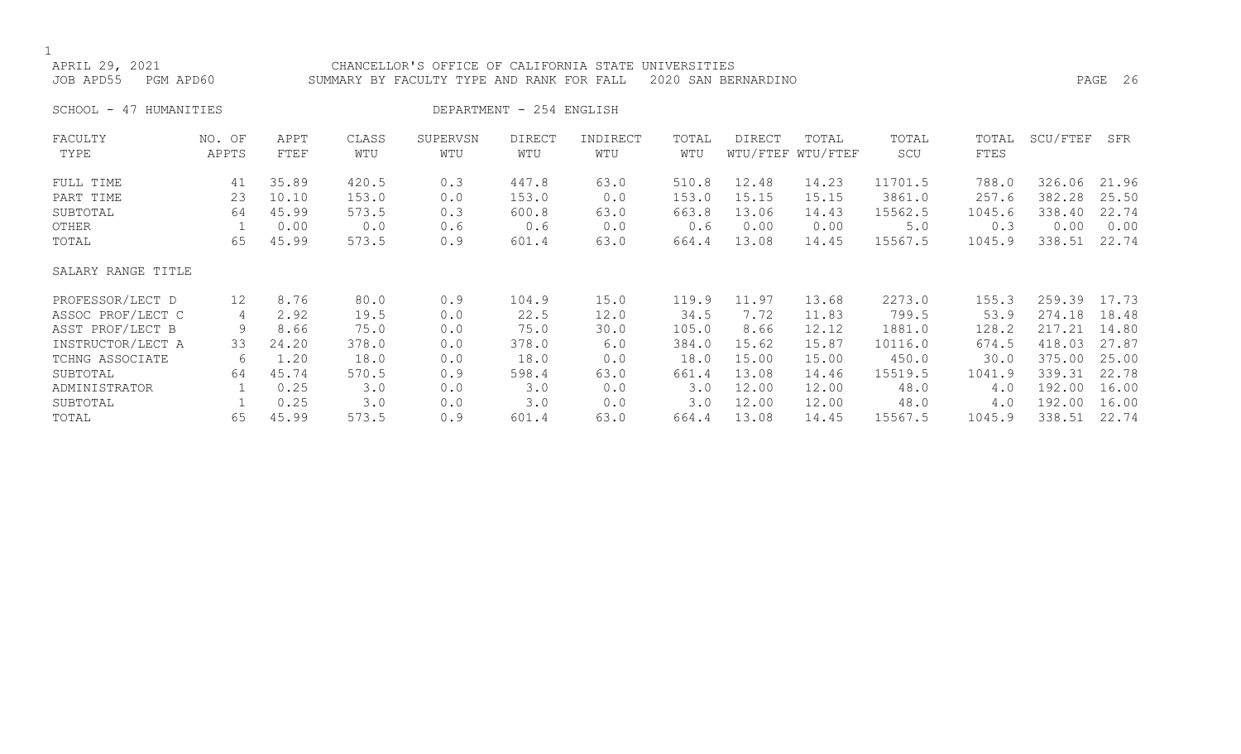| APRIL 29, 2021<br>JOB APD55<br>PGM APD60 |                   |              |              | CHANCELLOR'S OFFICE OF CALIFORNIA STATE UNIVERSITIES<br>SUMMARY BY FACULTY TYPE AND RANK FOR FALL |                          |                 |              | 2020 SAN BERNARDINO |                            |              |               |          | PAGE 26 |
|------------------------------------------|-------------------|--------------|--------------|---------------------------------------------------------------------------------------------------|--------------------------|-----------------|--------------|---------------------|----------------------------|--------------|---------------|----------|---------|
| 47 HUMANITIES<br>SCHOOL -                |                   |              |              |                                                                                                   | DEPARTMENT - 254 ENGLISH |                 |              |                     |                            |              |               |          |         |
| FACULTY<br>TYPE                          | NO. OF<br>APPTS   | APPT<br>FTEF | CLASS<br>WTU | SUPERVSN<br>WTU                                                                                   | <b>DIRECT</b><br>WTU     | INDIRECT<br>WTU | TOTAL<br>WTU | <b>DIRECT</b>       | TOTAL<br>WTU/FTEF WTU/FTEF | TOTAL<br>SCU | TOTAL<br>FTES | SCU/FTEF | SFR     |
| FULL TIME                                | 41                | 35.89        | 420.5        | 0.3                                                                                               | 447.8                    | 63.0            | 510.8        | 12.48               | 14.23                      | 11701.5      | 788.0         | 326.06   | 21.96   |
| PART TIME                                | 23                | 10.10        | 153.0        | 0.0                                                                                               | 153.0                    | 0.0             | 153.0        | 15.15               | 15.15                      | 3861.0       | 257.6         | 382.28   | 25.50   |
| SUBTOTAL                                 | 64                | 45.99        | 573.5        | 0.3                                                                                               | 600.8                    | 63.0            | 663.8        | 13.06               | 14.43                      | 15562.5      | 1045.6        | 338.40   | 22.74   |
| OTHER                                    | 1                 | 0.00         | 0.0          | 0.6                                                                                               | 0.6                      | 0.0             | 0.6          | 0.00                | 0.00                       | $5.0$        | 0.3           | 0.00     | 0.00    |
| TOTAL                                    | 65                | 45.99        | 573.5        | 0.9                                                                                               | 601.4                    | 63.0            | 664.4        | 13.08               | 14.45                      | 15567.5      | 1045.9        | 338.51   | 22.74   |
| SALARY RANGE TITLE                       |                   |              |              |                                                                                                   |                          |                 |              |                     |                            |              |               |          |         |
| PROFESSOR/LECT D                         | $12 \overline{ }$ | 8.76         | 80.0         | 0.9                                                                                               | 104.9                    | 15.0            | 119.9        | 11.97               | 13.68                      | 2273.0       | 155.3         | 259.39   | 17.73   |
| ASSOC PROF/LECT C                        | 4                 | 2.92         | 19.5         | 0.0                                                                                               | 22.5                     | 12.0            | 34.5         | 7.72                | 11.83                      | 799.5        | 53.9          | 274.18   | 18.48   |
| ASST PROF/LECT B                         | 9                 | 8.66         | 75.0         | 0.0                                                                                               | 75.0                     | 30.0            | 105.0        | 8.66                | 12.12                      | 1881.0       | 128.2         | 217.21   | 14.80   |
| INSTRUCTOR/LECT A                        | 33                | 24.20        | 378.0        | 0.0                                                                                               | 378.0                    | 6.0             | 384.0        | 15.62               | 15.87                      | 10116.0      | 674.5         | 418.03   | 27.87   |
| TCHNG ASSOCIATE                          | 6                 | 1.20         | 18.0         | 0.0                                                                                               | 18.0                     | 0.0             | 18.0         | 15.00               | 15.00                      | 450.0        | 30.0          | 375.00   | 25.00   |
| SUBTOTAL                                 | 64                | 45.74        | 570.5        | 0.9                                                                                               | 598.4                    | 63.0            | 661.4        | 13.08               | 14.46                      | 15519.5      | 1041.9        | 339.31   | 22.78   |
| ADMINISTRATOR                            |                   | 0.25         | 3.0          | 0.0                                                                                               | 3.0                      | 0.0             | 3.0          | 12.00               | 12.00                      | 48.0         | 4.0           | 192.00   | 16.00   |
| SUBTOTAL                                 |                   | 0.25         | 3.0          | 0.0                                                                                               | 3.0                      | 0.0             | 3.0          | 12.00               | 12.00                      | 48.0         | 4.0           | 192.00   | 16.00   |
| TOTAL                                    | 65                | 45.99        | 573.5        | 0.9                                                                                               | 601.4                    | 63.0            | 664.4        | 13.08               | 14.45                      | 15567.5      | 1045.9        | 338.51   | 22.74   |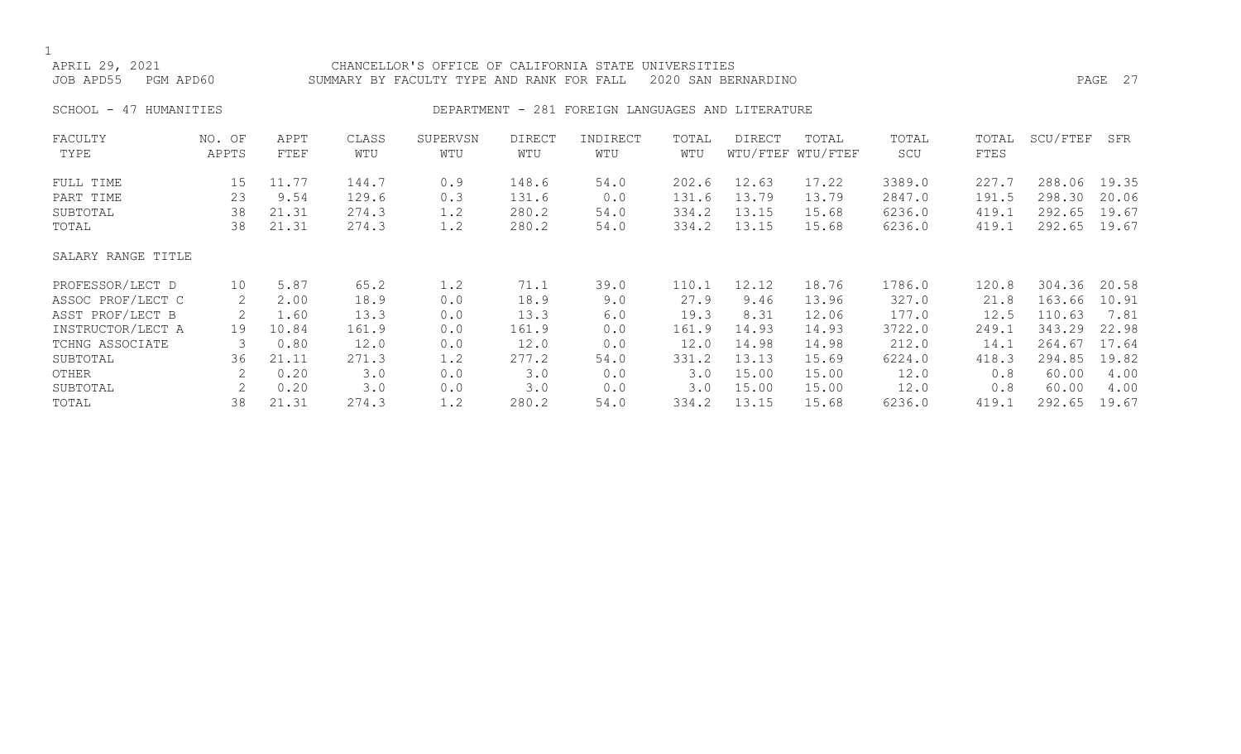1<br>APRIL 29, 2021 APRIL 29, 2021 CHANCELLOR'S OFFICE OF CALIFORNIA STATE UNIVERSITIES<br>JOB APD55 PGM APD60 SUMMARY BY FACULTY TYPE AND RANK FOR FALL 2020 SAN BEI SUMMARY BY FACULTY TYPE AND RANK FOR FALL 2020 SAN BERNARDINO PAGE 2008 . THE RANGE 27 SCHOOL - 47 HUMANITIES **DEPARTMENT - 281 FOREIGN LANGUAGES AND LITERATURE** FACULTY NO. OF APPT CLASS SUPERVSN DIRECT INDIRECT TOTAL DIRECT TOTAL TOTAL TOTAL SCU/FTEF SFR WTU/FTEF WTU/FTEF FULL TIME 15 11.77 144.7 0.9 148.6 54.0 202.6 12.63 17.22 3389.0 227.7 288.06 19.35 PART TIME 23 9.54 129.6 0.3 131.6 0.0 131.6 13.79 13.79 2847.0 191.5 298.30 20.06 SUBTOTAL 38 21.31 274.3 1.2 280.2 54.0 334.2 13.15 15.68 6236.0 419.1 292.65 19.67 TOTAL 38 21.31 274.3 1.2 280.2 54.0 334.2 13.15 15.68 6236.0 419.1 292.65 19.67 SALARY RANGE TITLE PROFESSOR/LECT D 10 5.87 65.2 1.2 71.1 39.0 110.1 12.12 18.76 1786.0 120.8 304.36 20.58 ASSOC PROF/LECT C 2 2.00 18.9 0.0 18.9 9.0 27.9 9.46 13.96 327.0 21.8 163.66 10.91 ASST PROF/LECT B 2 1.60 13.3 0.0 13.3 6.0 19.3 8.31 12.06 177.0 12.5 110.63 7.81 INSTRUCTOR/LECT A 19 10.84 161.9 0.0 161.9 0.0 161.9 14.93 14.93 3722.0 249.1 343.29 22.98 TCHNG ASSOCIATE 3 0.80 12.0 0.0 12.0 0.0 12.0 14.98 14.98 212.0 14.1 264.67 17.64 SUBTOTAL 36 21.11 271.3 1.2 277.2 54.0 331.2 13.13 15.69 6224.0 418.3 294.85 19.82 OTHER 2 0.20 3.0 0.0 3.0 0.0 3.0 15.00 15.00 12.0 0.8 60.00 4.00

SUBTOTAL 2 0.20 3.0 0.0 3.0 0.0 3.0 15.00 15.00 12.0 0.8 60.00 4.00 TOTAL 38 21.31 274.3 1.2 280.2 54.0 334.2 13.15 15.68 6236.0 419.1 292.65 19.67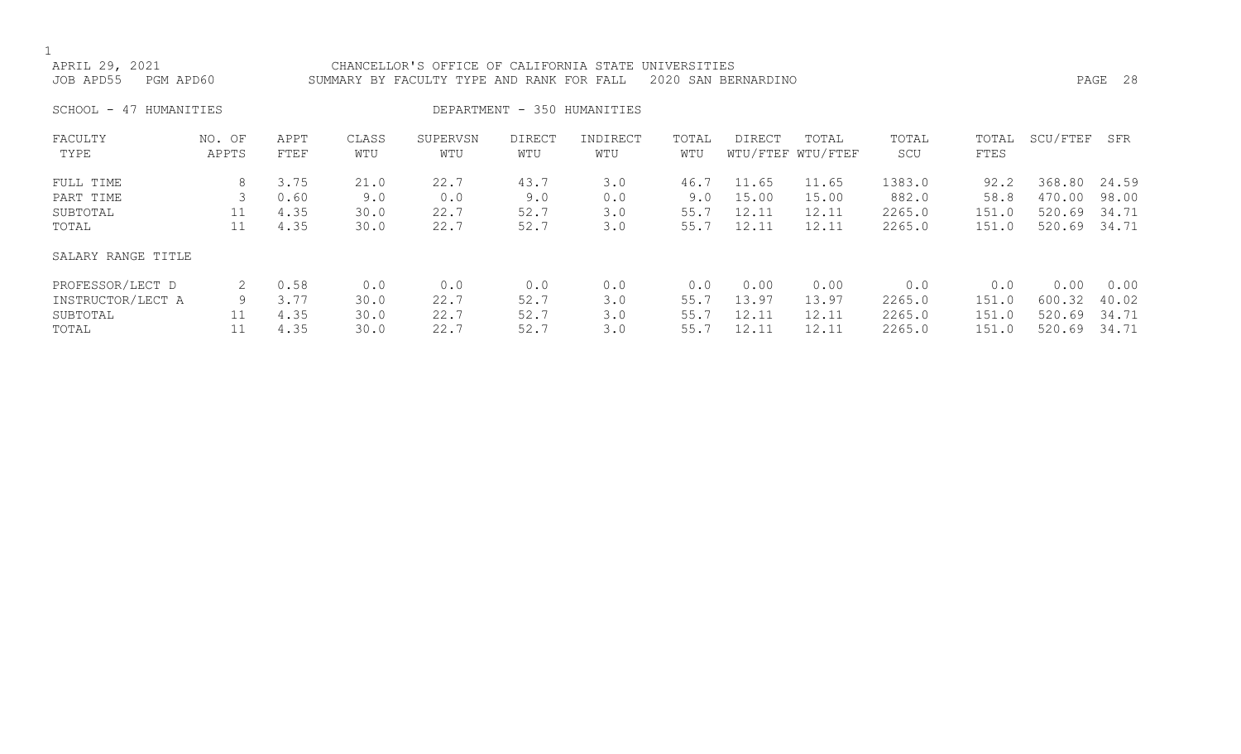1<br>APRIL 29, 2021 CHANCELLOR'S OFFICE OF CALIFORNIA STATE UNIVERSITIES JOB APD55 PGM APD60 SUMMARY BY FACULTY TYPE AND RANK FOR FALL 2020 SAN BERNARDINO PAGE 28 SCHOOL - 47 HUMANITIES **DEPARTMENT - 350 HUMANITIES** FACULTY NO. OF APPT CLASS SUPERVSN DIRECT INDIRECT TOTAL DIRECT TOTAL TOTAL TOTAL SCU/FTEF SFR WTU/FTEF WTU/FTEF FULL TIME 8 3.75 21.0 22.7 43.7 3.0 46.7 11.65 11.65 1383.0 92.2 368.80 24.59 PART TIME 3 0.60 9.0 0.0 9.0 0.0 9.0 15.00 18.00 882.0 58.8 470.00 98.00<br>SUBTOTAL 3 11 4.35 30.0 22.7 52.7 3.0 55.7 12.11 12.11 2265.0 151.0 520.69 34.71 SUBTOTAL 11 4.35 30.0 22.7 52.7 3.0 55.7 12.11 12.11 2265.0 151.0 520.69 34.71<br>11 4.35 30.0 22.7 52.7 3.0 55.7 12.11 12.11 2265.0 151.0 520.69 34.71

#### SALARY RANGE TITLE

| PROFESSOR/LECT D  | 0.58 |      | 0.0  | 0.0  |      | 0.00    | 0.00  | 0.0    | 0.0   | 0.00         | 0.00  |
|-------------------|------|------|------|------|------|---------|-------|--------|-------|--------------|-------|
| INSTRUCTOR/LECT A | 3.77 | 30.0 | 22.7 | 52.7 | 55.7 | 13.97   | 13.97 | 2265.0 | 151.0 | 600.32       | 40.02 |
| SUBTOTAL          | 4.35 | 30.0 | 22.7 | 52.7 | 55.7 | 7 12.11 | 12.11 | 2265.0 | 151.0 | 520.69 34.71 |       |
| TOTAL             | 4.35 | 30.0 | 22.7 | 52.7 | 55.7 | 12.11   | 12.11 | 2265.0 | 151.0 | 520.69 34.71 |       |

151.0 520.69 34.71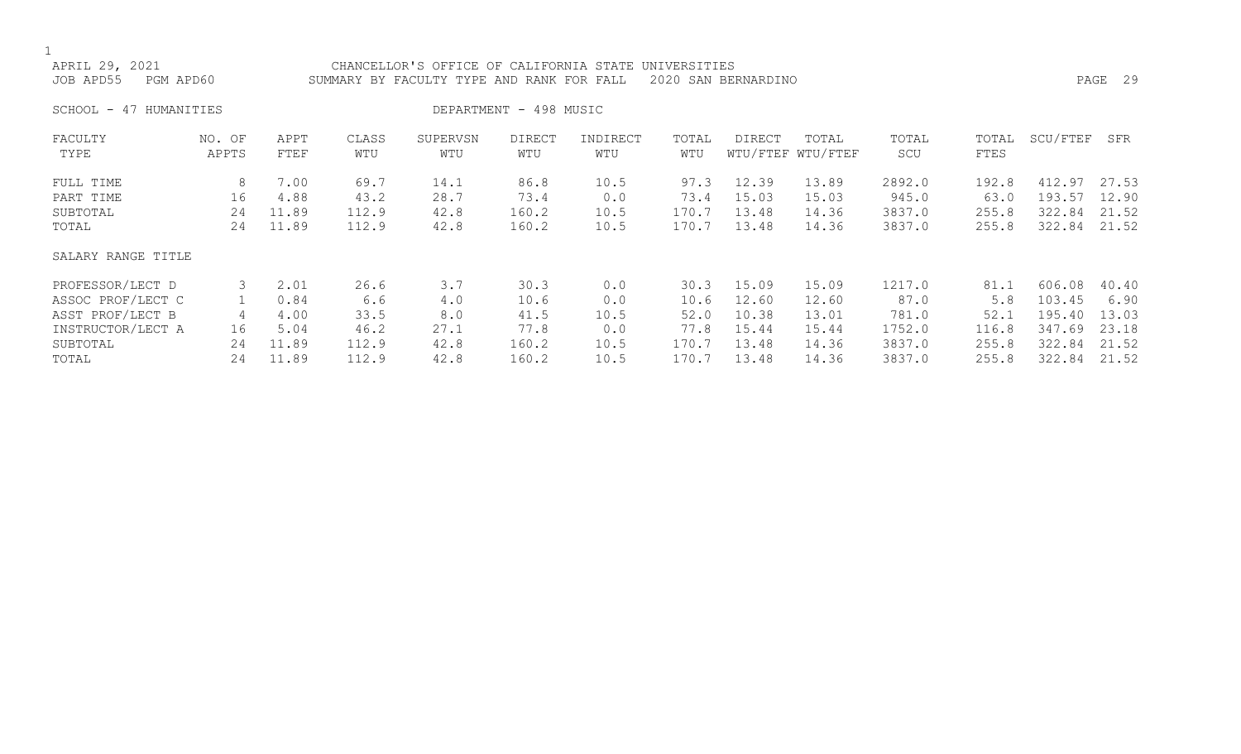| DEPARTMENT - 498 MUSIC<br>47 HUMANITIES<br>SCHOOL -<br>SCU/FTEF<br>FACULTY<br>APPT<br>CLASS<br>SUPERVSN<br>DIRECT<br>INDIRECT<br>TOTAL<br>DIRECT<br>TOTAL<br>TOTAL<br>NO. OF<br>TOTAL<br>WTU/FTEF WTU/FTEF<br>WTU<br>SCU<br>FTES<br>TYPE<br>APPTS<br>FTEF<br>WTU<br>WTU<br>WTU<br>WTU<br>2892.0<br>8<br>69.7<br>12.39<br>7.00<br>14.1<br>86.8<br>10.5<br>97.3<br>13.89<br>192.8<br>412.97<br>FULL TIME<br>16<br>28.7<br>73.4<br>73.4<br>15.03<br>945.0<br>193.57<br>4.88<br>43.2<br>0.0<br>15.03<br>63.0<br>PART TIME<br>170.7<br>13.48<br>3837.0<br>24<br>11.89<br>112.9<br>42.8<br>160.2<br>14.36<br>255.8<br>322.84<br>SUBTOTAL<br>10.5<br>13.48<br>170.7<br>3837.0<br>322.84<br>11.89<br>112.9<br>42.8<br>160.2<br>10.5<br>14.36<br>255.8<br>TOTAL<br>24<br>SALARY RANGE TITLE<br>3.7<br>3<br>26.6<br>30.3<br>0.0<br>15.09<br>1217.0<br>PROFESSOR/LECT D<br>2.01<br>15.09<br>81.1<br>606.08<br>30.3<br>12.60<br>ASSOC PROF/LECT C<br>0.84<br>6.6<br>4.0<br>0.0<br>10.6<br>12.60<br>87.0<br>5.8<br>103.45<br>10.6<br>ASST PROF/LECT B<br>52.0<br>10.38<br>781.0<br>195.40<br>33.5<br>8.0<br>41.5<br>10.5<br>13.01<br>52.1<br>4.00<br>4<br>1752.0<br>347.69<br>INSTRUCTOR/LECT A<br>46.2<br>27.1<br>77.8<br>0.0<br>77.8<br>15.44<br>116.8<br>16<br>5.04<br>15.44<br>13.48<br>3837.0<br>SUBTOTAL<br>11.89<br>112.9<br>42.8<br>160.2<br>170.7<br>14.36<br>255.8<br>322.84<br>24<br>10.5<br>11.89<br>13.48<br>112.9<br>42.8<br>160.2<br>10.5<br>170.7<br>14.36<br>3837.0<br>322.84<br>TOTAL<br>24<br>255.8 | APRIL 29, 2021<br>JOB APD55<br>PGM APD60 |  | CHANCELLOR'S OFFICE OF CALIFORNIA STATE UNIVERSITIES<br>SUMMARY BY FACULTY TYPE AND RANK FOR FALL |  | 2020 SAN BERNARDINO |  |  | PAGE 29 |
|-----------------------------------------------------------------------------------------------------------------------------------------------------------------------------------------------------------------------------------------------------------------------------------------------------------------------------------------------------------------------------------------------------------------------------------------------------------------------------------------------------------------------------------------------------------------------------------------------------------------------------------------------------------------------------------------------------------------------------------------------------------------------------------------------------------------------------------------------------------------------------------------------------------------------------------------------------------------------------------------------------------------------------------------------------------------------------------------------------------------------------------------------------------------------------------------------------------------------------------------------------------------------------------------------------------------------------------------------------------------------------------------------------------------------------------------------------------------------------------------------------------|------------------------------------------|--|---------------------------------------------------------------------------------------------------|--|---------------------|--|--|---------|
|                                                                                                                                                                                                                                                                                                                                                                                                                                                                                                                                                                                                                                                                                                                                                                                                                                                                                                                                                                                                                                                                                                                                                                                                                                                                                                                                                                                                                                                                                                           |                                          |  |                                                                                                   |  |                     |  |  |         |
|                                                                                                                                                                                                                                                                                                                                                                                                                                                                                                                                                                                                                                                                                                                                                                                                                                                                                                                                                                                                                                                                                                                                                                                                                                                                                                                                                                                                                                                                                                           |                                          |  |                                                                                                   |  |                     |  |  | SFR     |
|                                                                                                                                                                                                                                                                                                                                                                                                                                                                                                                                                                                                                                                                                                                                                                                                                                                                                                                                                                                                                                                                                                                                                                                                                                                                                                                                                                                                                                                                                                           |                                          |  |                                                                                                   |  |                     |  |  | 27.53   |
|                                                                                                                                                                                                                                                                                                                                                                                                                                                                                                                                                                                                                                                                                                                                                                                                                                                                                                                                                                                                                                                                                                                                                                                                                                                                                                                                                                                                                                                                                                           |                                          |  |                                                                                                   |  |                     |  |  | 12.90   |
|                                                                                                                                                                                                                                                                                                                                                                                                                                                                                                                                                                                                                                                                                                                                                                                                                                                                                                                                                                                                                                                                                                                                                                                                                                                                                                                                                                                                                                                                                                           |                                          |  |                                                                                                   |  |                     |  |  | 21.52   |
|                                                                                                                                                                                                                                                                                                                                                                                                                                                                                                                                                                                                                                                                                                                                                                                                                                                                                                                                                                                                                                                                                                                                                                                                                                                                                                                                                                                                                                                                                                           |                                          |  |                                                                                                   |  |                     |  |  | 21.52   |
|                                                                                                                                                                                                                                                                                                                                                                                                                                                                                                                                                                                                                                                                                                                                                                                                                                                                                                                                                                                                                                                                                                                                                                                                                                                                                                                                                                                                                                                                                                           |                                          |  |                                                                                                   |  |                     |  |  |         |
|                                                                                                                                                                                                                                                                                                                                                                                                                                                                                                                                                                                                                                                                                                                                                                                                                                                                                                                                                                                                                                                                                                                                                                                                                                                                                                                                                                                                                                                                                                           |                                          |  |                                                                                                   |  |                     |  |  | 40.40   |
|                                                                                                                                                                                                                                                                                                                                                                                                                                                                                                                                                                                                                                                                                                                                                                                                                                                                                                                                                                                                                                                                                                                                                                                                                                                                                                                                                                                                                                                                                                           |                                          |  |                                                                                                   |  |                     |  |  | 6.90    |
|                                                                                                                                                                                                                                                                                                                                                                                                                                                                                                                                                                                                                                                                                                                                                                                                                                                                                                                                                                                                                                                                                                                                                                                                                                                                                                                                                                                                                                                                                                           |                                          |  |                                                                                                   |  |                     |  |  | 13.03   |
|                                                                                                                                                                                                                                                                                                                                                                                                                                                                                                                                                                                                                                                                                                                                                                                                                                                                                                                                                                                                                                                                                                                                                                                                                                                                                                                                                                                                                                                                                                           |                                          |  |                                                                                                   |  |                     |  |  | 23.18   |
|                                                                                                                                                                                                                                                                                                                                                                                                                                                                                                                                                                                                                                                                                                                                                                                                                                                                                                                                                                                                                                                                                                                                                                                                                                                                                                                                                                                                                                                                                                           |                                          |  |                                                                                                   |  |                     |  |  | 21.52   |
|                                                                                                                                                                                                                                                                                                                                                                                                                                                                                                                                                                                                                                                                                                                                                                                                                                                                                                                                                                                                                                                                                                                                                                                                                                                                                                                                                                                                                                                                                                           |                                          |  |                                                                                                   |  |                     |  |  | 21.52   |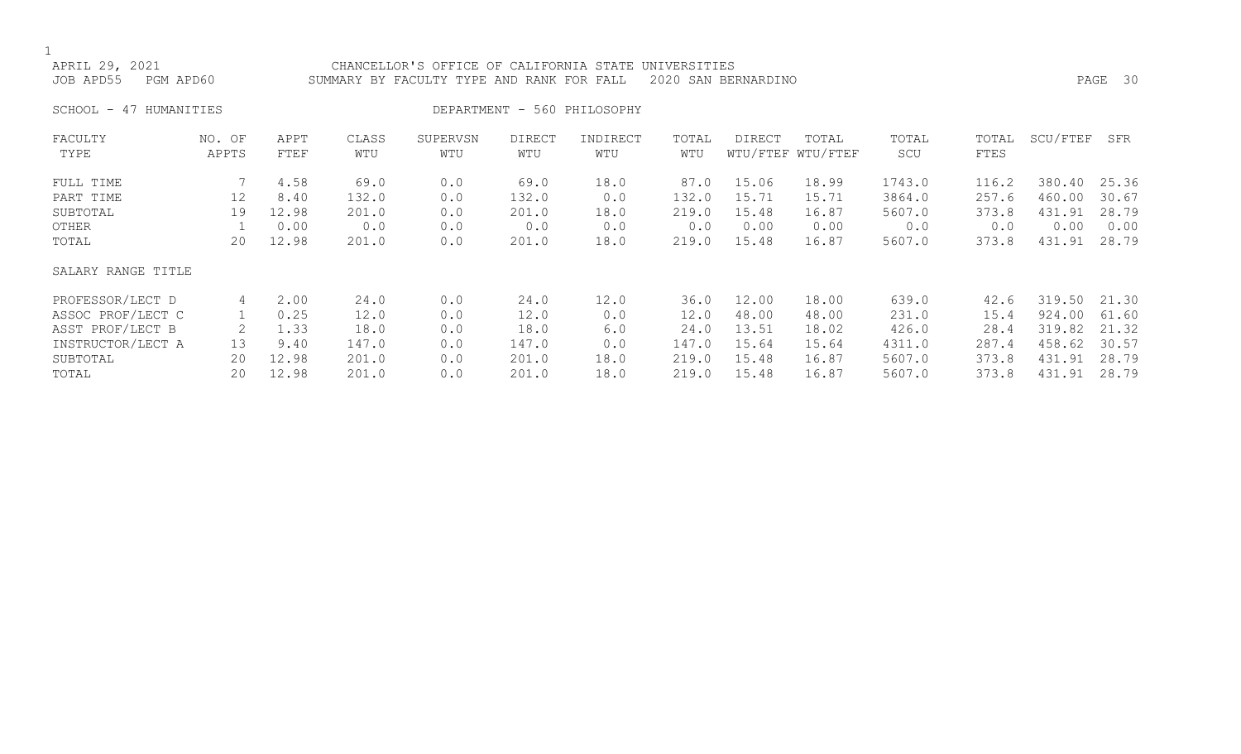APRIL 29, 2021 CHANCELLOR'S OFFICE OF CALIFORNIA STATE UNIVERSITIES JOB APD55 PGM APD60 SUMMARY BY FACULTY TYPE AND RANK FOR FALL 2020 SAN BERNARDINO PAGE 30 SCHOOL - 47 HUMANITIES DEPARTMENT - 560 PHILOSOPHY

| FACULTY<br>TYPE        | NO. OF<br>APPTS   | APPT<br>FTEF  | CLASS<br>WTU  | SUPERVSN<br>WTU | <b>DIRECT</b><br>WTU | INDIRECT<br>WTU | TOTAL<br>WTU  | DIRECT         | TOTAL<br>WTU/FTEF WTU/FTEF | TOTAL<br>SCU     | TOTAL<br>FTES  | SCU/FTEF         | SFR            |
|------------------------|-------------------|---------------|---------------|-----------------|----------------------|-----------------|---------------|----------------|----------------------------|------------------|----------------|------------------|----------------|
| FULL TIME<br>PART TIME | $12 \overline{ }$ | 4.58<br>8.40  | 69.0<br>132.0 | 0.0<br>0.0      | 69.0<br>132.0        | 18.0<br>0.0     | 87.0<br>132.0 | 15.06<br>15.71 | 18.99<br>15.71             | 1743.0<br>3864.0 | 116.2<br>257.6 | 380.40<br>460.00 | 25.36<br>30.67 |
| SUBTOTAL               | 19                | 12.98         | 201.0         | 0.0             | 201.0                | 18.0            | 219.0         | 15.48          | 16.87                      | 5607.0           | 373.8          | 431.91           | 28.79          |
| OTHER<br>TOTAL         | 20                | 0.00<br>12.98 | 0.0<br>201.0  | 0.0<br>0.0      | 0.0<br>201.0         | 0.0<br>18.0     | 0.0<br>219.0  | 0.00<br>15.48  | 0.00<br>16.87              | 0.0<br>5607.0    | 0.0<br>373.8   | 0.00<br>431.91   | 0.00<br>28.79  |
| SALARY RANGE TITLE     |                   |               |               |                 |                      |                 |               |                |                            |                  |                |                  |                |
| PROFESSOR/LECT D       | 4                 | 2.00          | 24.0          | 0.0             | 24.0                 | 12.0            | 36.0          | 12.00          | 18.00                      | 639.0            | 42.6           | 319.50           | 21.30          |
| ASSOC PROF/LECT C      |                   | 0.25          | 12.0          | 0.0             | 12.0                 | 0.0             | 12.0          | 48.00          | 48.00                      | 231.0            | 15.4           | 924.00           | 61.60          |
| ASST PROF/LECT B       |                   | 1.33          | 18.0          | 0.0             | 18.0                 | 6.0             | 24.0          | 13.51          | 18.02                      | 426.0            | 28.4           | 319.82           | 21.32          |
| INSTRUCTOR/LECT A      | 13                | 9.40          | 147.0         | 0.0             | 147.0                | 0.0             | 147.0         | 15.64          | 15.64                      | 4311.0           | 287.4          | 458.62           | 30.57          |
| SUBTOTAL               | 20                | 12.98         | 201.0         | 0.0             | 201.0                | 18.0            | 219.0         | 15.48          | 16.87                      | 5607.0           | 373.8          | 431.91           | 28.79          |
| TOTAL                  | 20                | 12.98         | 201.0         | 0.0             | 201.0                | 18.0            | 219.0         | 15.48          | 16.87                      | 5607.0           | 373.8          | 431.91           | 28.79          |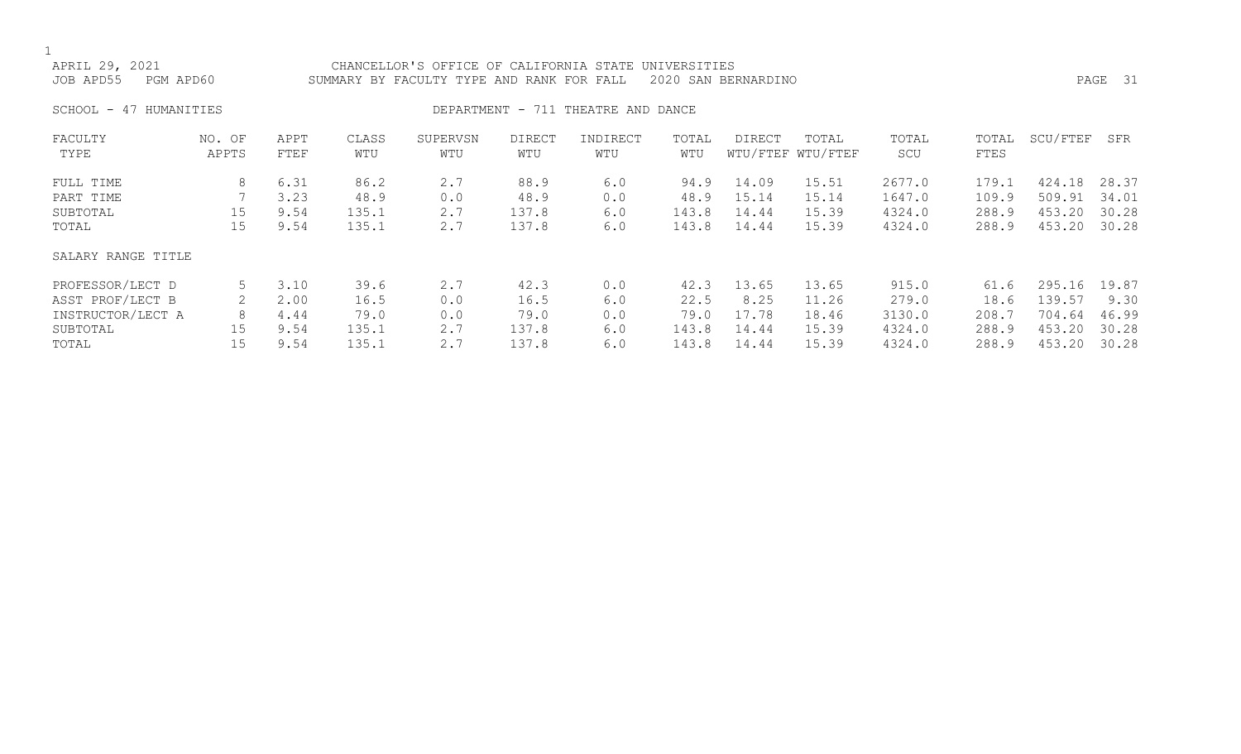| APRIL 29, 2021<br>PGM APD60<br>JOB APD55 |                 |              |              | CHANCELLOR'S OFFICE OF CALIFORNIA STATE UNIVERSITIES<br>SUMMARY BY FACULTY TYPE AND RANK FOR FALL |               |                                    |              | 2020 SAN BERNARDINO |                            |              |               |          | PAGE 31 |
|------------------------------------------|-----------------|--------------|--------------|---------------------------------------------------------------------------------------------------|---------------|------------------------------------|--------------|---------------------|----------------------------|--------------|---------------|----------|---------|
| $SCHOOL - 47$<br>HUMANITIES              |                 |              |              |                                                                                                   |               | DEPARTMENT - 711 THEATRE AND DANCE |              |                     |                            |              |               |          |         |
| FACULTY<br>TYPE                          | NO. OF<br>APPTS | APPT<br>FTEF | CLASS<br>WTU | SUPERVSN<br>WTU                                                                                   | DIRECT<br>WTU | INDIRECT<br>WTU                    | TOTAL<br>WTU | DIRECT              | TOTAL<br>WTU/FTEF WTU/FTEF | TOTAL<br>SCU | TOTAL<br>FTES | SCU/FTEF | SFR     |
| FULL TIME                                | 8               | 6.31         | 86.2         | 2.7                                                                                               | 88.9          | 6.0                                | 94.9         | 14.09               | 15.51                      | 2677.0       | 179.1         | 424.18   | 28.37   |
| PART TIME                                |                 | 3.23         | 48.9         | 0.0                                                                                               | 48.9          | 0.0                                | 48.9         | 15.14               | 15.14                      | 1647.0       | 109.9         | 509.91   | 34.01   |
| SUBTOTAL                                 | 15              | 9.54         | 135.1        | 2.7                                                                                               | 137.8         | 6.0                                | 143.8        | 14.44               | 15.39                      | 4324.0       | 288.9         | 453.20   | 30.28   |
| TOTAL                                    | 15              | 9.54         | 135.1        | 2.7                                                                                               | 137.8         | 6.0                                | 143.8        | 14.44               | 15.39                      | 4324.0       | 288.9         | 453.20   | 30.28   |
| SALARY RANGE TITLE                       |                 |              |              |                                                                                                   |               |                                    |              |                     |                            |              |               |          |         |
| PROFESSOR/LECT D                         | 5               | 3.10         | 39.6         | 2.7                                                                                               | 42.3          | 0.0                                | 42.3         | 13.65               | 13.65                      | 915.0        | 61.6          | 295.16   | 19.87   |
| ASST PROF/LECT B                         |                 | 2.00         | 16.5         | 0.0                                                                                               | 16.5          | 6.0                                | 22.5         | 8.25                | 11.26                      | 279.0        | 18.6          | 139.57   | 9.30    |
| INSTRUCTOR/LECT A                        | 8               | 4.44         | 79.0         | 0.0                                                                                               | 79.0          | 0.0                                | 79.0         | 17.78               | 18.46                      | 3130.0       | 208.7         | 704.64   | 46.99   |
| SUBTOTAL                                 | 15              | 9.54         | 135.1        | 2.7                                                                                               | 137.8         | 6.0                                | 143.8        | 14.44               | 15.39                      | 4324.0       | 288.9         | 453.20   | 30.28   |
| TOTAL                                    | 15              | 9.54         | 135.1        | 2.7                                                                                               | 137.8         | 6.0                                | 143.8        | 14.44               | 15.39                      | 4324.0       | 288.9         | 453.20   | 30.28   |
|                                          |                 |              |              |                                                                                                   |               |                                    |              |                     |                            |              |               |          |         |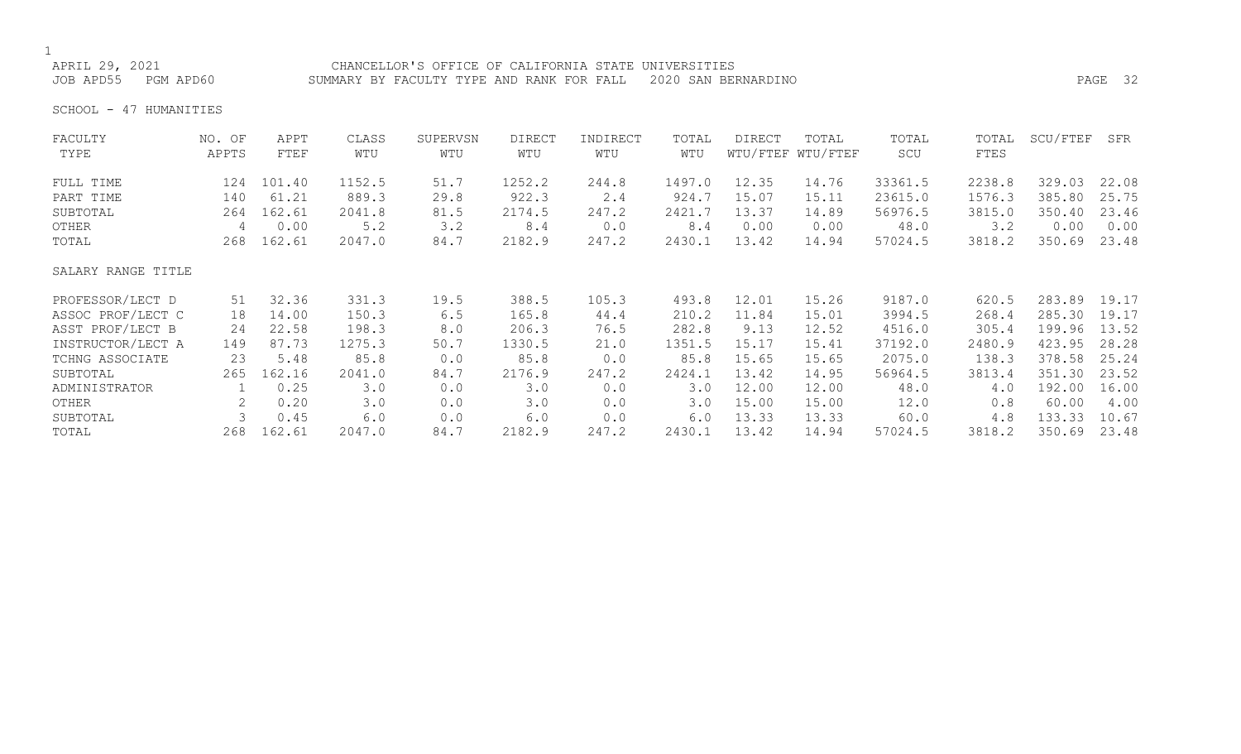# 1<br>APRIL 29, 2021

CHANCELLOR'S OFFICE OF CALIFORNIA STATE UNIVERSITIES JOB APD55 PGM APD60 SUMMARY BY FACULTY TYPE AND RANK FOR FALL 2020 SAN BERNARDINO PAGE 32

SCHOOL - 47 HUMANITIES

| FACULTY            | NO. OF | APPT   | CLASS  | SUPERVSN | <b>DIRECT</b> | INDIRECT | TOTAL  | <b>DIRECT</b> | TOTAL             | TOTAL   | TOTAL  | SCU/FTEF | SFR   |
|--------------------|--------|--------|--------|----------|---------------|----------|--------|---------------|-------------------|---------|--------|----------|-------|
| TYPE               | APPTS  | FTEF   | WTU    | WTU      | WTU           | WTU      | WTU    |               | WTU/FTEF WTU/FTEF | SCU     | FTES   |          |       |
| FULL TIME          | 124    | 101.40 | 1152.5 | 51.7     | 1252.2        | 244.8    | 1497.0 | 12.35         | 14.76             | 33361.5 | 2238.8 | 329.03   | 22.08 |
| PART TIME          | 140    | 61.21  | 889.3  | 29.8     | 922.3         | 2.4      | 924.7  | 15.07         | 15.11             | 23615.0 | 1576.3 | 385.80   | 25.75 |
| SUBTOTAL           | 264    | 162.61 | 2041.8 | 81.5     | 2174.5        | 247.2    | 2421.7 | 13.37         | 14.89             | 56976.5 | 3815.0 | 350.40   | 23.46 |
| OTHER              | 4      | 0.00   | 5.2    | 3.2      | 8.4           | 0.0      | 8.4    | 0.00          | 0.00              | 48.0    | 3.2    | 0.00     | 0.00  |
| TOTAL              | 268    | 162.61 | 2047.0 | 84.7     | 2182.9        | 247.2    | 2430.1 | 13.42         | 14.94             | 57024.5 | 3818.2 | 350.69   | 23.48 |
| SALARY RANGE TITLE |        |        |        |          |               |          |        |               |                   |         |        |          |       |
| PROFESSOR/LECT D   | 51     | 32.36  | 331.3  | 19.5     | 388.5         | 105.3    | 493.8  | 12.01         | 15.26             | 9187.0  | 620.5  | 283.89   | 19.17 |
| ASSOC PROF/LECT C  | 18     | 14.00  | 150.3  | 6.5      | 165.8         | 44.4     | 210.2  | 11.84         | 15.01             | 3994.5  | 268.4  | 285.30   | 19.17 |
| ASST PROF/LECT B   | 24     | 22.58  | 198.3  | 8.0      | 206.3         | 76.5     | 282.8  | 9.13          | 12.52             | 4516.0  | 305.4  | 199.96   | 13.52 |
| INSTRUCTOR/LECT A  | 149    | 87.73  | 1275.3 | 50.7     | 1330.5        | 21.0     | 1351.5 | 15.17         | 15.41             | 37192.0 | 2480.9 | 423.95   | 28.28 |
| TCHNG ASSOCIATE    | 23     | 5.48   | 85.8   | 0.0      | 85.8          | 0.0      | 85.8   | 15.65         | 15.65             | 2075.0  | 138.3  | 378.58   | 25.24 |
| SUBTOTAL           | 265    | 162.16 | 2041.0 | 84.7     | 2176.9        | 247.2    | 2424.1 | 13.42         | 14.95             | 56964.5 | 3813.4 | 351.30   | 23.52 |
| ADMINISTRATOR      |        | 0.25   | 3.0    | 0.0      | 3.0           | 0.0      | 3.0    | 12.00         | 12.00             | 48.0    | 4.0    | 192.00   | 16.00 |
| OTHER              |        | 0.20   | 3.0    | 0.0      | 3.0           | 0.0      | 3.0    | 15.00         | 15.00             | 12.0    | 0.8    | 60.00    | 4.00  |
| SUBTOTAL           |        | 0.45   | 6.0    | 0.0      | 6.0           | 0.0      | 6.0    | 13.33         | 13.33             | 60.0    | 4.8    | 133.33   | 10.67 |
| TOTAL              | 268    | 162.61 | 2047.0 | 84.7     | 2182.9        | 247.2    | 2430.1 | 13.42         | 14.94             | 57024.5 | 3818.2 | 350.69   | 23.48 |
|                    |        |        |        |          |               |          |        |               |                   |         |        |          |       |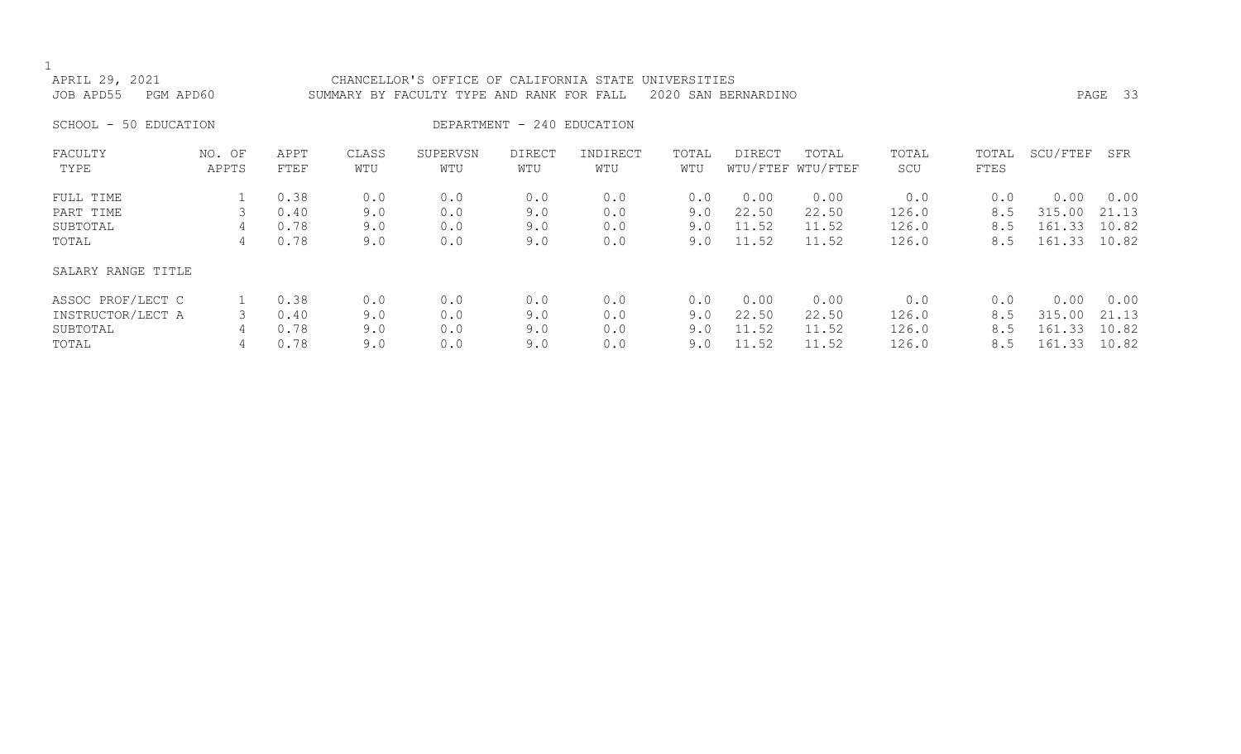| APRIL 29, 2021<br>JOB APD55<br>PGM APD60 |                 |              |              | CHANCELLOR'S OFFICE OF CALIFORNIA STATE<br>SUMMARY BY FACULTY TYPE AND RANK FOR FALL |                            |                 | UNIVERSITIES | 2020 SAN BERNARDINO |                            |              |               |          | PAGE 33 |
|------------------------------------------|-----------------|--------------|--------------|--------------------------------------------------------------------------------------|----------------------------|-----------------|--------------|---------------------|----------------------------|--------------|---------------|----------|---------|
| SCHOOL - 50 EDUCATION                    |                 |              |              |                                                                                      | DEPARTMENT - 240 EDUCATION |                 |              |                     |                            |              |               |          |         |
| FACULTY<br>TYPE                          | NO. OF<br>APPTS | APPT<br>FTEF | CLASS<br>WTU | SUPERVSN<br>WTU                                                                      | DIRECT<br>WTU              | INDIRECT<br>WTU | TOTAL<br>WTU | DIRECT              | TOTAL<br>WTU/FTEF WTU/FTEF | TOTAL<br>SCU | TOTAL<br>FTES | SCU/FTEF | SFR     |
| FULL TIME                                |                 | 0.38         | 0.0          | 0.0                                                                                  | 0.0                        | 0.0             | 0.0          | 0.00                | 0.00                       | 0.0          | 0.0           | 0.00     | 0.00    |
| PART TIME                                | 3               | 0.40         | 9.0          | 0.0                                                                                  | 9.0                        | 0.0             | 9.0          | 22.50               | 22.50                      | 126.0        | 8.5           | 315.00   | 21.13   |
| SUBTOTAL                                 | 4               | 0.78         | 9.0          | 0.0                                                                                  | 9.0                        | 0.0             | 9.0          | 11.52               | 11.52                      | 126.0        | 8.5           | 161.33   | 10.82   |
| TOTAL                                    | 4               | 0.78         | 9.0          | 0.0                                                                                  | 9.0                        | 0.0             | 9.0          | 11.52               | 11.52                      | 126.0        | 8.5           | 161.33   | 10.82   |
| SALARY RANGE TITLE                       |                 |              |              |                                                                                      |                            |                 |              |                     |                            |              |               |          |         |
| ASSOC PROF/LECT C                        |                 | 0.38         | 0.0          | 0.0                                                                                  | 0.0                        | 0.0             | 0.0          | 0.00                | 0.00                       | 0.0          | 0.0           | 0.00     | 0.00    |
| INSTRUCTOR/LECT A                        | 3               | 0.40         | 9.0          | 0.0                                                                                  | 9.0                        | 0.0             | 9.0          | 22.50               | 22.50                      | 126.0        | 8.5           | 315.00   | 21.13   |
| SUBTOTAL                                 | 4               | 0.78         | 9.0          | 0.0                                                                                  | 9.0                        | 0.0             | 9.0          | 11.52               | 11.52                      | 126.0        | 8.5           | 161.33   | 10.82   |
| TOTAL                                    | 4               | 0.78         | 9.0          | 0.0                                                                                  | 9.0                        | 0.0             | 9.0          | 11.52               | 11.52                      | 126.0        | 8.5           | 161.33   | 10.82   |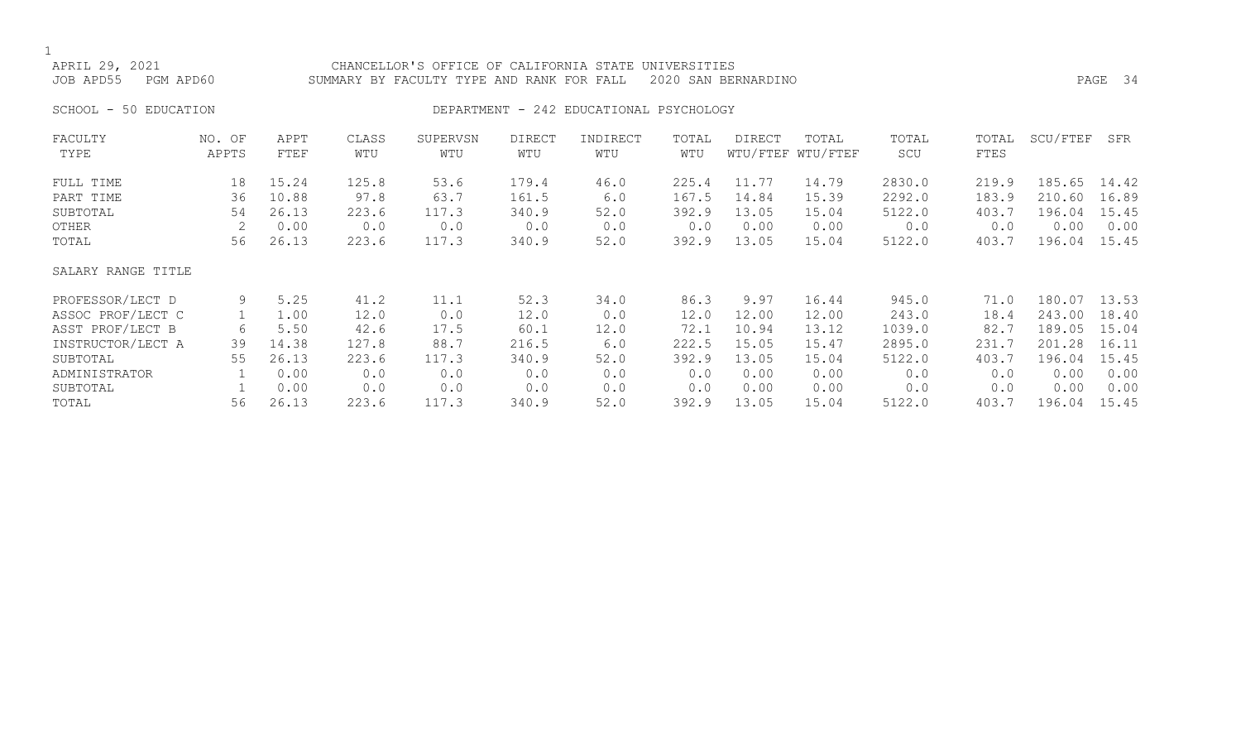APRIL 29, 2021 CHANCELLOR'S OFFICE OF CALIFORNIA STATE UNIVERSITIES JOB APD55 PGM APD60 SUMMARY BY FACULTY TYPE AND RANK FOR FALL 2020 SAN BERNARDINO PAGE 34

#### SCHOOL - 50 EDUCATION **DEPARTMENT - 242 EDUCATIONAL PSYCHOLOGY**

| FACULTY            | NO. OF | APPT  | CLASS | SUPERVSN | <b>DIRECT</b> | INDIRECT | TOTAL | <b>DIRECT</b> | TOTAL             | TOTAL  | TOTAL | SCU/FTEF | SFR   |
|--------------------|--------|-------|-------|----------|---------------|----------|-------|---------------|-------------------|--------|-------|----------|-------|
| TYPE               | APPTS  | FTEF  | WTU   | WTU      | WTU           | WTU      | WTU   |               | WTU/FTEF WTU/FTEF | SCU    | FTES  |          |       |
| FULL TIME          | 18     | 15.24 | 125.8 | 53.6     | 179.4         | 46.0     | 225.4 | 11.77         | 14.79             | 2830.0 | 219.9 | 185.65   | 14.42 |
| PART TIME          | 36     | 10.88 | 97.8  | 63.7     | 161.5         | 6.0      | 167.5 | 14.84         | 15.39             | 2292.0 | 183.9 | 210.60   | 16.89 |
| SUBTOTAL           | 54     | 26.13 | 223.6 | 117.3    | 340.9         | 52.0     | 392.9 | 13.05         | 15.04             | 5122.0 | 403.7 | 196.04   | 15.45 |
| OTHER              |        | 0.00  | 0.0   | 0.0      | 0.0           | 0.0      | 0.0   | 0.00          | 0.00              | 0.0    | 0.0   | 0.00     | 0.00  |
| TOTAL              | 56     | 26.13 | 223.6 | 117.3    | 340.9         | 52.0     | 392.9 | 13.05         | 15.04             | 5122.0 | 403.7 | 196.04   | 15.45 |
| SALARY RANGE TITLE |        |       |       |          |               |          |       |               |                   |        |       |          |       |
| PROFESSOR/LECT D   | 9      | 5.25  | 41.2  | 11.1     | 52.3          | 34.0     | 86.3  | 9.97          | 16.44             | 945.0  | 71.0  | 180.07   | 13.53 |
| ASSOC PROF/LECT C  |        | 1.00  | 12.0  | 0.0      | 12.0          | 0.0      | 12.0  | 12.00         | 12.00             | 243.0  | 18.4  | 243.00   | 18.40 |
| ASST PROF/LECT B   | 6      | 5.50  | 42.6  | 17.5     | 60.1          | 12.0     | 72.1  | 10.94         | 13.12             | 1039.0 | 82.7  | 189.05   | 15.04 |
| INSTRUCTOR/LECT A  | 39     | 14.38 | 127.8 | 88.7     | 216.5         | 6.0      | 222.5 | 15.05         | 15.47             | 2895.0 | 231.7 | 201.28   | 16.11 |
| SUBTOTAL           | 55     | 26.13 | 223.6 | 117.3    | 340.9         | 52.0     | 392.9 | 13.05         | 15.04             | 5122.0 | 403.7 | 196.04   | 15.45 |
| ADMINISTRATOR      |        | 0.00  | 0.0   | 0.0      | 0.0           | 0.0      | 0.0   | 0.00          | 0.00              | 0.0    | 0.0   | 0.00     | 0.00  |
| SUBTOTAL           |        | 0.00  | 0.0   | 0.0      | 0.0           | 0.0      | 0.0   | 0.00          | 0.00              | 0.0    | 0.0   | 0.00     | 0.00  |
| TOTAL              | 56     | 26.13 | 223.6 | 117.3    | 340.9         | 52.0     | 392.9 | 13.05         | 15.04             | 5122.0 | 403.7 | 196.04   | 15.45 |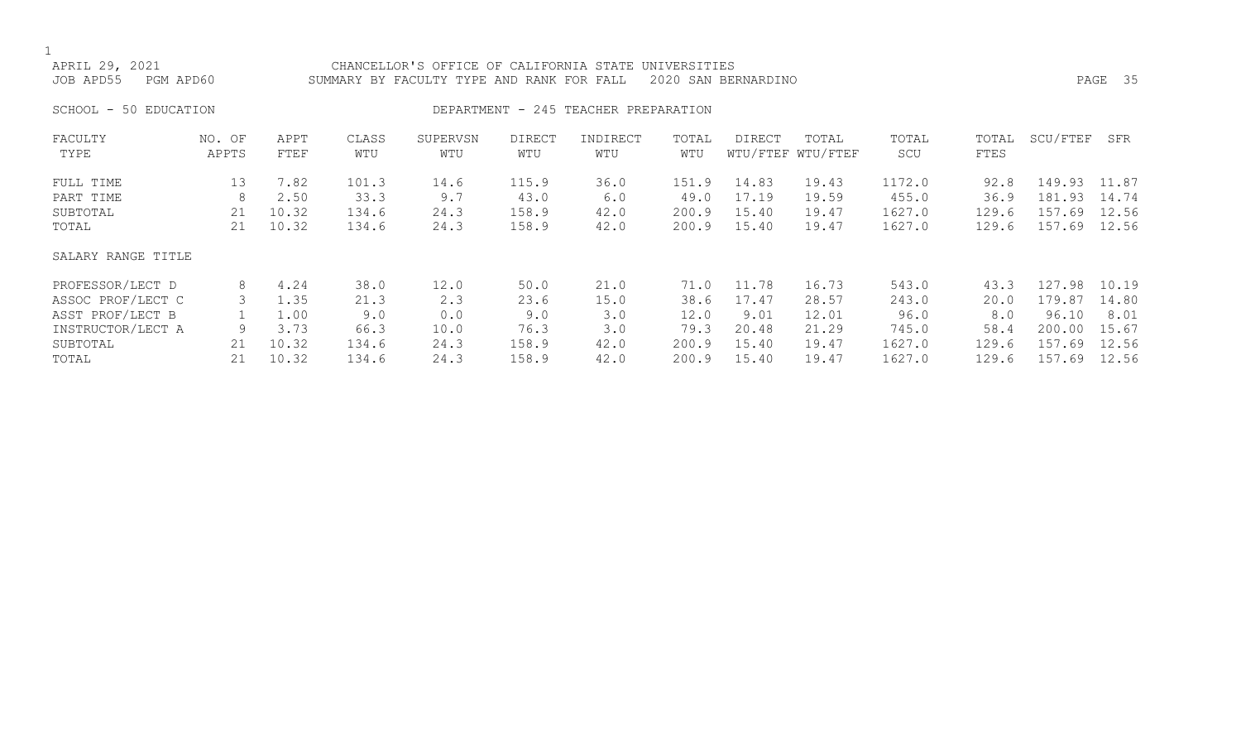1<br>APRIL 29, 2021 APRIL 29, 2021 CHANCELLOR'S OFFICE OF CALIFORNIA STATE UNIVERSITIES SUMMARY BY FACULTY TYPE AND RANK FOR FALL 2020 SAN BERNARDINO PAGE 2005 FAGE 35 SCHOOL - 50 EDUCATION **DEPARTMENT - 245 TEACHER PREPARATION** FACULTY NO. OF APPT CLASS SUPERVSN DIRECT INDIRECT TOTAL DIRECT TOTAL TOTAL TOTAL SCU/FTEF SFR WTU/FTEF WTU/FTEF FULL TIME 13 7.82 101.3 14.6 115.9 36.0 151.9 14.83 19.43 1172.0 92.8 149.93 11.87 PART TIME 8 2.50 33.3 9.7 43.0 6.0 49.0 17.19 19.59 455.0 36.9 181.93 14.74 SUBTOTAL 21 10.32 134.6 24.3 158.9 42.0 200.9 15.40 19.47 1627.0 129.6 157.69 12.56 TOTAL 21 10.32 134.6 24.3 158.9 42.0 200.9 15.40 19.47 1627.0 129.6 157.69 12.56 SALARY RANGE TITLE PROFESSOR/LECT D 8 4.24 38.0 12.0 50.0 21.0 71.0 11.78 16.73 543.0 43.3 127.98 10.19 ASSOC PROF/LECT C 3 1.35 21.3 2.3 23.6 15.0 38.6 17.47 28.57 243.0 20.0 179.87 14.80 ASST PROF/LECT B 1 1.00 9.0 0.0 9.0 3.0 12.0 9.01 12.01 96.0 8.0 96.10 8.01 INSTRUCTOR/LECT A 9 3.73 66.3 10.0 76.3 3.0 79.3 20.48 21.29 745.0 58.4 200.00 15.67

SUBTOTAL 21 10.32 134.6 24.3 158.9 42.0 200.9 15.40 19.47 1627.0 129.6 157.69 12.56

129.6 157.69 12.56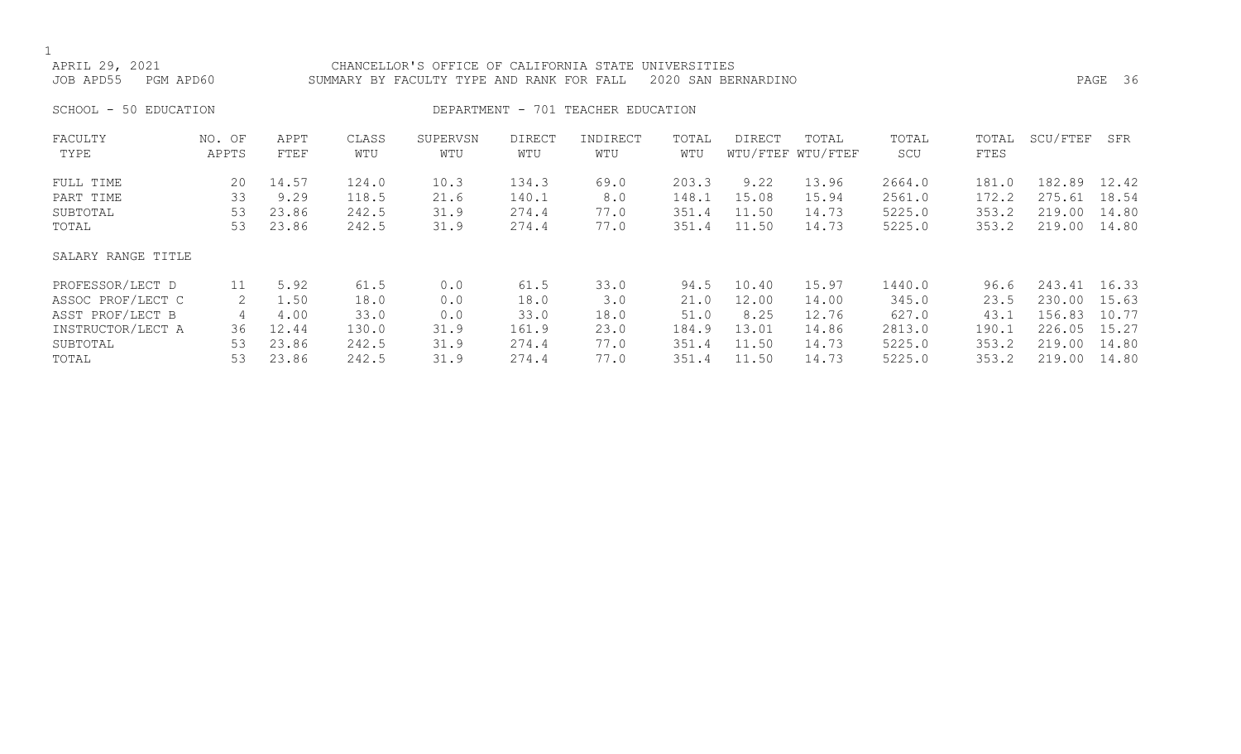| APRIL 29, 2021<br>PGM APD60<br>JOB APD55 |                 |              |              | CHANCELLOR'S OFFICE OF CALIFORNIA STATE UNIVERSITIES<br>SUMMARY BY FACULTY TYPE AND RANK FOR FALL |                      |                       |              | 2020 SAN BERNARDINO |                            |              |               |              | PAGE 36 |
|------------------------------------------|-----------------|--------------|--------------|---------------------------------------------------------------------------------------------------|----------------------|-----------------------|--------------|---------------------|----------------------------|--------------|---------------|--------------|---------|
| 50 EDUCATION<br>SCHOOL -                 |                 |              |              | DEPARTMENT -                                                                                      |                      | 701 TEACHER EDUCATION |              |                     |                            |              |               |              |         |
| FACULTY<br>TYPE                          | NO. OF<br>APPTS | APPT<br>FTEF | CLASS<br>WTU | SUPERVSN<br>WTU                                                                                   | <b>DIRECT</b><br>WTU | INDIRECT<br>WTU       | TOTAL<br>WTU | <b>DIRECT</b>       | TOTAL<br>WTU/FTEF WTU/FTEF | TOTAL<br>SCU | TOTAL<br>FTES | SCU/FTEF     | SFR     |
| FULL TIME                                | 20              | 14.57        | 124.0        | 10.3                                                                                              | 134.3                | 69.0                  | 203.3        | 9.22                | 13.96                      | 2664.0       | 181.0         | 182.89       | 12.42   |
| PART TIME                                | 33              | 9.29         | 118.5        | 21.6                                                                                              | 140.1                | 8.0                   | 148.1        | 15.08               | 15.94                      | 2561.0       | 172.2         | 275.61       | 18.54   |
| SUBTOTAL                                 | 53              | 23.86        | 242.5        | 31.9                                                                                              | 274.4                | 77.0                  | 351.4        | 11.50               | 14.73                      | 5225.0       | 353.2         | 219.00       | 14.80   |
| TOTAL                                    | 53              | 23.86        | 242.5        | 31.9                                                                                              | 274.4                | 77.0                  | 351.4        | 11.50               | 14.73                      | 5225.0       | 353.2         | 219.00       | 14.80   |
| SALARY RANGE TITLE                       |                 |              |              |                                                                                                   |                      |                       |              |                     |                            |              |               |              |         |
| PROFESSOR/LECT D                         | 11              | 5.92         | 61.5         | 0.0                                                                                               | 61.5                 | 33.0                  | 94.5         | 10.40               | 15.97                      | 1440.0       | 96.6          | 243.41 16.33 |         |
| ASSOC PROF/LECT C                        | 2               | 1.50         | 18.0         | 0.0                                                                                               | 18.0                 | 3.0                   | 21.0         | 12.00               | 14.00                      | 345.0        | 23.5          | 230.00       | 15.63   |
| ASST PROF/LECT B                         | 4               | 4.00         | 33.0         | 0.0                                                                                               | 33.0                 | 18.0                  | 51.0         | 8.25                | 12.76                      | 627.0        | 43.1          | 156.83       | 10.77   |
| INSTRUCTOR/LECT A                        | 36              | 12.44        | 130.0        | 31.9                                                                                              | 161.9                | 23.0                  | 184.9        | 13.01               | 14.86                      | 2813.0       | 190.1         | 226.05       | 15.27   |
| SUBTOTAL                                 | 53              | 23.86        | 242.5        | 31.9                                                                                              | 274.4                | 77.0                  | 351.4        | 11.50               | 14.73                      | 5225.0       | 353.2         | 219.00       | 14.80   |
|                                          |                 |              |              |                                                                                                   |                      |                       |              |                     |                            |              |               |              |         |

TOTAL 53 23.86 242.5 31.9 274.4 77.0 351.4 11.50 14.73 5225.0 353.2 219.00 14.80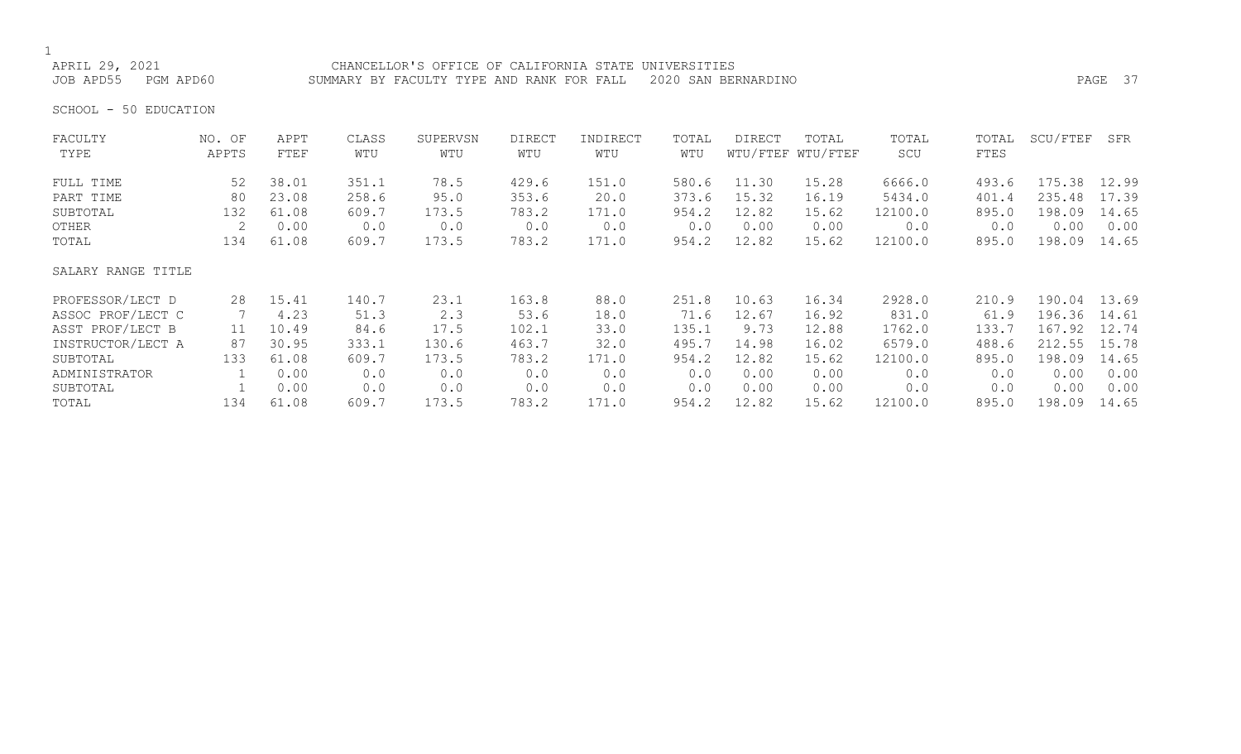# 1<br>APRIL 29, 2021

CHANCELLOR'S OFFICE OF CALIFORNIA STATE UNIVERSITIES JOB APD55 PGM APD60 SUMMARY BY FACULTY TYPE AND RANK FOR FALL 2020 SAN BERNARDINO PAGE 37

SCHOOL - 50 EDUCATION

| FACULTY            | NO. OF | APPT  | CLASS | SUPERVSN | <b>DIRECT</b> | INDIRECT | TOTAL | DIRECT | TOTAL             | TOTAL   | TOTAL | SCU/FTEF | SFR   |
|--------------------|--------|-------|-------|----------|---------------|----------|-------|--------|-------------------|---------|-------|----------|-------|
| TYPE               | APPTS  | FTEF  | WTU   | WTU      | WTU           | WTU      | WTU   |        | WTU/FTEF WTU/FTEF | SCU     | FTES  |          |       |
| FULL TIME          | 52     | 38.01 | 351.1 | 78.5     | 429.6         | 151.0    | 580.6 | 11.30  | 15.28             | 6666.0  | 493.6 | 175.38   | 12.99 |
| PART TIME          | 80     | 23.08 | 258.6 | 95.0     | 353.6         | 20.0     | 373.6 | 15.32  | 16.19             | 5434.0  | 401.4 | 235.48   | 17.39 |
| SUBTOTAL           | 132    | 61.08 | 609.7 | 173.5    | 783.2         | 171.0    | 954.2 | 12.82  | 15.62             | 12100.0 | 895.0 | 198.09   | 14.65 |
| OTHER              |        | 0.00  | 0.0   | 0.0      | 0.0           | 0.0      | 0.0   | 0.00   | 0.00              | 0.0     | 0.0   | 0.00     | 0.00  |
| TOTAL              | 134    | 61.08 | 609.7 | 173.5    | 783.2         | 171.0    | 954.2 | 12.82  | 15.62             | 12100.0 | 895.0 | 198.09   | 14.65 |
| SALARY RANGE TITLE |        |       |       |          |               |          |       |        |                   |         |       |          |       |
| PROFESSOR/LECT D   | 28     | 15.41 | 140.7 | 23.1     | 163.8         | 88.0     | 251.8 | 10.63  | 16.34             | 2928.0  | 210.9 | 190.04   | 13.69 |
| ASSOC PROF/LECT C  |        | 4.23  | 51.3  | 2.3      | 53.6          | 18.0     | 71.6  | 12.67  | 16.92             | 831.0   | 61.9  | 196.36   | 14.61 |
| ASST PROF/LECT B   | 11     | 10.49 | 84.6  | 17.5     | 102.1         | 33.0     | 135.1 | 9.73   | 12.88             | 1762.0  | 133.7 | 167.92   | 12.74 |
| INSTRUCTOR/LECT A  | 87     | 30.95 | 333.1 | 130.6    | 463.7         | 32.0     | 495.7 | 14.98  | 16.02             | 6579.0  | 488.6 | 212.55   | 15.78 |
| SUBTOTAL           | 133    | 61.08 | 609.7 | 173.5    | 783.2         | 171.0    | 954.2 | 12.82  | 15.62             | 12100.0 | 895.0 | 198.09   | 14.65 |
| ADMINISTRATOR      |        | 0.00  | 0.0   | 0.0      | 0.0           | 0.0      | 0.0   | 0.00   | 0.00              | 0.0     | 0.0   | 0.00     | 0.00  |
| SUBTOTAL           |        | 0.00  | 0.0   | 0.0      | 0.0           | 0.0      | 0.0   | 0.00   | 0.00              | 0.0     | 0.0   | 0.00     | 0.00  |
| TOTAL              | 134    | 61.08 | 609.7 | 173.5    | 783.2         | 171.0    | 954.2 | 12.82  | 15.62             | 12100.0 | 895.0 | 198.09   | 14.65 |
|                    |        |       |       |          |               |          |       |        |                   |         |       |          |       |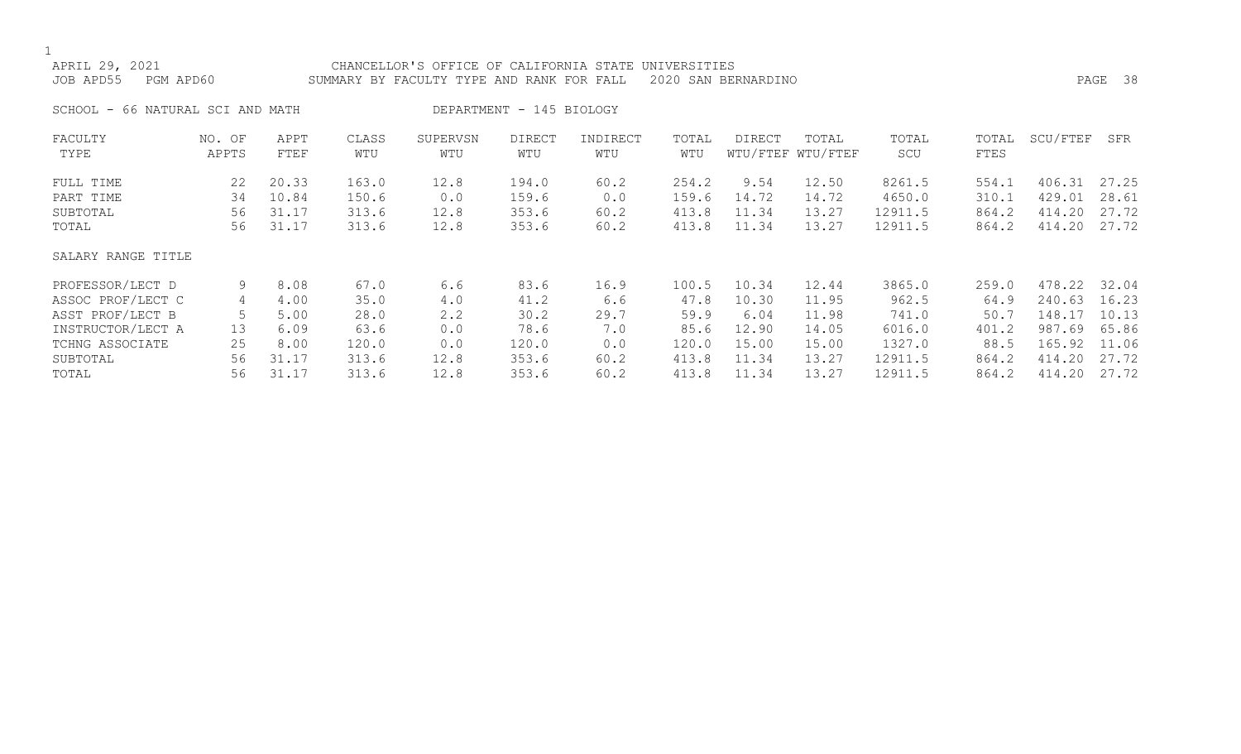| APRIL 29, 2021<br>JOB APD55<br>PGM APD60                                                                               |                                     |                                                        |                                                         | CHANCELLOR'S OFFICE OF CALIFORNIA STATE<br>SUMMARY BY FACULTY TYPE AND RANK FOR FALL |                                                         |                                                   | UNIVERSITIES                                             | 2020 SAN BERNARDINO                                        |                                                             |                                                                    |                                                          |                                                                    | PAGE 38                                                     |
|------------------------------------------------------------------------------------------------------------------------|-------------------------------------|--------------------------------------------------------|---------------------------------------------------------|--------------------------------------------------------------------------------------|---------------------------------------------------------|---------------------------------------------------|----------------------------------------------------------|------------------------------------------------------------|-------------------------------------------------------------|--------------------------------------------------------------------|----------------------------------------------------------|--------------------------------------------------------------------|-------------------------------------------------------------|
| SCHOOL - 66 NATURAL SCI AND MATH                                                                                       |                                     |                                                        |                                                         |                                                                                      | DEPARTMENT - 145 BIOLOGY                                |                                                   |                                                          |                                                            |                                                             |                                                                    |                                                          |                                                                    |                                                             |
| FACULTY<br>TYPE                                                                                                        | NO. OF<br>APPTS                     | APPT<br>FTEF                                           | CLASS<br>WTU                                            | SUPERVSN<br>WTU                                                                      | <b>DIRECT</b><br>WTU                                    | INDIRECT<br>WTU                                   | TOTAL<br>WTU                                             | <b>DIRECT</b>                                              | TOTAL<br>WTU/FTEF WTU/FTEF                                  | TOTAL<br>SCU                                                       | TOTAL<br>FTES                                            | SCU/FTEF                                                           | SFR                                                         |
| FULL TIME<br>PART TIME<br>SUBTOTAL<br>TOTAL                                                                            | 22<br>34<br>56<br>56                | 20.33<br>10.84<br>31.17<br>31.17                       | 163.0<br>150.6<br>313.6<br>313.6                        | 12.8<br>0.0<br>12.8<br>12.8                                                          | 194.0<br>159.6<br>353.6<br>353.6                        | 60.2<br>0.0<br>60.2<br>60.2                       | 254.2<br>159.6<br>413.8<br>413.8                         | 9.54<br>14.72<br>11.34<br>11.34                            | 12.50<br>14.72<br>13.27<br>13.27                            | 8261.5<br>4650.0<br>12911.5<br>12911.5                             | 554.1<br>310.1<br>864.2<br>864.2                         | 406.31<br>429.01<br>414.20<br>414.20                               | 27.25<br>28.61<br>27.72<br>27.72                            |
| SALARY RANGE TITLE                                                                                                     |                                     |                                                        |                                                         |                                                                                      |                                                         |                                                   |                                                          |                                                            |                                                             |                                                                    |                                                          |                                                                    |                                                             |
| PROFESSOR/LECT D<br>ASSOC PROF/LECT C<br>ASST PROF/LECT B<br>INSTRUCTOR/LECT A<br>TCHNG ASSOCIATE<br>SUBTOTAL<br>TOTAL | 9<br>4<br>5<br>13<br>25<br>56<br>56 | 8.08<br>4.00<br>5.00<br>6.09<br>8.00<br>31.17<br>31.17 | 67.0<br>35.0<br>28.0<br>63.6<br>120.0<br>313.6<br>313.6 | 6.6<br>4.0<br>2.2<br>0.0<br>0.0<br>12.8<br>12.8                                      | 83.6<br>41.2<br>30.2<br>78.6<br>120.0<br>353.6<br>353.6 | 16.9<br>6.6<br>29.7<br>7.0<br>0.0<br>60.2<br>60.2 | 100.5<br>47.8<br>59.9<br>85.6<br>120.0<br>413.8<br>413.8 | 10.34<br>10.30<br>6.04<br>12.90<br>15.00<br>11.34<br>11.34 | 12.44<br>11.95<br>11.98<br>14.05<br>15.00<br>13.27<br>13.27 | 3865.0<br>962.5<br>741.0<br>6016.0<br>1327.0<br>12911.5<br>12911.5 | 259.0<br>64.9<br>50.7<br>401.2<br>88.5<br>864.2<br>864.2 | 478.22<br>240.63<br>148.17<br>987.69<br>165.92<br>414.20<br>414.20 | 32.04<br>16.23<br>10.13<br>65.86<br>11.06<br>27.72<br>27.72 |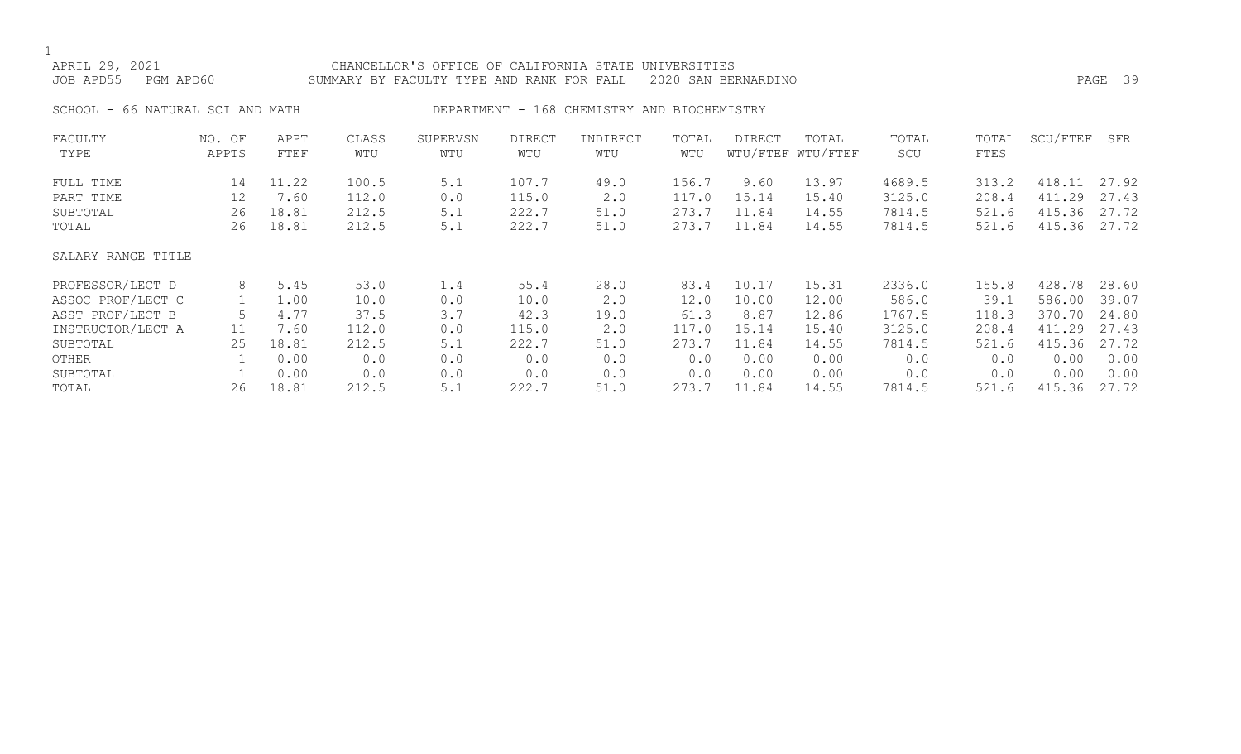1<br>APRIL 29, 2021 CHANCELLOR'S OFFICE OF CALIFORNIA STATE UNIVERSITIES JOB APD55 PGM APD60 SUMMARY BY FACULTY TYPE AND RANK FOR FALL 2020 SAN BERNARDINO PAGE 39 SCHOOL - 66 NATURAL SCI AND MATH DEPARTMENT - 168 CHEMISTRY AND BIOCHEMISTRY FACULTY NO. OF APPT CLASS SUPERVSN DIRECT INDIRECT TOTAL DIRECT TOTAL TOTAL TOTAL SCU/FTEF SFR WTU/FTEF WTU/FTEF FULL TIME 14 11.22 100.5 5.1 107.7 49.0 156.7 9.60 13.97 4689.5 313.2 418.11 27.92 PART TIME 12 7.60 112.0 0.0 115.0 2.0 117.0 15.14 15.40 3125.0 208.4 411.29 27.43 SUBTOTAL 26 18.81 212.5 5.1 222.7 51.0 273.7 11.84 14.55 7814.5 521.6 415.36 27.72 TOTAL 26 18.81 212.5 5.1 222.7 51.0 273.7 11.84 14.55 7814.5 521.6 415.36 27.72 SALARY RANGE TITLE PROFESSOR/LECT D 8 5.45 53.0 1.4 55.4 28.0 83.4 10.17 15.31 2336.0 155.8 428.78 28.60 ASSOC PROF/LECT C 1 1.00 10.0 0.0 10.0 2.0 12.0 10.00 12.00 586.0 39.1 586.00 39.07 ASST PROF/LECT B 5 4.77 37.5 3.7 42.3 19.0 61.3 8.87 12.86 1767.5 118.3 370.70 24.80<br>INSTRUCTOR/LECT A 11 7.60 112.0 0.0 115.0 2.0 117.0 15.14 15.40 3125.0 208.4 411.29 27.43 INSTRUCTOR/LECT A 11 7.60 112.0 0.0 115.0 2.0 117.0 15.14 15.40 3125.0 208.4 411.29 27.43 SUBTOTAL 25 18.81 212.5 5.1 222.7 51.0 273.7 11.84 14.55 7814.5 521.6 415.36 27.72 OTHER 1 0.00 0.0 0.0 0.0 0.0 0.00 0.0 0.0 0.00 0.00 0.00

SUBTOTAL 1 0.00 0.0 0.0 0.0 0.0 0.0 0.00 0.00 0.0 0.0 0.00 0.00 TOTAL 26 18.81 212.5 5.1 222.7 51.0 273.7 11.84 14.55 7814.5 521.6 415.36 27.72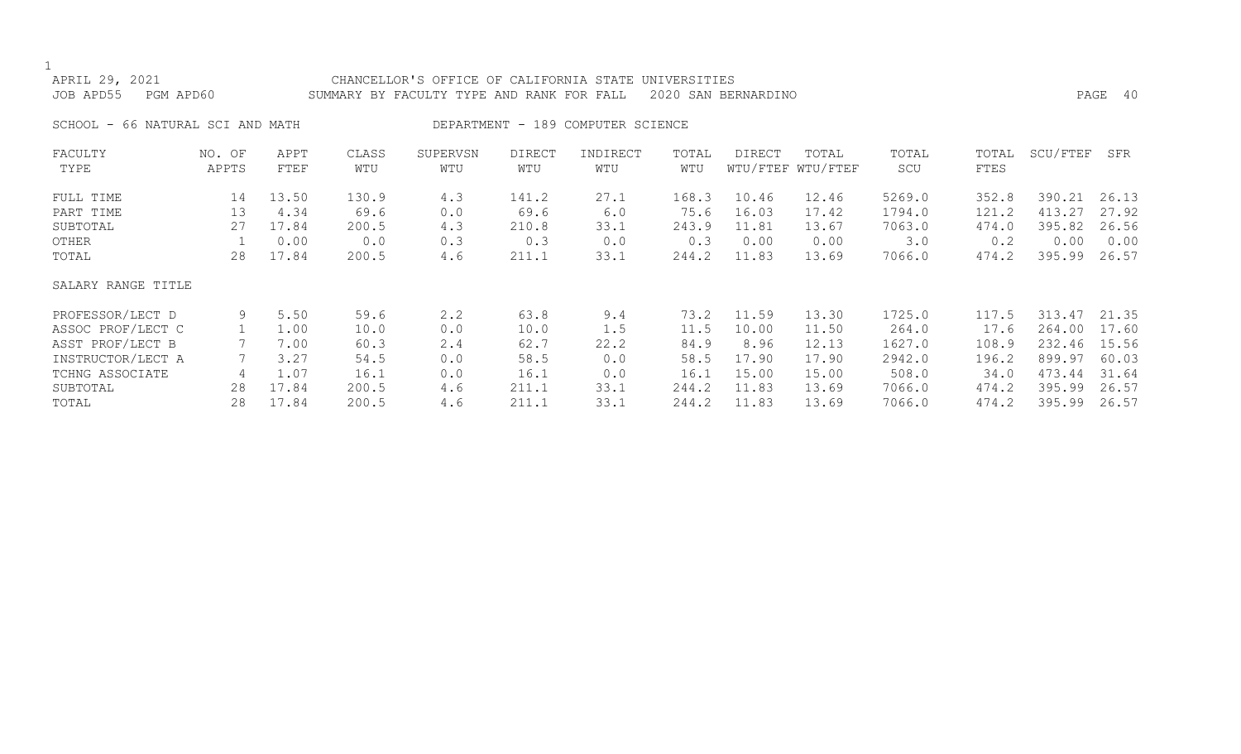| APRIL 29, 2021<br>JOB APD55<br>PGM APD60 |                 |                     |              | CHANCELLOR'S OFFICE OF CALIFORNIA STATE UNIVERSITIES<br>SUMMARY BY FACULTY TYPE AND RANK FOR FALL |               |                                   |              | 2020 SAN BERNARDINO |                            |              |               |          | PAGE 40 |
|------------------------------------------|-----------------|---------------------|--------------|---------------------------------------------------------------------------------------------------|---------------|-----------------------------------|--------------|---------------------|----------------------------|--------------|---------------|----------|---------|
| SCHOOL - 66 NATURAL SCI AND MATH         |                 |                     |              |                                                                                                   |               | DEPARTMENT - 189 COMPUTER SCIENCE |              |                     |                            |              |               |          |         |
| FACULTY<br>TYPE                          | NO. OF<br>APPTS | APPT<br><b>FTEF</b> | CLASS<br>WTU | SUPERVSN<br>WTU                                                                                   | DIRECT<br>WTU | INDIRECT<br>WTU                   | TOTAL<br>WTU | DIRECT              | TOTAL<br>WTU/FTEF WTU/FTEF | TOTAL<br>SCU | TOTAL<br>FTES | SCU/FTEF | SFR     |
| FULL TIME                                | 14              | 13.50               | 130.9        | 4.3                                                                                               | 141.2         | 27.1                              | 168.3        | 10.46               | 12.46                      | 5269.0       | 352.8         | 390.21   | 26.13   |
| PART TIME                                | 13              | 4.34                | 69.6         | 0.0                                                                                               | 69.6          | 6.0                               | 75.6         | 16.03               | 17.42                      | 1794.0       | 121.2         | 413.27   | 27.92   |
| SUBTOTAL                                 | 27              | 17.84               | 200.5        | 4.3                                                                                               | 210.8         | 33.1                              | 243.9        | 11.81               | 13.67                      | 7063.0       | 474.0         | 395.82   | 26.56   |
| OTHER                                    |                 | 0.00                | 0.0          | 0.3                                                                                               | 0.3           | 0.0                               | 0.3          | 0.00                | 0.00                       | $3 \cdot 0$  | 0.2           | 0.00     | 0.00    |
| TOTAL                                    | 28              | 17.84               | 200.5        | 4.6                                                                                               | 211.1         | 33.1                              | 244.2        | 11.83               | 13.69                      | 7066.0       | 474.2         | 395.99   | 26.57   |
| SALARY RANGE TITLE                       |                 |                     |              |                                                                                                   |               |                                   |              |                     |                            |              |               |          |         |
| PROFESSOR/LECT D                         | 9               | 5.50                | 59.6         | 2.2                                                                                               | 63.8          | 9.4                               | 73.2         | 11.59               | 13.30                      | 1725.0       | 117.5         | 313.47   | 21.35   |
| ASSOC PROF/LECT C                        |                 | 1.00                | 10.0         | 0.0                                                                                               | 10.0          | 1.5                               | 11.5         | 10.00               | 11.50                      | 264.0        | 17.6          | 264.00   | 17.60   |
| ASST PROF/LECT B                         |                 | 7.00                | 60.3         | 2.4                                                                                               | 62.7          | 22.2                              | 84.9         | 8.96                | 12.13                      | 1627.0       | 108.9         | 232.46   | 15.56   |
| INSTRUCTOR/LECT A                        |                 | 3.27                | 54.5         | 0.0                                                                                               | 58.5          | 0.0                               | 58.5         | 17.90               | 17.90                      | 2942.0       | 196.2         | 899.97   | 60.03   |
| TCHNG ASSOCIATE                          | 4               | 1.07                | 16.1         | 0.0                                                                                               | 16.1          | 0.0                               | 16.1         | 15.00               | 15.00                      | 508.0        | 34.0          | 473.44   | 31.64   |
| SUBTOTAL                                 | 28              | 17.84               | 200.5        | 4.6                                                                                               | 211.1         | 33.1                              | 244.2        | 11.83               | 13.69                      | 7066.0       | 474.2         | 395.99   | 26.57   |
| TOTAL                                    | 28              | 17.84               | 200.5        | 4.6                                                                                               | 211.1         | 33.1                              | 244.2        | 11.83               | 13.69                      | 7066.0       | 474.2         | 395.99   | 26.57   |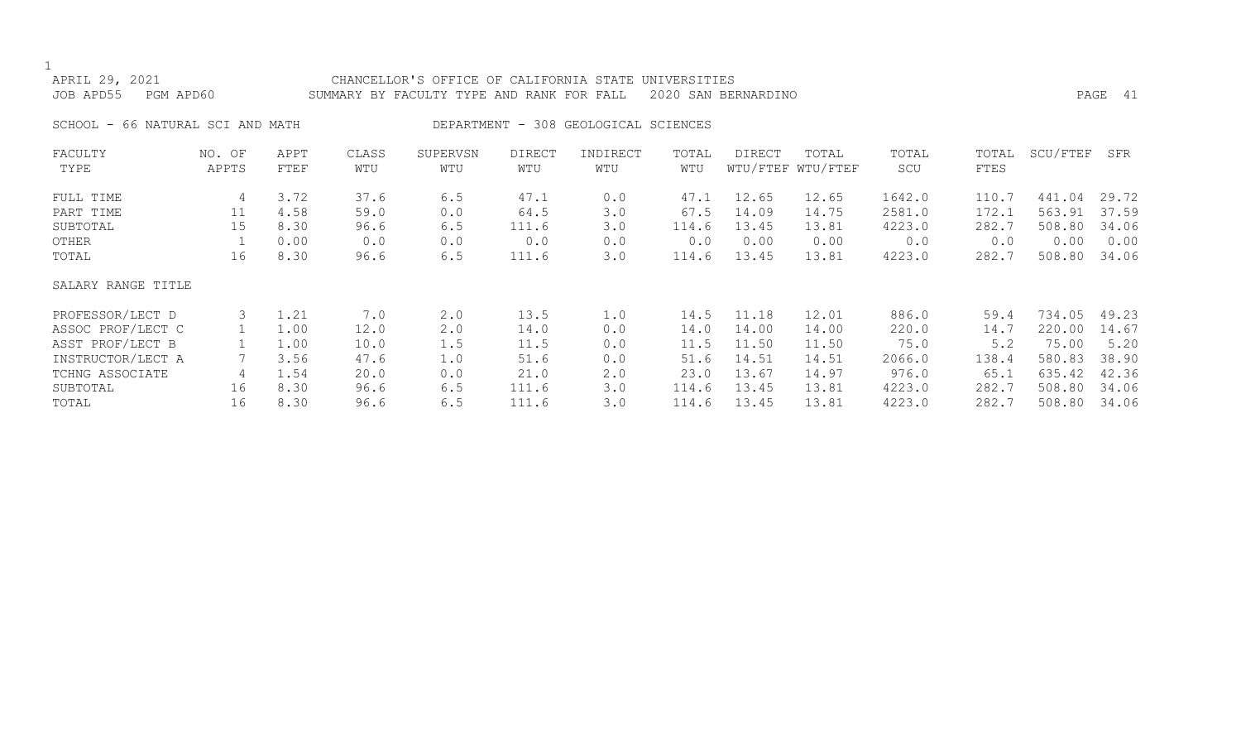| APRIL 29, 2021<br>JOB APD55<br>PGM APD60 |               |      |       | CHANCELLOR'S OFFICE OF CALIFORNIA STATE UNIVERSITIES<br>SUMMARY BY FACULTY TYPE AND RANK FOR FALL |               |                                      |       | 2020 SAN BERNARDINO |                   |        |       |          | PAGE 41 |
|------------------------------------------|---------------|------|-------|---------------------------------------------------------------------------------------------------|---------------|--------------------------------------|-------|---------------------|-------------------|--------|-------|----------|---------|
|                                          |               |      |       |                                                                                                   |               |                                      |       |                     |                   |        |       |          |         |
| SCHOOL - 66 NATURAL SCI AND MATH         |               |      |       |                                                                                                   |               | DEPARTMENT - 308 GEOLOGICAL SCIENCES |       |                     |                   |        |       |          |         |
| FACULTY                                  | NO. OF        | APPT | CLASS | SUPERVSN                                                                                          | <b>DIRECT</b> | INDIRECT                             | TOTAL | DIRECT              | TOTAL             | TOTAL  | TOTAL | SCU/FTEF | SFR     |
| TYPE                                     | APPTS         | FTEF | WTU   | WTU                                                                                               | WTU           | WTU                                  | WTU   |                     | WTU/FTEF WTU/FTEF | SCU    | FTES  |          |         |
| FULL TIME                                | 4             | 3.72 | 37.6  | 6.5                                                                                               | 47.1          | 0.0                                  | 47.1  | 12.65               | 12.65             | 1642.0 | 110.7 | 441.04   | 29.72   |
| PART TIME                                | 11            | 4.58 | 59.0  | 0.0                                                                                               | 64.5          | 3.0                                  | 67.5  | 14.09               | 14.75             | 2581.0 | 172.1 | 563.91   | 37.59   |
| SUBTOTAL                                 | 15            | 8.30 | 96.6  | 6.5                                                                                               | 111.6         | 3.0                                  | 114.6 | 13.45               | 13.81             | 4223.0 | 282.7 | 508.80   | 34.06   |
| OTHER                                    |               | 0.00 | 0.0   | 0.0                                                                                               | 0.0           | 0.0                                  | 0.0   | 0.00                | 0.00              | 0.0    | 0.0   | 0.00     | 0.00    |
| TOTAL                                    | 16            | 8.30 | 96.6  | 6.5                                                                                               | 111.6         | 3.0                                  | 114.6 | 13.45               | 13.81             | 4223.0 | 282.7 | 508.80   | 34.06   |
| SALARY RANGE TITLE                       |               |      |       |                                                                                                   |               |                                      |       |                     |                   |        |       |          |         |
| PROFESSOR/LECT D                         | $\mathcal{S}$ | 1.21 | 7.0   | 2.0                                                                                               | 13.5          | 1.0                                  | 14.5  | 11.18               | 12.01             | 886.0  | 59.4  | 734.05   | 49.23   |
| ASSOC PROF/LECT C                        |               | 1.00 | 12.0  | 2.0                                                                                               | 14.0          | 0.0                                  | 14.0  | 14.00               | 14.00             | 220.0  | 14.7  | 220.00   | 14.67   |
| ASST PROF/LECT B                         |               | 1.00 | 10.0  | 1.5                                                                                               | 11.5          | 0.0                                  | 11.5  | 11.50               | 11.50             | 75.0   | 5.2   | 75.00    | 5.20    |
| INSTRUCTOR/LECT A                        |               | 3.56 | 47.6  | 1.0                                                                                               | 51.6          | 0.0                                  | 51.6  | 14.51               | 14.51             | 2066.0 | 138.4 | 580.83   | 38.90   |
| TCHNG ASSOCIATE                          | 4             | 1.54 | 20.0  | 0.0                                                                                               | 21.0          | 2.0                                  | 23.0  | 13.67               | 14.97             | 976.0  | 65.1  | 635.42   | 42.36   |
| SUBTOTAL                                 | 16            | 8.30 | 96.6  | 6.5                                                                                               | 111.6         | 3.0                                  | 114.6 | 13.45               | 13.81             | 4223.0 | 282.7 | 508.80   | 34.06   |
| TOTAL                                    | 16            | 8.30 | 96.6  | 6.5                                                                                               | 111.6         | 3.0                                  | 114.6 | 13.45               | 13.81             | 4223.0 | 282.7 | 508.80   | 34.06   |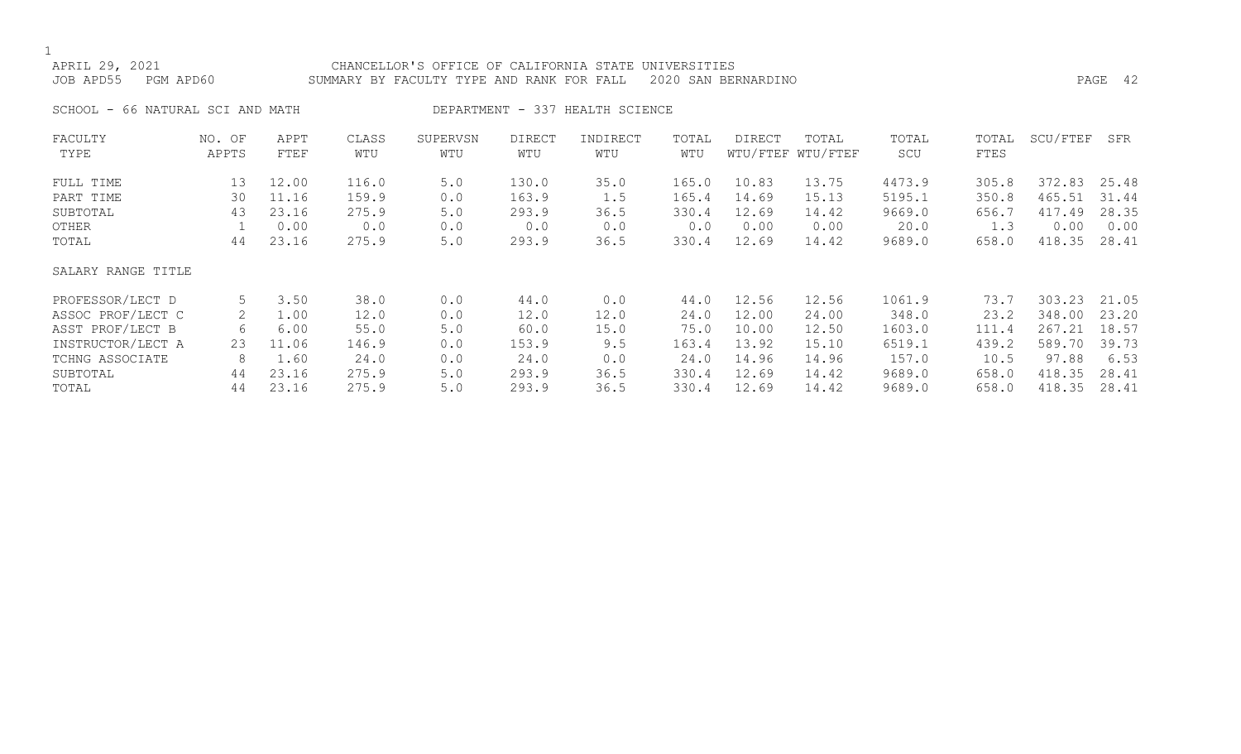APRIL 29, 2021 CHANCELLOR'S OFFICE OF CALIFORNIA STATE UNIVERSITIES

JOB APD55 PGM APD60 SUMMARY BY FACULTY TYPE AND RANK FOR FALL 2020 SAN BERNARDINO PAGE 42

SCHOOL - 66 NATURAL SCI AND MATH DEPARTMENT - 337 HEALTH SCIENCE

| FACULTY            | NO. OF | APPT  | CLASS | SUPERVSN | <b>DIRECT</b> | INDIRECT | TOTAL | <b>DIRECT</b> | TOTAL             | TOTAL  | TOTAL | SCU/FTEF | SFR   |
|--------------------|--------|-------|-------|----------|---------------|----------|-------|---------------|-------------------|--------|-------|----------|-------|
| TYPE               | APPTS  | FTEF  | WTU   | WTU      | WTU           | WTU      | WTU   |               | WTU/FTEF WTU/FTEF | SCU    | FTES  |          |       |
| FULL TIME          | 13     | 12.00 | 116.0 | 5.0      | 130.0         | 35.0     | 165.0 | 10.83         | 13.75             | 4473.9 | 305.8 | 372.83   | 25.48 |
| PART TIME          | 30     | 11.16 | 159.9 | 0.0      | 163.9         | 1.5      | 165.4 | 14.69         | 15.13             | 5195.1 | 350.8 | 465.51   | 31.44 |
| SUBTOTAL           | 43     | 23.16 | 275.9 | 5.0      | 293.9         | 36.5     | 330.4 | 12.69         | 14.42             | 9669.0 | 656.7 | 417.49   | 28.35 |
| OTHER              |        | 0.00  | 0.0   | 0.0      | 0.0           | 0.0      | 0.0   | 0.00          | 0.00              | 20.0   | 1.3   | 0.00     | 0.00  |
| TOTAL              | 44     | 23.16 | 275.9 | 5.0      | 293.9         | 36.5     | 330.4 | 12.69         | 14.42             | 9689.0 | 658.0 | 418.35   | 28.41 |
| SALARY RANGE TITLE |        |       |       |          |               |          |       |               |                   |        |       |          |       |
| PROFESSOR/LECT D   | 5      | 3.50  | 38.0  | 0.0      | 44.0          | 0.0      | 44.0  | 12.56         | 12.56             | 1061.9 | 73.7  | 303.23   | 21.05 |
| ASSOC PROF/LECT C  |        | 1.00  | 12.0  | 0.0      | 12.0          | 12.0     | 24.0  | 12.00         | 24.00             | 348.0  | 23.2  | 348.00   | 23.20 |
| ASST PROF/LECT B   | 6      | 6.00  | 55.0  | 5.0      | 60.0          | 15.0     | 75.0  | 10.00         | 12.50             | 1603.0 | 111.4 | 267.21   | 18.57 |
| INSTRUCTOR/LECT A  | 23     | 11.06 | 146.9 | 0.0      | 153.9         | 9.5      | 163.4 | 13.92         | 15.10             | 6519.1 | 439.2 | 589.70   | 39.73 |
| TCHNG ASSOCIATE    | 8      | 1.60  | 24.0  | 0.0      | 24.0          | 0.0      | 24.0  | 14.96         | 14.96             | 157.0  | 10.5  | 97.88    | 6.53  |
| SUBTOTAL           | 44     | 23.16 | 275.9 | 5.0      | 293.9         | 36.5     | 330.4 | 12.69         | 14.42             | 9689.0 | 658.0 | 418.35   | 28.41 |
| TOTAL              | 44     | 23.16 | 275.9 | 5.0      | 293.9         | 36.5     | 330.4 | 12.69         | 14.42             | 9689.0 | 658.0 | 418.35   | 28.41 |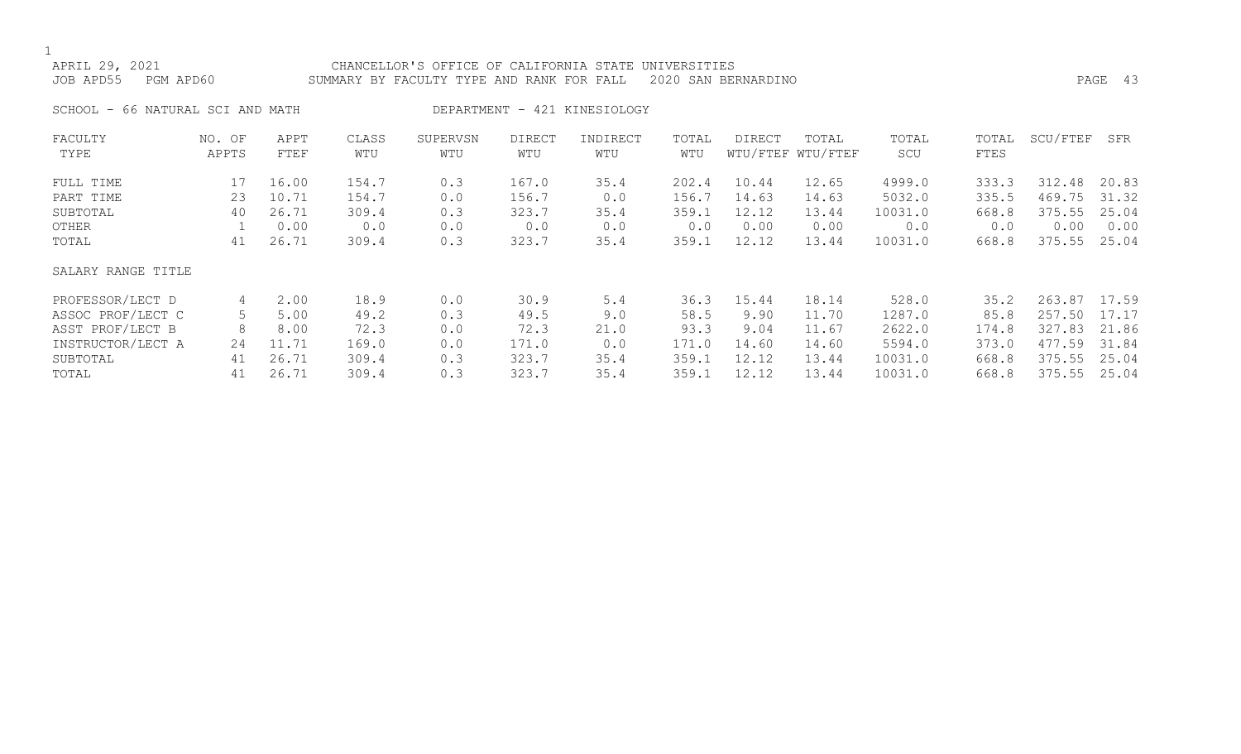APRIL 29, 2021 CHANCELLOR'S OFFICE OF CALIFORNIA STATE UNIVERSITIES JOB APD55 PGM APD60 SUMMARY BY FACULTY TYPE AND RANK FOR FALL 2020 SAN BERNARDINO PAGE 43

SCHOOL - 66 NATURAL SCI AND MATH DEPARTMENT - 421 KINESIOLOGY

| FACULTY            | NO. OF | APPT  | CLASS | SUPERVSN | <b>DIRECT</b> | INDIRECT | TOTAL | <b>DIRECT</b> | TOTAL             | TOTAL   | TOTAL | SCU/FTEF | SFR   |
|--------------------|--------|-------|-------|----------|---------------|----------|-------|---------------|-------------------|---------|-------|----------|-------|
| TYPE               | APPTS  | FTEF  | WTU   | WTU      | WTU           | WTU      | WTU   |               | WTU/FTEF WTU/FTEF | SCU     | FTES  |          |       |
| FULL TIME          | 17     | 16.00 | 154.7 | 0.3      | 167.0         | 35.4     | 202.4 | 10.44         | 12.65             | 4999.0  | 333.3 | 312.48   | 20.83 |
| PART TIME          | 23     | 10.71 | 154.7 | 0.0      | 156.7         | 0.0      | 156.7 | 14.63         | 14.63             | 5032.0  | 335.5 | 469.75   | 31.32 |
| SUBTOTAL           | 40     | 26.71 | 309.4 | 0.3      | 323.7         | 35.4     | 359.1 | 12.12         | 13.44             | 10031.0 | 668.8 | 375.55   | 25.04 |
| OTHER              |        | 0.00  | 0.0   | 0.0      | 0.0           | 0.0      | 0.0   | 0.00          | 0.00              | 0.0     | 0.0   | 0.00     | 0.00  |
| TOTAL              | 41     | 26.71 | 309.4 | 0.3      | 323.7         | 35.4     | 359.1 | 12.12         | 13.44             | 10031.0 | 668.8 | 375.55   | 25.04 |
| SALARY RANGE TITLE |        |       |       |          |               |          |       |               |                   |         |       |          |       |
| PROFESSOR/LECT D   | 4      | 2.00  | 18.9  | 0.0      | 30.9          | 5.4      | 36.3  | 15.44         | 18.14             | 528.0   | 35.2  | 263.87   | 17.59 |
| ASSOC PROF/LECT C  | 5      | 5.00  | 49.2  | 0.3      | 49.5          | 9.0      | 58.5  | 9.90          | 11.70             | 1287.0  | 85.8  | 257.50   | 17.17 |
| ASST PROF/LECT B   | 8      | 8.00  | 72.3  | 0.0      | 72.3          | 21.0     | 93.3  | 9.04          | 11.67             | 2622.0  | 174.8 | 327.83   | 21.86 |
| INSTRUCTOR/LECT A  | 24     | 11.71 | 169.0 | 0.0      | 171.0         | 0.0      | 171.0 | 14.60         | 14.60             | 5594.0  | 373.0 | 477.59   | 31.84 |
| SUBTOTAL           | 41     | 26.71 | 309.4 | 0.3      | 323.7         | 35.4     | 359.1 | 12.12         | 13.44             | 10031.0 | 668.8 | 375.55   | 25.04 |
| TOTAL              | 41     | 26.71 | 309.4 | 0.3      | 323.7         | 35.4     | 359.1 | 12.12         | 13.44             | 10031.0 | 668.8 | 375.55   | 25.04 |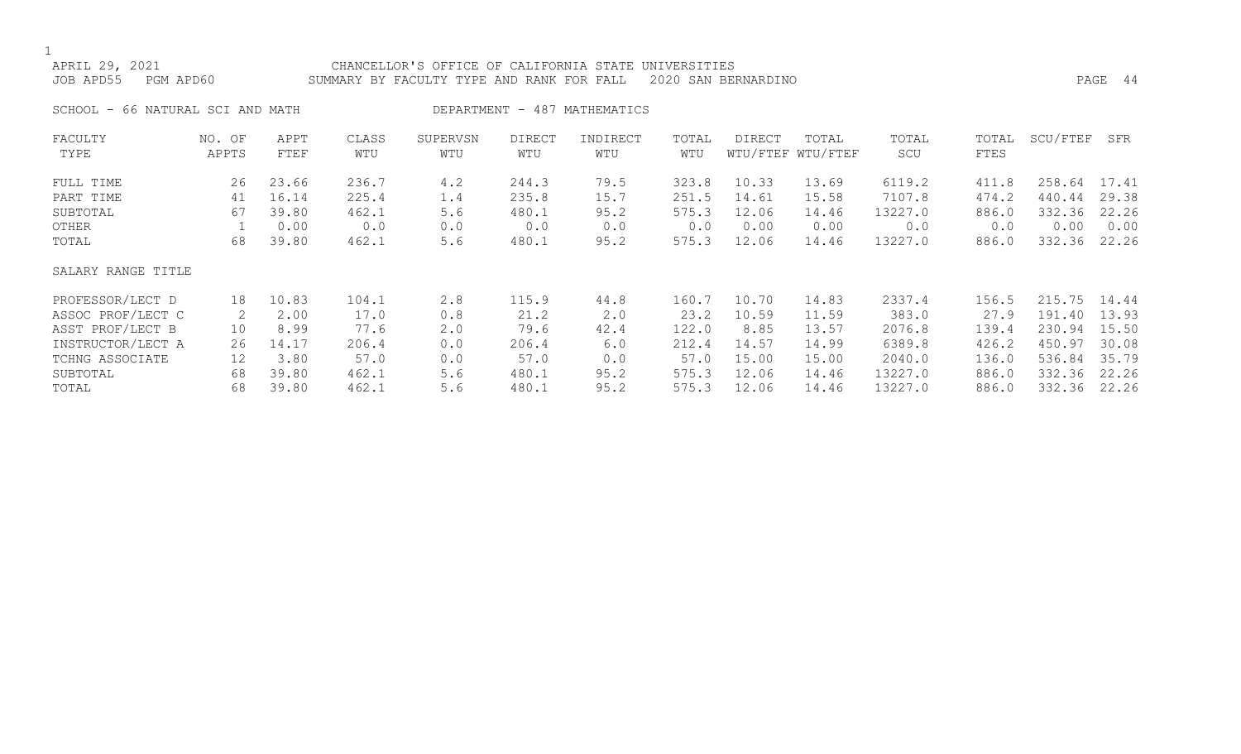## APRIL 29, 2021 CHANCELLOR'S OFFICE OF CALIFORNIA STATE UNIVERSITIES

JOB APD55 PGM APD60 SUMMARY BY FACULTY TYPE AND RANK FOR FALL 2020 SAN BERNARDINO PAGE 44

SCHOOL - 66 NATURAL SCI AND MATH DEPARTMENT - 487 MATHEMATICS

| FACULTY            | NO. OF | APPT  | CLASS | SUPERVSN | <b>DIRECT</b> | INDIRECT | TOTAL | <b>DIRECT</b> | TOTAL             | TOTAL   | TOTAL | SCU/FTEF | SFR   |
|--------------------|--------|-------|-------|----------|---------------|----------|-------|---------------|-------------------|---------|-------|----------|-------|
| TYPE               | APPTS  | FTEF  | WTU   | WTU      | WTU           | WTU      | WTU   |               | WTU/FTEF WTU/FTEF | SCU     | FTES  |          |       |
| FULL TIME          | 26     | 23.66 | 236.7 | 4.2      | 244.3         | 79.5     | 323.8 | 10.33         | 13.69             | 6119.2  | 411.8 | 258.64   | 17.41 |
| PART TIME          | 41     | 16.14 | 225.4 | 1.4      | 235.8         | 15.7     | 251.5 | 14.61         | 15.58             | 7107.8  | 474.2 | 440.44   | 29.38 |
| SUBTOTAL           | 67     | 39.80 | 462.1 | 5.6      | 480.1         | 95.2     | 575.3 | 12.06         | 14.46             | 13227.0 | 886.0 | 332.36   | 22.26 |
| OTHER              |        | 0.00  | 0.0   | 0.0      | 0.0           | 0.0      | 0.0   | 0.00          | 0.00              | 0.0     | 0.0   | 0.00     | 0.00  |
| TOTAL              | 68     | 39.80 | 462.1 | 5.6      | 480.1         | 95.2     | 575.3 | 12.06         | 14.46             | 13227.0 | 886.0 | 332.36   | 22.26 |
| SALARY RANGE TITLE |        |       |       |          |               |          |       |               |                   |         |       |          |       |
| PROFESSOR/LECT D   | 18     | 10.83 | 104.1 | 2.8      | 115.9         | 44.8     | 160.7 | 10.70         | 14.83             | 2337.4  | 156.5 | 215.75   | 14.44 |
| ASSOC PROF/LECT C  | 2      | 2.00  | 17.0  | 0.8      | 21.2          | 2.0      | 23.2  | 10.59         | 11.59             | 383.0   | 27.9  | 191.40   | 13.93 |
| ASST PROF/LECT B   | 10     | 8.99  | 77.6  | 2.0      | 79.6          | 42.4     | 122.0 | 8.85          | 13.57             | 2076.8  | 139.4 | 230.94   | 15.50 |
| INSTRUCTOR/LECT A  | 26     | 14.17 | 206.4 | 0.0      | 206.4         | 6.0      | 212.4 | 14.57         | 14.99             | 6389.8  | 426.2 | 450.97   | 30.08 |
| TCHNG ASSOCIATE    | 12     | 3.80  | 57.0  | 0.0      | 57.0          | 0.0      | 57.0  | 15.00         | 15.00             | 2040.0  | 136.0 | 536.84   | 35.79 |
| SUBTOTAL           | 68     | 39.80 | 462.1 | 5.6      | 480.1         | 95.2     | 575.3 | 12.06         | 14.46             | 13227.0 | 886.0 | 332.36   | 22.26 |
| TOTAL              | 68     | 39.80 | 462.1 | 5.6      | 480.1         | 95.2     | 575.3 | 12.06         | 14.46             | 13227.0 | 886.0 | 332.36   | 22.26 |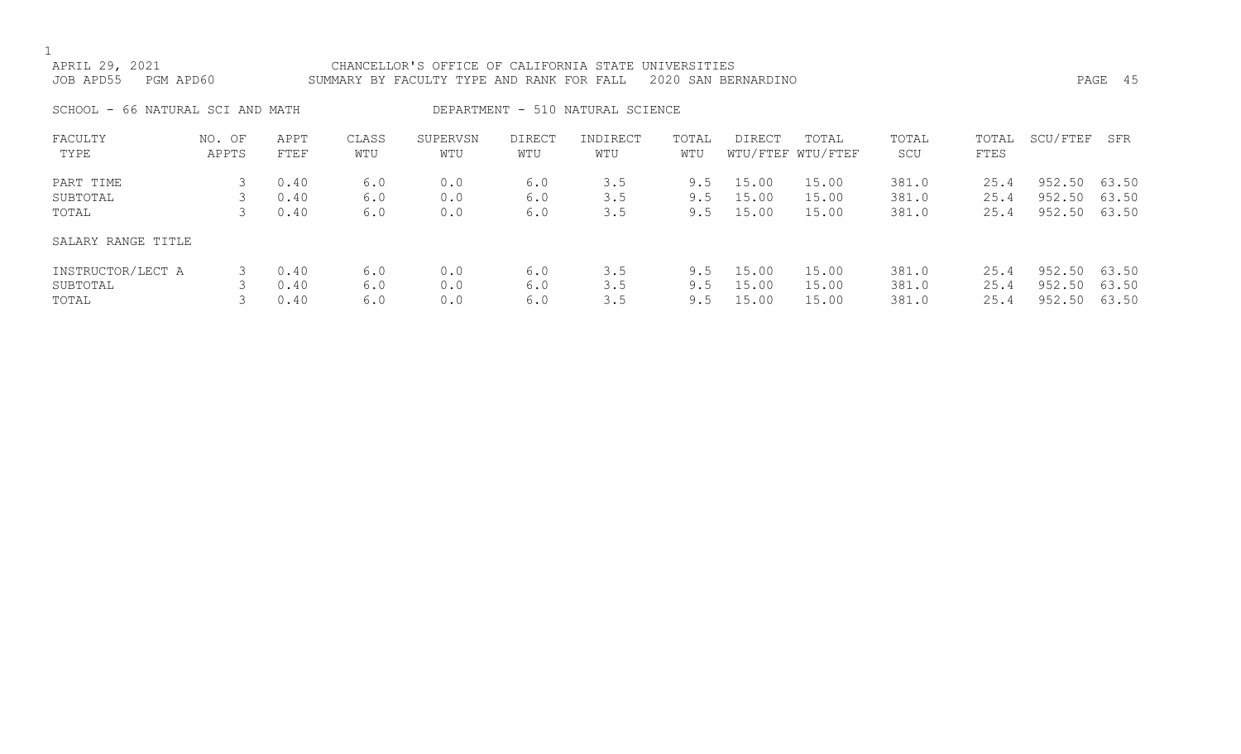| APRIL 29, 2021<br>JOB APD55<br>PGM APD60 |                 |              |              |                 | CHANCELLOR'S OFFICE OF CALIFORNIA STATE UNIVERSITIES<br>2020 SAN BERNARDINO<br>SUMMARY BY FACULTY TYPE AND RANK FOR FALL |                                  |              |        |                            |              |               |          |       |
|------------------------------------------|-----------------|--------------|--------------|-----------------|--------------------------------------------------------------------------------------------------------------------------|----------------------------------|--------------|--------|----------------------------|--------------|---------------|----------|-------|
| SCHOOL - 66 NATURAL SCI AND MATH         |                 |              |              |                 |                                                                                                                          | DEPARTMENT - 510 NATURAL SCIENCE |              |        |                            |              |               |          |       |
| FACULTY<br>TYPE                          | NO. OF<br>APPTS | APPT<br>FTEF | CLASS<br>WTU | SUPERVSN<br>WTU | DIRECT<br>WTU                                                                                                            | INDIRECT<br>WTU                  | TOTAL<br>WTU | DIRECT | TOTAL<br>WTU/FTEF WTU/FTEF | TOTAL<br>SCU | TOTAL<br>FTES | SCU/FTEF | SFR   |
| PART TIME                                |                 | 0.40         | 6.0          | 0.0             | 6.0                                                                                                                      | 3.5                              | 9.5          | 15.00  | 15.00                      | 381.0        | 25.4          | 952.50   | 63.50 |
| SUBTOTAL                                 |                 | 0.40         | 6.0          | 0.0             | 6.0                                                                                                                      | 3.5                              | 9.5          | 15.00  | 15.00                      | 381.0        | 25.4          | 952.50   | 63.50 |
| TOTAL                                    | 3.              | 0.40         | 6.0          | 0.0             | 6.0                                                                                                                      | 3.5                              | 9.5          | 15.00  | 15.00                      | 381.0        | 25.4          | 952.50   | 63.50 |
| SALARY RANGE TITLE                       |                 |              |              |                 |                                                                                                                          |                                  |              |        |                            |              |               |          |       |

| INSTRUCTOR/LECT A 3 0.40 6.0 |        |     | 0.0 |                                   |  | $6.0$ $3.5$ $9.5$ $15.00$ $15.00$ $381.0$ $25.4$ $952.50$ $63.50$ |                   |                   |  |
|------------------------------|--------|-----|-----|-----------------------------------|--|-------------------------------------------------------------------|-------------------|-------------------|--|
| SUBTOTAL                     | 3 0.40 | 6.0 | 0.0 | $6.0$ $3.5$ $9.5$ $15.00$ $15.00$ |  | 381.0                                                             | 25.4 952.50 63.50 |                   |  |
| TOTAL                        | 3 0.40 | 6.0 | 0.0 | 6.0 3.5 9.5 15.00 15.00           |  | 381.0                                                             |                   | 25.4 952.50 63.50 |  |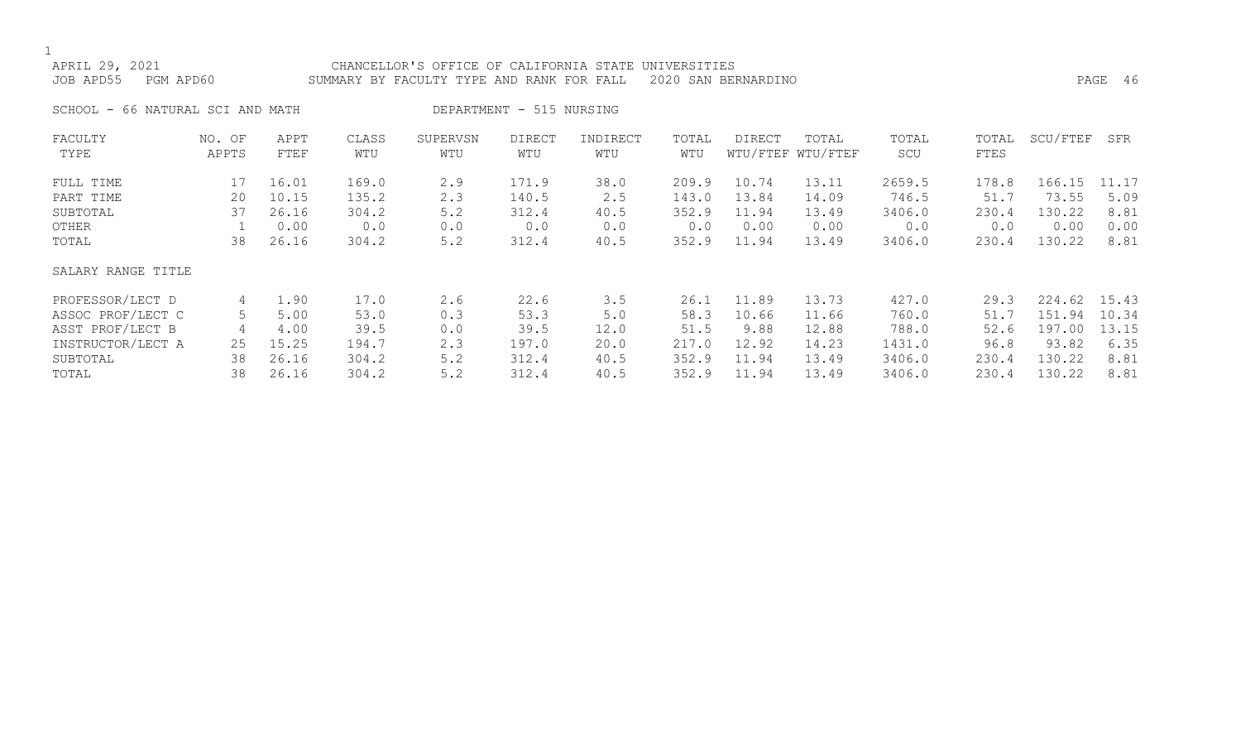## APRIL 29, 2021 CHANCELLOR'S OFFICE OF CALIFORNIA STATE UNIVERSITIES

JOB APD55 PGM APD60 SUMMARY BY FACULTY TYPE AND RANK FOR FALL 2020 SAN BERNARDINO PAGE 46

SCHOOL - 66 NATURAL SCI AND MATH DEPARTMENT - 515 NURSING

| FACULTY<br>TYPE    | NO. OF<br>APPTS | APPT<br>FTEF | CLASS<br>WTU | SUPERVSN<br>WTU | <b>DIRECT</b><br>WTU | INDIRECT<br>WTU | TOTAL<br>WTU | <b>DIRECT</b> | TOTAL<br>WTU/FTEF WTU/FTEF | TOTAL<br>SCU | TOTAL<br>FTES | SCU/FTEF  | SFR   |
|--------------------|-----------------|--------------|--------------|-----------------|----------------------|-----------------|--------------|---------------|----------------------------|--------------|---------------|-----------|-------|
|                    |                 |              |              |                 |                      |                 |              |               |                            |              |               |           |       |
| FULL TIME          | 17              | 16.01        | 169.0        | 2.9             | 171.9                | 38.0            | 209.9        | 10.74         | 13.11                      | 2659.5       | 178.8         | 166.15    | 11.17 |
| PART TIME          | 20              | 10.15        | 135.2        | 2.3             | 140.5                | 2.5             | 143.0        | 13.84         | 14.09                      | 746.5        | 51.7          | 73.55     | 5.09  |
| SUBTOTAL           | 37              | 26.16        | 304.2        | 5.2             | 312.4                | 40.5            | 352.9        | 11.94         | 13.49                      | 3406.0       | 230.4         | 130.22    | 8.81  |
| OTHER              |                 | 0.00         | 0.0          | 0.0             | 0.0                  | 0.0             | 0.0          | 0.00          | 0.00                       | 0.0          | 0.0           | 0.00      | 0.00  |
| TOTAL              | 38              | 26.16        | 304.2        | 5.2             | 312.4                | 40.5            | 352.9        | 11.94         | 13.49                      | 3406.0       | 230.4         | 130.22    | 8.81  |
| SALARY RANGE TITLE |                 |              |              |                 |                      |                 |              |               |                            |              |               |           |       |
| PROFESSOR/LECT D   | 4               | 1.90         | 17.0         | 2.6             | 22.6                 | 3.5             | 26.1         | 11.89         | 13.73                      | 427.0        | 29.3          | 224.62    | 15.43 |
| ASSOC PROF/LECT C  | 5               | 5.00         | 53.0         | 0.3             | 53.3                 | 5.0             | 58.3         | 10.66         | 11.66                      | 760.0        | 51.7          | 151<br>94 | 10.34 |
| ASST PROF/LECT B   | 4               | 4.00         | 39.5         | 0.0             | 39.5                 | 12.0            | 51.5         | 9.88          | 12.88                      | 788.0        | 52.6          | 197.00    | 13.15 |
| INSTRUCTOR/LECT A  | 25              | 15.25        | 194.7        | 2.3             | 197.0                | 20.0            | 217.0        | 12.92         | 14.23                      | 1431.0       | 96.8          | 93.82     | 6.35  |
| SUBTOTAL           | 38              | 26.16        | 304.2        | 5.2             | 312.4                | 40.5            | 352.9        | 11.94         | 13.49                      | 3406.0       | 230.4         | 130.22    | 8.81  |
| TOTAL              | 38              | 26.16        | 304.2        | 5.2             | 312.4                | 40.5            | 352.9        | 11.94         | 13.49                      | 3406.0       | 230.4         | 130.22    | 8.81  |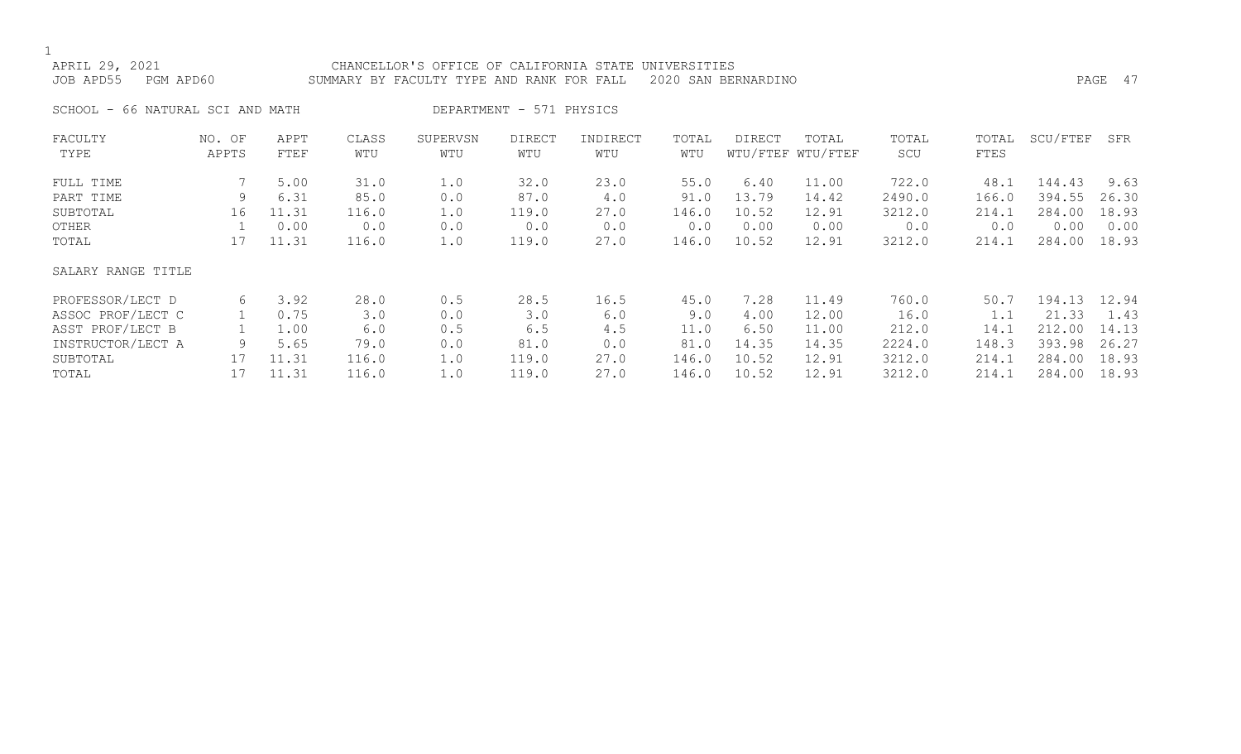### APRIL 29, 2021 CHANCELLOR'S OFFICE OF CALIFORNIA STATE UNIVERSITIES JOB APD55 PGM APD60 SUMMARY BY FACULTY TYPE AND RANK FOR FALL 2020 SAN BERNARDINO PAGE 47

SCHOOL - 66 NATURAL SCI AND MATH DEPARTMENT - 571 PHYSICS

| FACULTY            | NO. OF | APPT  | CLASS | SUPERVSN | <b>DIRECT</b> | INDIRECT | TOTAL | <b>DIRECT</b> | TOTAL             | TOTAL  | TOTAL | SCU/FTEF | SFR   |
|--------------------|--------|-------|-------|----------|---------------|----------|-------|---------------|-------------------|--------|-------|----------|-------|
| TYPE               | APPTS  | FTEF  | WTU   | WTU      | WTU           | WTU      | WTU   |               | WTU/FTEF WTU/FTEF | SCU    | FTES  |          |       |
| FULL TIME          |        | 5.00  | 31.0  | 1.0      | 32.0          | 23.0     | 55.0  | 6.40          | 11.00             | 722.0  | 48.1  | 144.43   | 9.63  |
| PART TIME          | 9      | 6.31  | 85.0  | 0.0      | 87.0          | 4.0      | 91.0  | 13.79         | 14.42             | 2490.0 | 166.0 | 394.55   | 26.30 |
| SUBTOTAL           | 16     | 11.31 | 116.0 | 1.0      | 119.0         | 27.0     | 146.0 | 10.52         | 12.91             | 3212.0 | 214.1 | 284.00   | 18.93 |
| OTHER              |        | 0.00  | 0.0   | 0.0      | 0.0           | 0.0      | 0.0   | 0.00          | 0.00              | 0.0    | 0.0   | 0.00     | 0.00  |
| TOTAL              | 17     | 11.31 | 116.0 | 1.0      | 119.0         | 27.0     | 146.0 | 10.52         | 12.91             | 3212.0 | 214.1 | 284.00   | 18.93 |
| SALARY RANGE TITLE |        |       |       |          |               |          |       |               |                   |        |       |          |       |
| PROFESSOR/LECT D   | 6      | 3.92  | 28.0  | 0.5      | 28.5          | 16.5     | 45.0  | 7.28          | 11.49             | 760.0  | 50.7  | 194.13   | 12.94 |
| ASSOC PROF/LECT C  |        | 0.75  | 3.0   | 0.0      | 3.0           | 6.0      | 9.0   | 4.00          | 12.00             | 16.0   | 1.1   | 21.33    | 1.43  |
| ASST PROF/LECT B   |        | 1.00  | 6.0   | 0.5      | 6.5           | 4.5      | 11.0  | 6.50          | 11.00             | 212.0  | 14.1  | 212.00   | 14.13 |
| INSTRUCTOR/LECT A  | 9      | 5.65  | 79.0  | 0.0      | 81.0          | 0.0      | 81.0  | 14.35         | 14.35             | 2224.0 | 148.3 | 393.98   | 26.27 |
| SUBTOTAL           | 17     | 11.31 | 116.0 | 1.0      | 119.0         | 27.0     | 146.0 | 10.52         | 12.91             | 3212.0 | 214.1 | 284.00   | 18.93 |
| TOTAL              | 17     | 11.31 | 116.0 | 1.0      | 119.0         | 27.0     | 146.0 | 10.52         | 12.91             | 3212.0 | 214.1 | 284.00   | 18.93 |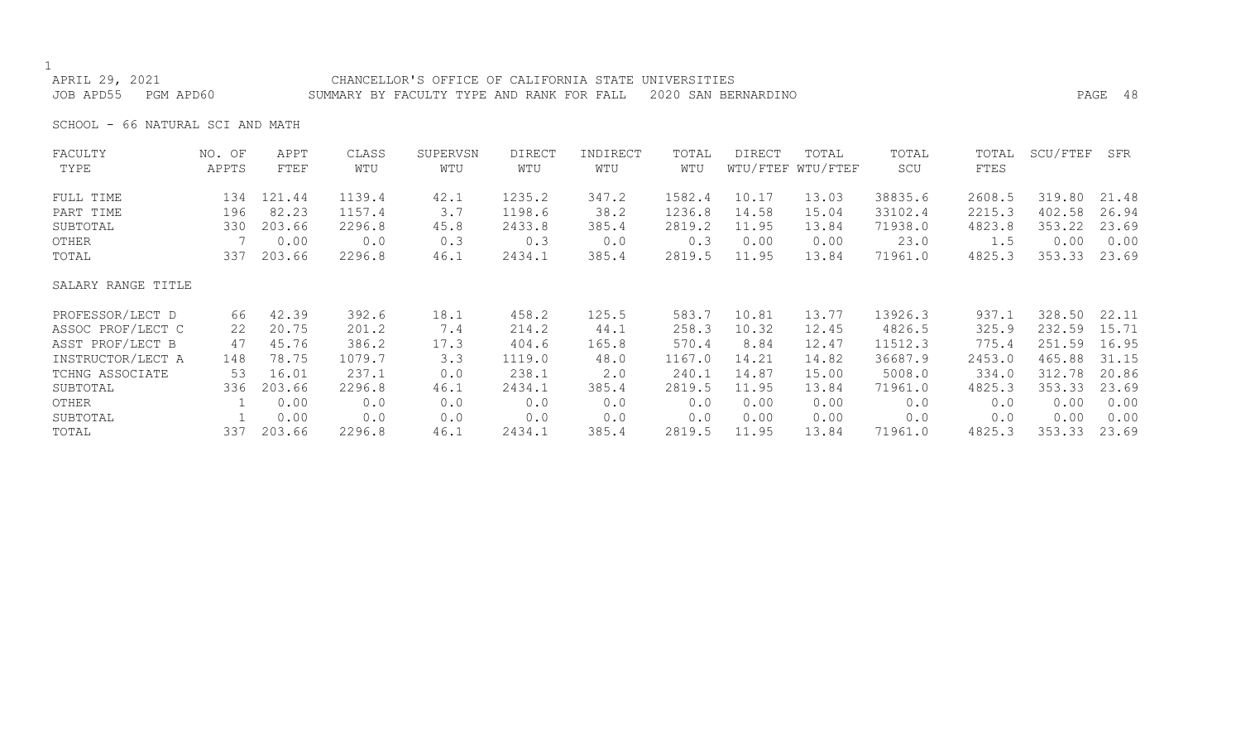#### APRIL 29, 2021 CHANCELLOR'S OFFICE OF CALIFORNIA STATE UNIVERSITIES JOB APD55 PGM APD60 SUMMARY BY FACULTY TYPE AND RANK FOR FALL 2020 SAN BERNARDINO PAGE 48

SCHOOL - 66 NATURAL SCI AND MATH

| FACULTY            | NO. OF | APPT   | CLASS  | SUPERVSN | <b>DIRECT</b> | INDIRECT | TOTAL  | <b>DIRECT</b> | TOTAL             | TOTAL   | TOTAL  | SCU/FTEF | SFR   |
|--------------------|--------|--------|--------|----------|---------------|----------|--------|---------------|-------------------|---------|--------|----------|-------|
| TYPE               | APPTS  | FTEF   | WTU    | WTU      | WTU           | WTU      | WTU    |               | WTU/FTEF WTU/FTEF | SCU     | FTES   |          |       |
| FULL TIME          | 134    | 121.44 | 1139.4 | 42.1     | 1235.2        | 347.2    | 1582.4 | 10.17         | 13.03             | 38835.6 | 2608.5 | 319.80   | 21.48 |
| PART TIME          | 196    | 82.23  | 1157.4 | 3.7      | 1198.6        | 38.2     | 1236.8 | 14.58         | 15.04             | 33102.4 | 2215.3 | 402.58   | 26.94 |
| SUBTOTAL           | 330    | 203.66 | 2296.8 | 45.8     | 2433.8        | 385.4    | 2819.2 | 11.95         | 13.84             | 71938.0 | 4823.8 | 353.22   | 23.69 |
| OTHER              |        | 0.00   | 0.0    | 0.3      | 0.3           | 0.0      | 0.3    | 0.00          | 0.00              | 23.0    | 1.5    | 0.00     | 0.00  |
| TOTAL              | 337    | 203.66 | 2296.8 | 46.1     | 2434.1        | 385.4    | 2819.5 | 11.95         | 13.84             | 71961.0 | 4825.3 | 353.33   | 23.69 |
| SALARY RANGE TITLE |        |        |        |          |               |          |        |               |                   |         |        |          |       |
| PROFESSOR/LECT D   | 66     | 42.39  | 392.6  | 18.1     | 458.2         | 125.5    | 583.7  | 10.81         | 13.77             | 13926.3 | 937.1  | 328.50   | 22.11 |
| ASSOC PROF/LECT C  | 22     | 20.75  | 201.2  | 7.4      | 214.2         | 44.1     | 258.3  | 10.32         | 12.45             | 4826.5  | 325.9  | 232.59   | 15.71 |
| ASST PROF/LECT B   | 47     | 45.76  | 386.2  | 17.3     | 404.6         | 165.8    | 570.4  | 8.84          | 12.47             | 11512.3 | 775.4  | 251.59   | 16.95 |
| INSTRUCTOR/LECT A  | 148    | 78.75  | 1079.7 | 3.3      | 1119.0        | 48.0     | 1167.0 | 14.21         | 14.82             | 36687.9 | 2453.0 | 465.88   | 31.15 |
| TCHNG ASSOCIATE    | 53     | 16.01  | 237.1  | 0.0      | 238.1         | 2.0      | 240.1  | 14.87         | 15.00             | 5008.0  | 334.0  | 312.78   | 20.86 |
| SUBTOTAL           | 336    | 203.66 | 2296.8 | 46.1     | 2434.1        | 385.4    | 2819.5 | 11.95         | 13.84             | 71961.0 | 4825.3 | 353.33   | 23.69 |
| OTHER              |        | 0.00   | 0.0    | 0.0      | 0.0           | 0.0      | 0.0    | 0.00          | 0.00              | 0.0     | 0.0    | 0.00     | 0.00  |
| SUBTOTAL           |        | 0.00   | 0.0    | 0.0      | 0.0           | 0.0      | 0.0    | 0.00          | 0.00              | 0.0     | 0.0    | 0.00     | 0.00  |
| TOTAL              | 337    | 203.66 | 2296.8 | 46.1     | 2434.1        | 385.4    | 2819.5 | 11.95         | 13.84             | 71961.0 | 4825.3 | 353.33   | 23.69 |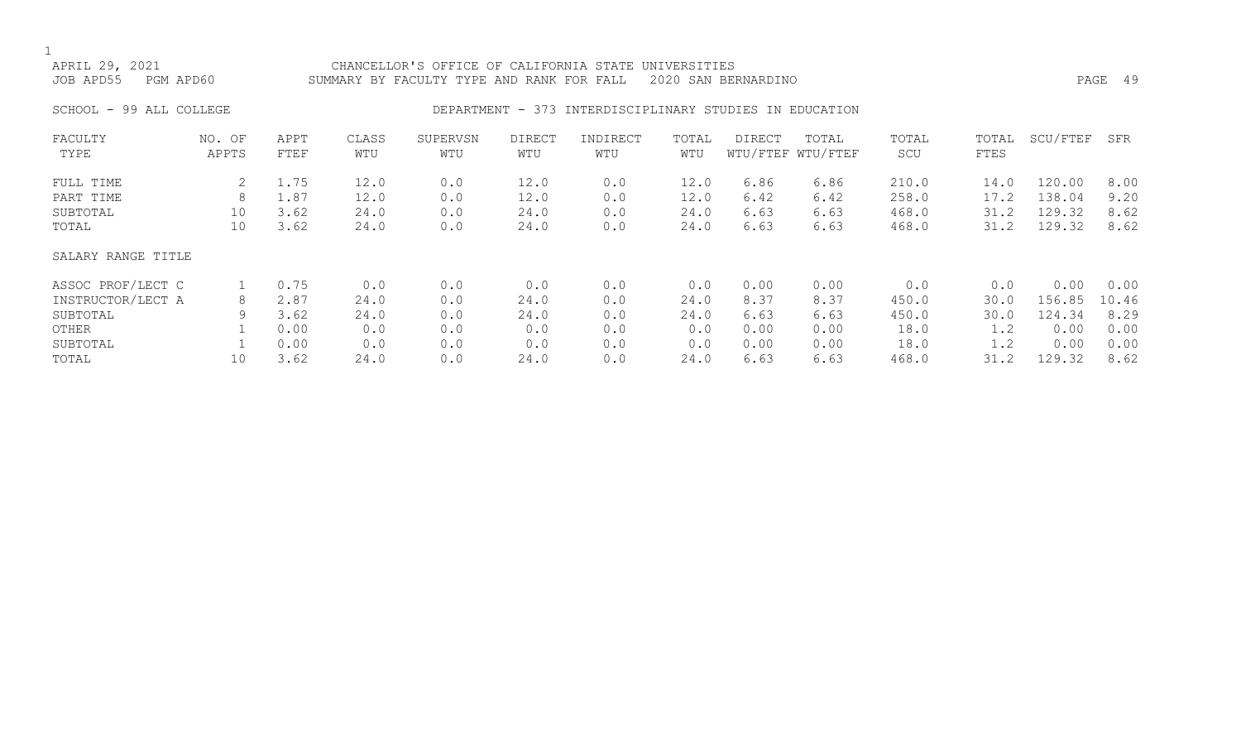APRIL 29, 2021 CHANCELLOR'S OFFICE OF CALIFORNIA STATE UNIVERSITIES JOB APD55 PGM APD60 SUMMARY BY FACULTY TYPE AND RANK FOR FALL 2020 SAN BERNARDINO PAGE 49

#### SCHOOL - 99 ALL COLLEGE CONSERVERS OF DEPARTMENT - 373 INTERDISCIPLINARY STUDIES IN EDUCATION

| FACULTY<br>TYPE    | NO. OF<br>APPTS | APPT<br>FTEF | CLASS<br>WTU | SUPERVSN<br>WTU | <b>DIRECT</b><br>WTU | INDIRECT<br>WTU | TOTAL<br>WTU | DIRECT | TOTAL<br>WTU/FTEF WTU/FTEF | TOTAL<br>SCU | TOTAL<br>FTES | SCU/FTEF | SFR   |
|--------------------|-----------------|--------------|--------------|-----------------|----------------------|-----------------|--------------|--------|----------------------------|--------------|---------------|----------|-------|
|                    |                 |              |              |                 |                      |                 |              |        |                            |              |               |          |       |
| FULL TIME          |                 | 1.75         | 12.0         | 0.0             | 12.0                 | 0.0             | 12.0         | 6.86   | 6.86                       | 210.0        | 14.0          | 120.00   | 8.00  |
| PART TIME          | 8               | 1.87         | 12.0         | 0.0             | 12.0                 | 0.0             | 12.0         | 6.42   | 6.42                       | 258.0        | 17.2          | 138.04   | 9.20  |
| SUBTOTAL           | 10              | 3.62         | 24.0         | 0.0             | 24.0                 | 0.0             | 24.0         | 6.63   | 6.63                       | 468.0        | 31.2          | 129.32   | 8.62  |
| TOTAL              | 10              | 3.62         | 24.0         | 0.0             | 24.0                 | 0.0             | 24.0         | 6.63   | 6.63                       | 468.0        | 31.2          | 129.32   | 8.62  |
| SALARY RANGE TITLE |                 |              |              |                 |                      |                 |              |        |                            |              |               |          |       |
| ASSOC PROF/LECT C  |                 | 0.75         | 0.0          | 0.0             | 0.0                  | 0.0             | 0.0          | 0.00   | 0.00                       | 0.0          | 0.0           | 0.00     | 0.00  |
| INSTRUCTOR/LECT A  | 8               | 2.87         | 24.0         | 0.0             | 24.0                 | 0.0             | 24.0         | 8.37   | 8.37                       | 450.0        | 30.0          | 156.85   | 10.46 |
| SUBTOTAL           | 9               | 3.62         | 24.0         | 0.0             | 24.0                 | 0.0             | 24.0         | 6.63   | 6.63                       | 450.0        | 30.0          | 124.34   | 8.29  |
| OTHER              |                 | 0.00         | 0.0          | 0.0             | 0.0                  | 0.0             | 0.0          | 0.00   | 0.00                       | 18.0         | 1.2           | 0.00     | 0.00  |
| SUBTOTAL           |                 | 0.00         | 0.0          | 0.0             | 0.0                  | 0.0             | 0.0          | 0.00   | 0.00                       | 18.0         | 1.2           | 0.00     | 0.00  |
| TOTAL              | 10              | 3.62         | 24.0         | 0.0             | 24.0                 | 0.0             | 24.0         | 6.63   | 6.63                       | 468.0        | 31.2          | 129.32   | 8.62  |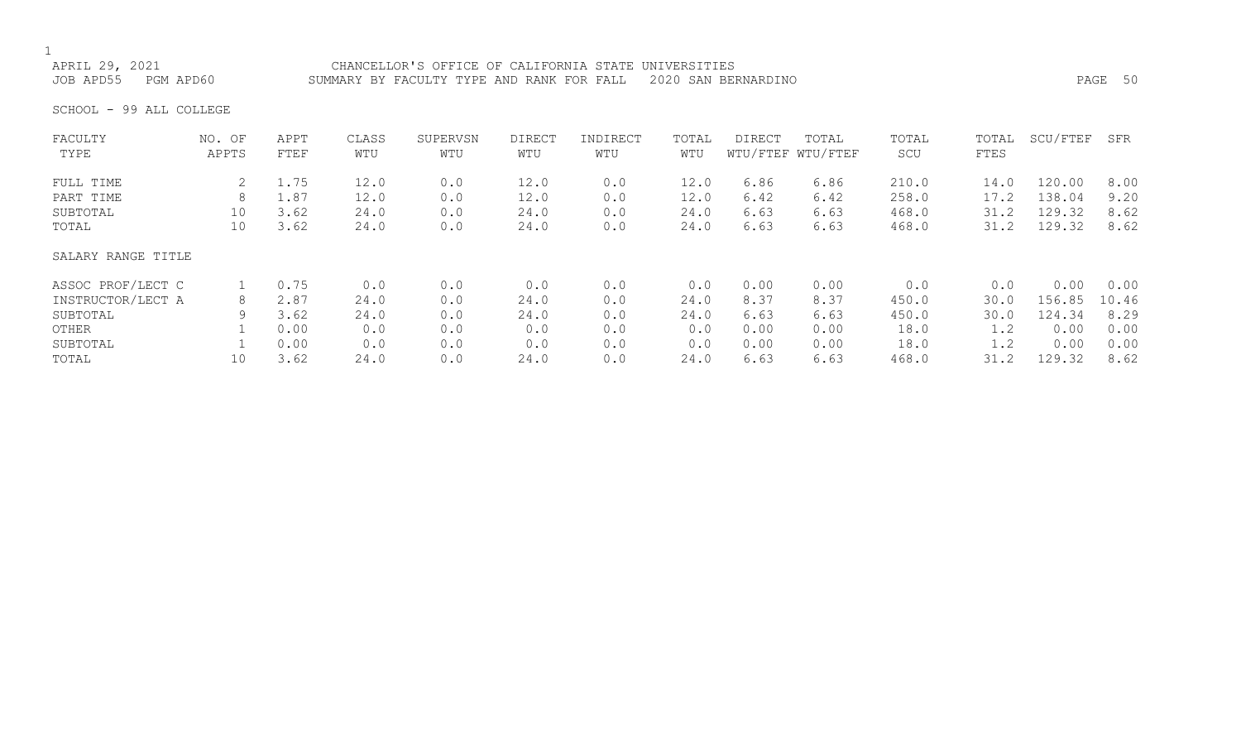# 1<br>APRIL 29, 2021

APRIL 29, 2021 CHANCELLOR'S OFFICE OF CALIFORNIA STATE UNIVERSITIES<br>JOB APD55 PGM APD60 SUMMARY BY FACULTY TYPE AND RANK FOR FALL 2020 SAN BEF SUMMARY BY FACULTY TYPE AND RANK FOR FALL 2020 SAN BERNARDINO **PAGE 50** 

SCHOOL - 99 ALL COLLEGE

| FACULTY            | NO. OF | APPT | CLASS | SUPERVSN | DIRECT | INDIRECT | TOTAL | DIRECT | TOTAL             | TOTAL | TOTAL | SCU/FTEF | SFR   |
|--------------------|--------|------|-------|----------|--------|----------|-------|--------|-------------------|-------|-------|----------|-------|
| TYPE               | APPTS  | FTEF | WTU   | WTU      | WTU    | WTU      | WTU   |        | WTU/FTEF WTU/FTEF | SCU   | FTES  |          |       |
| FULL TIME          |        | 1.75 | 12.0  | 0.0      | 12.0   | 0.0      | 12.0  | 6.86   | 6.86              | 210.0 | 14.0  | 120.00   | 8.00  |
| PART TIME          | 8      | 1.87 | 12.0  | 0.0      | 12.0   | 0.0      | 12.0  | 6.42   | 6.42              | 258.0 | 17.2  | 138.04   | 9.20  |
| SUBTOTAL           | 10     | 3.62 | 24.0  | 0.0      | 24.0   | 0.0      | 24.0  | 6.63   | 6.63              | 468.0 | 31.2  | 129.32   | 8.62  |
| TOTAL              | 10     | 3.62 | 24.0  | 0.0      | 24.0   | 0.0      | 24.0  | 6.63   | 6.63              | 468.0 | 31.2  | 129.32   | 8.62  |
| SALARY RANGE TITLE |        |      |       |          |        |          |       |        |                   |       |       |          |       |
| ASSOC PROF/LECT C  |        | 0.75 | 0.0   | 0.0      | 0.0    | 0.0      | 0.0   | 0.00   | 0.00              | 0.0   | 0.0   | 0.00     | 0.00  |
| INSTRUCTOR/LECT A  | 8      | 2.87 | 24.0  | 0.0      | 24.0   | 0.0      | 24.0  | 8.37   | 8.37              | 450.0 | 30.0  | 156.85   | 10.46 |
| SUBTOTAL           |        | 3.62 | 24.0  | 0.0      | 24.0   | 0.0      | 24.0  | 6.63   | 6.63              | 450.0 | 30.0  | 124.34   | 8.29  |
| OTHER              |        | 0.00 | 0.0   | 0.0      | 0.0    | 0.0      | 0.0   | 0.00   | 0.00              | 18.0  | 1.2   | 0.00     | 0.00  |
| SUBTOTAL           |        | 0.00 | 0.0   | 0.0      | 0.0    | 0.0      | 0.0   | 0.00   | 0.00              | 18.0  | 1.2   | 0.00     | 0.00  |
| TOTAL              | 10     | 3.62 | 24.0  | 0.0      | 24.0   | 0.0      | 24.0  | 6.63   | 6.63              | 468.0 | 31.2  | 129.32   | 8.62  |
|                    |        |      |       |          |        |          |       |        |                   |       |       |          |       |